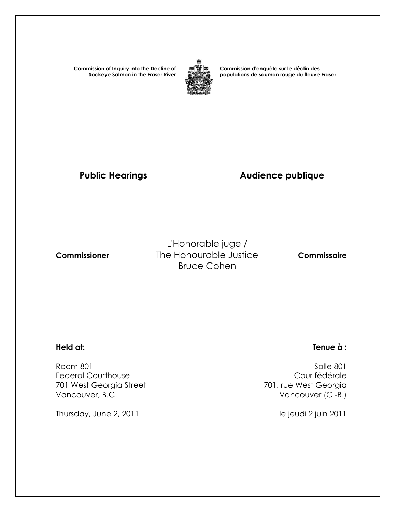**Commission of Inquiry into the Decline of Sockeye Salmon in the Fraser River**



**Commission d'enquête sur le déclin des populations de saumon rouge du fleuve Fraser** 

## Public Hearings **Audience publique**

L'Honorable juge /  **Commissioner** The Honourable Justice **Commissaire** Bruce Cohen

Room 801 Salle 801<br>Federal Courthouse and Salle 801 Salle 801 Salle 801 Federal Courthouse<br>
701 west Georgia Street<br>
701 west Georgia Street<br>
201 west Georgia 701 West Georgia Street Vancouver, B.C. **Vancouver (C.-B.)** 

Thursday, June 2, 2011 and the same state of the intervals of the jeudi 2 juin 2011

### **Held at: Tenue à :**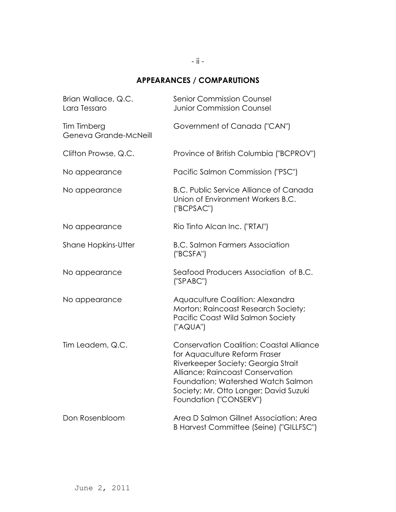## - ii -

## **APPEARANCES / COMPARUTIONS**

| Brian Wallace, Q.C.<br>Lara Tessaro  | <b>Senior Commission Counsel</b><br><b>Junior Commission Counsel</b>                                                                                                                                                                                                  |
|--------------------------------------|-----------------------------------------------------------------------------------------------------------------------------------------------------------------------------------------------------------------------------------------------------------------------|
| Tim Timberg<br>Geneva Grande-McNeill | Government of Canada ("CAN")                                                                                                                                                                                                                                          |
| Clifton Prowse, Q.C.                 | Province of British Columbia ("BCPROV")                                                                                                                                                                                                                               |
| No appearance                        | Pacific Salmon Commission ("PSC")                                                                                                                                                                                                                                     |
| No appearance                        | <b>B.C. Public Service Alliance of Canada</b><br>Union of Environment Workers B.C.<br>("BCPSAC")                                                                                                                                                                      |
| No appearance                        | Rio Tinto Alcan Inc. ("RTAI")                                                                                                                                                                                                                                         |
| <b>Shane Hopkins-Utter</b>           | <b>B.C. Salmon Farmers Association</b><br>("BCSFA")                                                                                                                                                                                                                   |
| No appearance                        | Seafood Producers Association of B.C.<br>('SPABC")                                                                                                                                                                                                                    |
| No appearance                        | Aquaculture Coalition: Alexandra<br>Morton; Raincoast Research Society;<br>Pacific Coast Wild Salmon Society<br>("AQUA")                                                                                                                                              |
| Tim Leadem, Q.C.                     | <b>Conservation Coalition: Coastal Alliance</b><br>for Aquaculture Reform Fraser<br>Riverkeeper Society; Georgia Strait<br>Alliance; Raincoast Conservation<br>Foundation; Watershed Watch Salmon<br>Society; Mr. Otto Langer; David Suzuki<br>Foundation ("CONSERV") |
| Don Rosenbloom                       | Area D Salmon Gillnet Association; Area<br>B Harvest Committee (Seine) ("GILLFSC")                                                                                                                                                                                    |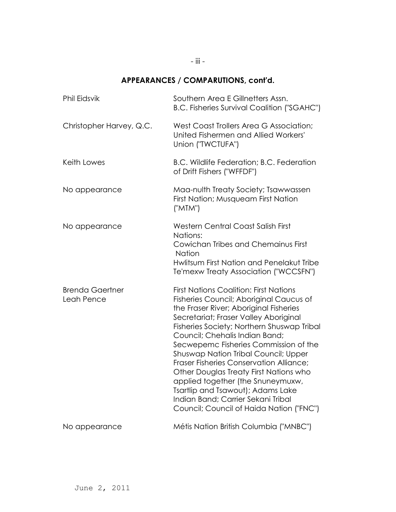# **APPEARANCES / COMPARUTIONS, cont'd.**

| <b>Phil Eidsvik</b>                  | Southern Area E Gillnetters Assn.<br><b>B.C. Fisheries Survival Coalition ("SGAHC")</b>                                                                                                                                                                                                                                                                                                                                                                                                                                                                                                       |
|--------------------------------------|-----------------------------------------------------------------------------------------------------------------------------------------------------------------------------------------------------------------------------------------------------------------------------------------------------------------------------------------------------------------------------------------------------------------------------------------------------------------------------------------------------------------------------------------------------------------------------------------------|
| Christopher Harvey, Q.C.             | West Coast Trollers Area G Association;<br>United Fishermen and Allied Workers'<br>Union ("TWCTUFA")                                                                                                                                                                                                                                                                                                                                                                                                                                                                                          |
| Keith Lowes                          | B.C. Wildlife Federation; B.C. Federation<br>of Drift Fishers ("WFFDF")                                                                                                                                                                                                                                                                                                                                                                                                                                                                                                                       |
| No appearance                        | Maa-nulth Treaty Society; Tsawwassen<br>First Nation; Musqueam First Nation<br>("MTM")                                                                                                                                                                                                                                                                                                                                                                                                                                                                                                        |
| No appearance                        | <b>Western Central Coast Salish First</b><br>Nations:<br>Cowichan Tribes and Chemainus First<br><b>Nation</b><br>Hwlitsum First Nation and Penelakut Tribe<br>Te'mexw Treaty Association ("WCCSFN")                                                                                                                                                                                                                                                                                                                                                                                           |
| <b>Brenda Gaertner</b><br>Leah Pence | <b>First Nations Coalition: First Nations</b><br>Fisheries Council; Aboriginal Caucus of<br>the Fraser River; Aboriginal Fisheries<br>Secretariat; Fraser Valley Aboriginal<br>Fisheries Society; Northern Shuswap Tribal<br>Council; Chehalis Indian Band;<br>Secwepemc Fisheries Commission of the<br>Shuswap Nation Tribal Council; Upper<br>Fraser Fisheries Conservation Alliance;<br>Other Douglas Treaty First Nations who<br>applied together (the Snuneymuxw,<br>Tsartlip and Tsawout); Adams Lake<br>Indian Band; Carrier Sekani Tribal<br>Council; Council of Haida Nation ("FNC") |
| No appearance                        | Métis Nation British Columbia ("MNBC")                                                                                                                                                                                                                                                                                                                                                                                                                                                                                                                                                        |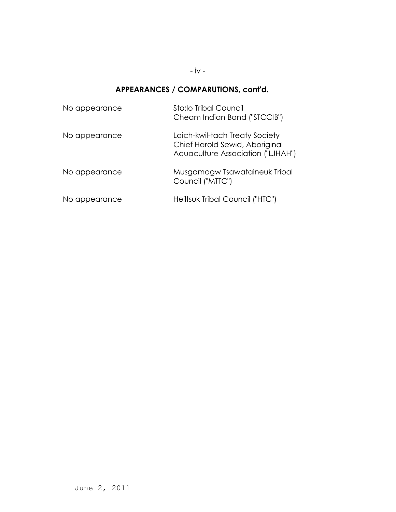- iv -

# **APPEARANCES / COMPARUTIONS, cont'd.**

| No appearance | Sto:lo Tribal Council<br>Cheam Indian Band ("STCCIB")                                                 |
|---------------|-------------------------------------------------------------------------------------------------------|
| No appearance | Laich-kwil-tach Treaty Society<br>Chief Harold Sewid, Aboriginal<br>Aquaculture Association ("LJHAH") |
| No appearance | Musgamagw Tsawataineuk Tribal<br>Council ("MTTC")                                                     |
| No appearance | Heiltsuk Tribal Council ("HTC")                                                                       |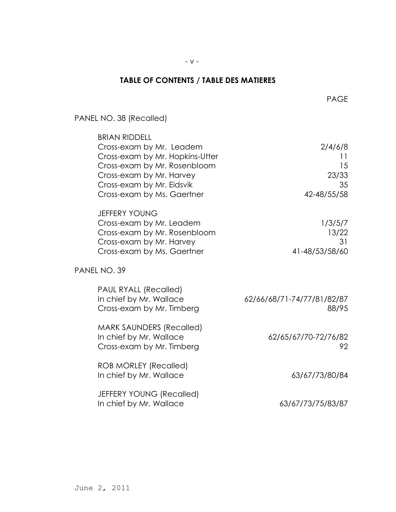- v -

## **TABLE OF CONTENTS / TABLE DES MATIERES**

PAGE And the contract of the contract of the page of the page of the contract of the page of the contract of the contract of the contract of the contract of the contract of the contract of the contract of the contract of t

| PANEL NO. 38 (Recalled)                                                                                                                                                                                    |                                                   |
|------------------------------------------------------------------------------------------------------------------------------------------------------------------------------------------------------------|---------------------------------------------------|
| <b>BRIAN RIDDELL</b><br>Cross-exam by Mr. Leadem<br>Cross-exam by Mr. Hopkins-Utter<br>Cross-exam by Mr. Rosenbloom<br>Cross-exam by Mr. Harvey<br>Cross-exam by Mr. Eidsvik<br>Cross-exam by Ms. Gaertner | 2/4/6/8<br>11<br>15<br>23/33<br>35<br>42-48/55/58 |
| <b>JEFFERY YOUNG</b><br>Cross-exam by Mr. Leadem<br>Cross-exam by Mr. Rosenbloom<br>Cross-exam by Mr. Harvey<br>Cross-exam by Ms. Gaertner                                                                 | 1/3/5/7<br>13/22<br>31<br>41-48/53/58/60          |
| PANEL NO. 39                                                                                                                                                                                               |                                                   |
| PAUL RYALL (Recalled)<br>In chief by Mr. Wallace<br>Cross-exam by Mr. Timberg                                                                                                                              | 62/66/68/71-74/77/81/82/87<br>88/95               |
| <b>MARK SAUNDERS (Recalled)</b><br>In chief by Mr. Wallace<br>Cross-exam by Mr. Timberg                                                                                                                    | 62/65/67/70-72/76/82<br>92                        |
| <b>ROB MORLEY (Recalled)</b><br>In chief by Mr. Wallace                                                                                                                                                    | 63/67/73/80/84                                    |
| JEFFERY YOUNG (Recalled)<br>In chief by Mr. Wallace                                                                                                                                                        | 63/67/73/75/83/87                                 |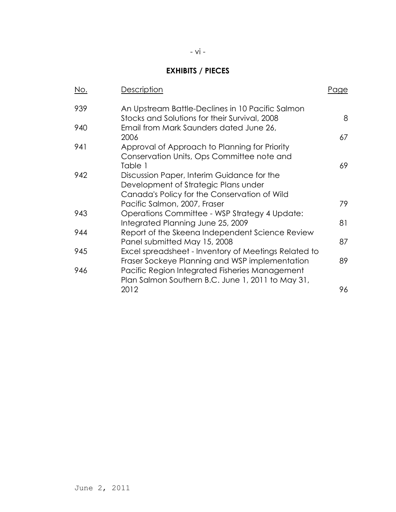# **EXHIBITS / PIECES**

| No. | Description                                                                                                                                           | Page |
|-----|-------------------------------------------------------------------------------------------------------------------------------------------------------|------|
| 939 | An Upstream Battle-Declines in 10 Pacific Salmon<br>Stocks and Solutions for their Survival, 2008                                                     | 8    |
| 940 | Email from Mark Saunders dated June 26,<br>2006                                                                                                       | 67   |
| 941 | Approval of Approach to Planning for Priority<br>Conservation Units, Ops Committee note and                                                           |      |
| 942 | Table 1<br>Discussion Paper, Interim Guidance for the<br>Development of Strategic Plans under<br>Canada's Policy for the Conservation of Wild         | 69   |
|     | Pacific Salmon, 2007, Fraser                                                                                                                          | 79.  |
| 943 | Operations Committee - WSP Strategy 4 Update:<br>Integrated Planning June 25, 2009                                                                    | 81   |
| 944 | Report of the Skeena Independent Science Review<br>Panel submitted May 15, 2008                                                                       | 87   |
| 945 | Excel spreadsheet - Inventory of Meetings Related to                                                                                                  | 89   |
| 946 | Fraser Sockeye Planning and WSP implementation<br>Pacific Region Integrated Fisheries Management<br>Plan Salmon Southern B.C. June 1, 2011 to May 31, |      |
|     | 2012                                                                                                                                                  | 96   |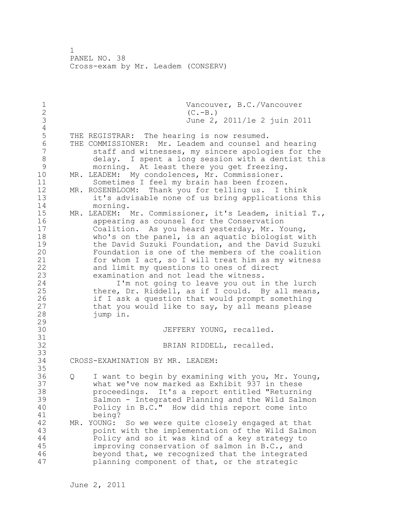1 Vancouver, B.C./Vancouver<br>2 (C.-B.) 2 (C.-B.)<br>3 June 2, 3 June 2, 2011/le 2 juin 2011  $\frac{4}{5}$ 5 THE REGISTRAR: The hearing is now resumed.<br>6 THE COMMISSIONER: Mr. Leadem and counsel a 6 THE COMMISSIONER: Mr. Leadem and counsel and hearing staff and witnesses, my sincere apologies for the 8 delay. I spent a long session with a dentist this<br>9 morning. At least there you get freezing. 9 morning. At least there you get freezing.<br>10 MR. LEADEM: My condolences, Mr. Commissioner. MR. LEADEM: My condolences, Mr. Commissioner. 11 Sometimes I feel my brain has been frozen. 12 MR. ROSENBLOOM: Thank you for telling us. I think 13 it's advisable none of us bring applications this 14 morning. 15 MR. LEADEM: Mr. Commissioner, it's Leadem, initial T., 16 appearing as counsel for the Conservation 17 Coalition. As you heard yesterday, Mr. Young, 18 who's on the panel, is an aquatic biologist with 19 the David Suzuki Foundation, and the David Suzuki<br>20 Foundation is one of the members of the coalition Foundation is one of the members of the coalition 21 for whom I act, so I will treat him as my witness 22 and limit my questions to ones of direct 23 examination and not lead the witness.<br>24 I'm not going to leave you out i I'm not going to leave you out in the lurch 25 there, Dr. Riddell, as if I could. By all means, 26 if I ask a question that would prompt something<br>27 that you would like to say, by all means please that you would like to say, by all means please 28 jump in. 29 30 JEFFERY YOUNG, recalled. 31<br>32 BRIAN RIDDELL, recalled. 33 34 CROSS-EXAMINATION BY MR. LEADEM: 35 36 Q I want to begin by examining with you, Mr. Young, 37 what we've now marked as Exhibit 937 in these 38 proceedings. It's a report entitled "Returning 39 Salmon - Integrated Planning and the Wild Salmon 40 Policy in B.C." How did this report come into 41 being?<br>42 MR. YOUNG: MR. YOUNG: So we were quite closely engaged at that 43 point with the implementation of the Wild Salmon 44 Policy and so it was kind of a key strategy to 45 improving conservation of salmon in B.C., and 46 beyond that, we recognized that the integrated 47 planning component of that, or the strategic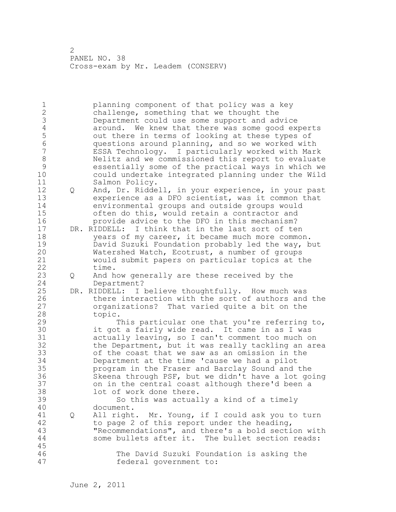1 planning component of that policy was a key 2 challenge, something that we thought the 3 Department could use some support and advice<br>4 around. We knew that there was some good exp 4 around. We knew that there was some good experts<br>5 out there in terms of looking at these types of 5 out there in terms of looking at these types of<br>6 ouestions around planning, and so we worked with 6 questions around planning, and so we worked with ESSA Technology. I particularly worked with Mark 8 Nelitz and we commissioned this report to evaluate<br>9 sessentially some of the practical ways in which we 9 essentially some of the practical ways in which we could undertake integrated planning under the Wild 11 Salmon Policy. 12 Q And, Dr. Riddell, in your experience, in your past 13 experience as a DFO scientist, was it common that 14 environmental groups and outside groups would 15 often do this, would retain a contractor and 16 provide advice to the DFO in this mechanism? 17 DR. RIDDELL: I think that in the last sort of ten 18 years of my career, it became much more common. 19 David Suzuki Foundation probably led the way, but<br>20 Watershed Watch, Ecotrust, a number of groups Watershed Watch, Ecotrust, a number of groups 21 would submit papers on particular topics at the 22 time. 23 Q And how generally are these received by the 24 Department? 25 DR. RIDDELL: I believe thoughtfully. How much was 26 there interaction with the sort of authors and the<br>27 organizations? That varied quite a bit on the organizations? That varied quite a bit on the 28 topic. 29 This particular one that you're referring to, 30 it got a fairly wide read. It came in as I was<br>31 actually leaving, so I can't comment too much of 31 actually leaving, so I can't comment too much on<br>32 the Department, but it was really tackling an ar the Department, but it was really tackling an area 33 of the coast that we saw as an omission in the 34 Department at the time 'cause we had a pilot 35 program in the Fraser and Barclay Sound and the 36 Skeena through PSF, but we didn't have a lot going 37 on in the central coast although there'd been a 38 lot of work done there. 39 So this was actually a kind of a timely 40 document. 41 Q All right. Mr. Young, if I could ask you to turn<br>42 to page 2 of this report under the heading, to page 2 of this report under the heading, 43 "Recommendations", and there's a bold section with 44 some bullets after it. The bullet section reads: 45 46 The David Suzuki Foundation is asking the 47 federal government to: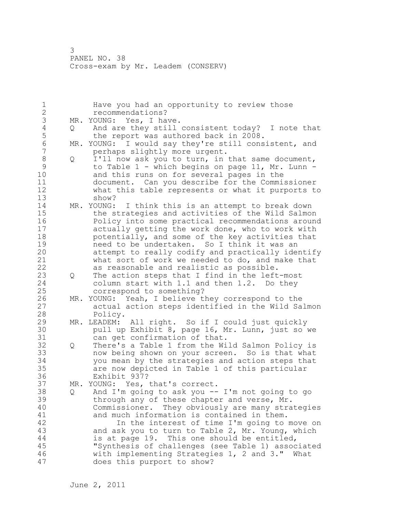1 Have you had an opportunity to review those 2 recommendations? 3 MR. YOUNG: Yes, I have.<br>4 Q And are they still 4 Q And are they still consistent today? I note that<br>5 the report was authored back in 2008. 5 the report was authored back in 2008.<br>6 MR. YOUNG: I would sav thev're still cons 6 MR. YOUNG: I would say they're still consistent, and<br>7 merhaps slightly more urgent. perhaps slightly more urgent. 8 Q I'll now ask you to turn, in that same document,<br>9 to Table 1 - which begins on page 11, Mr. Lunn -9 to Table 1 - which begins on page 11, Mr. Lunn -<br>10 and this runs on for several pages in the and this runs on for several pages in the 11 document. Can you describe for the Commissioner 12 what this table represents or what it purports to 13 show? 14 MR. YOUNG: I think this is an attempt to break down 15 the strategies and activities of the Wild Salmon 16 Policy into some practical recommendations around 17 actually getting the work done, who to work with 18 potentially, and some of the key activities that 19 19 need to be undertaken. So I think it was an<br>20 11 attempt to really codify and practically ide attempt to really codify and practically identify 21 what sort of work we needed to do, and make that 22 as reasonable and realistic as possible. 23 Q The action steps that I find in the left-most 24 column start with 1.1 and then 1.2. Do they 25 correspond to something? 26 MR. YOUNG: Yeah, I believe they correspond to the<br>27 actual action steps identified in the Wild Sa actual action steps identified in the Wild Salmon 28 Policy. 29 MR. LEADEM: All right. So if I could just quickly 30 pull up Exhibit 8, page 16, Mr. Lunn, just so we<br>31 can get confirmation of that. can get confirmation of that. 32 Q There's a Table 1 from the Wild Salmon Policy is 33 now being shown on your screen. So is that what 34 you mean by the strategies and action steps that 35 are now depicted in Table 1 of this particular 36 Exhibit 937? 37 MR. YOUNG: Yes, that's correct. 38 Q And I'm going to ask you -- I'm not going to go 39 through any of these chapter and verse, Mr. 40 Commissioner. They obviously are many strategies 41 and much information is contained in them.<br>42 1n the interest of time I'm going to In the interest of time I'm going to move on 43 and ask you to turn to Table 2, Mr. Young, which 44 is at page 19. This one should be entitled, 45 "Synthesis of challenges (see Table 1) associated 46 with implementing Strategies 1, 2 and 3." What 47 does this purport to show?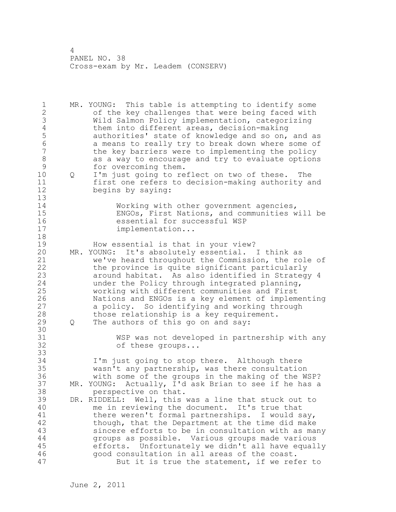1 MR. YOUNG: This table is attempting to identify some 2 of the key challenges that were being faced with 3 Wild Salmon Policy implementation, categorizing 4 them into different areas, decision-making<br>5 authorities' state of knowledge and so on, 5 authorities' state of knowledge and so on, and as<br>6 a means to really try to break down where some of 6 a means to really try to break down where some of<br>7 the key barriers were to implementing the policy the key barriers were to implementing the policy 8 as a way to encourage and try to evaluate options<br>9 for overcoming them. 9 for overcoming them.<br>10 0 I'm just going to re 10 Q I'm just going to reflect on two of these. The 11 first one refers to decision-making authority and 12 begins by saying: 13 14 Working with other government agencies, 15 ENGOs, First Nations, and communities will be 16 essential for successful WSP<br>17 implementation... implementation... 18 19 How essential is that in your view?<br>20 MR. YOUNG: It's absolutely essential. MR. YOUNG: It's absolutely essential. I think as 21 we've heard throughout the Commission, the role of 22 the province is quite significant particularly 23 around habitat. As also identified in Strategy 4 24 under the Policy through integrated planning, 25 working with different communities and First 26 Nations and ENGOs is a key element of implementing<br>27 a policy. So identifying and working through a policy. So identifying and working through 28 those relationship is a key requirement. 29 Q The authors of this go on and say: 30<br>31 31 WSP was not developed in partnership with any<br>32 of these groups... of these groups... 33 34 I'm just going to stop there. Although there 35 wasn't any partnership, was there consultation 36 with some of the groups in the making of the WSP? 37 MR. YOUNG: Actually, I'd ask Brian to see if he has a 38 perspective on that. 39 DR. RIDDELL: Well, this was a line that stuck out to 40 me in reviewing the document. It's true that 41 there weren't formal partnerships. I would say,<br>42 though, that the Department at the time did make though, that the Department at the time did make 43 sincere efforts to be in consultation with as many 44 groups as possible. Various groups made various 45 efforts. Unfortunately we didn't all have equally 46 good consultation in all areas of the coast. 47 But it is true the statement, if we refer to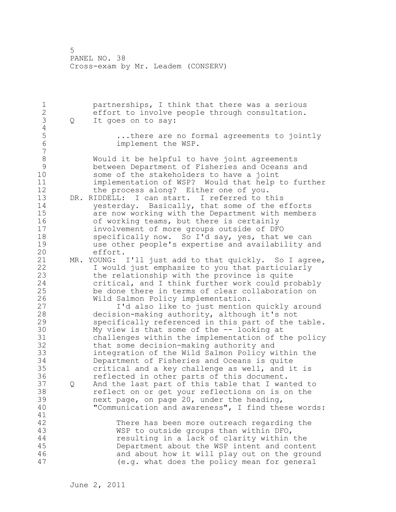1 partnerships, I think that there was a serious 2 effort to involve people through consultation. 3 Q It goes on to say:  $\frac{4}{5}$ 5 ...there are no formal agreements to jointly<br>6 . Simplement the WSP. implement the WSP. 7 8 Would it be helpful to have joint agreements 9 between Department of Fisheries and Oceans and some of the stakeholders to have a joint 11 implementation of WSP? Would that help to further 12 the process along? Either one of you. 13 DR. RIDDELL: I can start. I referred to this 14 yesterday. Basically, that some of the efforts 15 are now working with the Department with members 16 of working teams, but there is certainly 17 involvement of more groups outside of DFO 18 specifically now. So I'd say, yes, that we can 19 use other people's expertise and availability and effort.<br>MR. YOUNG: 21 MR. YOUNG: I'll just add to that quickly. So I agree, 22 I would just emphasize to you that particularly 23 the relationship with the province is quite 24 critical, and I think further work could probably 25 be done there in terms of clear collaboration on 26 Wild Salmon Policy implementation.<br>27 1'd also like to just mention I'd also like to just mention quickly around 28 decision-making authority, although it's not 29 specifically referenced in this part of the table. 30 My view is that some of the -- looking at<br>31 challenges within the implementation of the 31 challenges within the implementation of the policy that some decision-making authority and 33 integration of the Wild Salmon Policy within the 34 Department of Fisheries and Oceans is quite 35 critical and a key challenge as well, and it is 36 reflected in other parts of this document. 37 Q And the last part of this table that I wanted to 38 reflect on or get your reflections on is on the 39 next page, on page 20, under the heading, 40 "Communication and awareness", I find these words: 41<br>42 There has been more outreach regarding the 43 WSP to outside groups than within DFO, 44 resulting in a lack of clarity within the 45 Department about the WSP intent and content 46 and about how it will play out on the ground 47 (e.g. what does the policy mean for general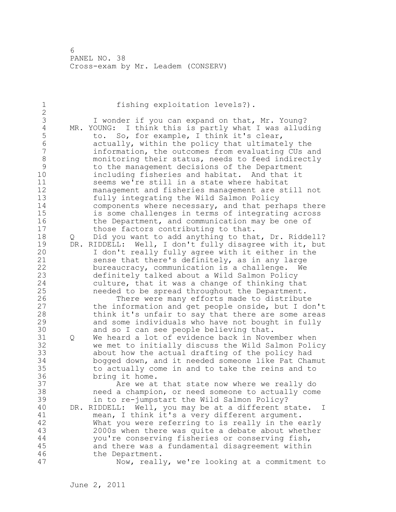| 1                               |     | fishing exploitation levels?).                                                                          |
|---------------------------------|-----|---------------------------------------------------------------------------------------------------------|
| $\frac{2}{3}$<br>$\overline{4}$ |     | I wonder if you can expand on that, Mr. Young?<br>MR. YOUNG: I think this is partly what I was alluding |
| 5                               |     | to. So, for example, I think it's clear,                                                                |
| $\sqrt{6}$                      |     | actually, within the policy that ultimately the                                                         |
| $\overline{7}$<br>8             |     | information, the outcomes from evaluating CUs and<br>monitoring their status, needs to feed indirectly  |
| 9                               |     | to the management decisions of the Department                                                           |
| 10                              |     | including fisheries and habitat. And that it                                                            |
| 11                              |     | seems we're still in a state where habitat                                                              |
| 12                              |     | management and fisheries management are still not                                                       |
| 13<br>14                        |     | fully integrating the Wild Salmon Policy                                                                |
| 15                              |     | components where necessary, and that perhaps there<br>is some challenges in terms of integrating across |
| 16                              |     | the Department, and communication may be one of                                                         |
| 17                              |     | those factors contributing to that.                                                                     |
| 18                              | Q   | Did you want to add anything to that, Dr. Riddell?                                                      |
| 19<br>20                        | DR. | RIDDELL: Well, I don't fully disagree with it, but                                                      |
| 21                              |     | I don't really fully agree with it either in the<br>sense that there's definitely, as in any large      |
| 22                              |     | bureaucracy, communication is a challenge. We                                                           |
| 23                              |     | definitely talked about a Wild Salmon Policy                                                            |
| 24                              |     | culture, that it was a change of thinking that                                                          |
| 25<br>26                        |     | needed to be spread throughout the Department.                                                          |
| 27                              |     | There were many efforts made to distribute<br>the information and get people onside, but I don't        |
| 28                              |     | think it's unfair to say that there are some areas                                                      |
| 29                              |     | and some individuals who have not bought in fully                                                       |
| 30                              |     | and so I can see people believing that.                                                                 |
| 31<br>32                        | Q   | We heard a lot of evidence back in November when                                                        |
| 33                              |     | we met to initially discuss the Wild Salmon Policy<br>about how the actual drafting of the policy had   |
| 34                              |     | bogged down, and it needed someone like Pat Chamut                                                      |
| 35                              |     | to actually come in and to take the reins and to                                                        |
| 36                              |     | bring it home.                                                                                          |
| 37<br>38                        |     | Are we at that state now where we really do                                                             |
| 39                              |     | need a champion, or need someone to actually come<br>in to re-jumpstart the Wild Salmon Policy?         |
| 40                              |     | Well, you may be at a different state.<br>DR. RIDDELL:<br>$\mathbf I$                                   |
| 41                              |     | mean, I think it's a very different argument.                                                           |
| 42                              |     | What you were referring to is really in the early                                                       |
| 43<br>$4\,4$                    |     | 2000s when there was quite a debate about whether<br>you're conserving fisheries or conserving fish,    |
| 45                              |     | and there was a fundamental disagreement within                                                         |
| 46                              |     | the Department.                                                                                         |
| 47                              |     | Now, really, we're looking at a commitment to                                                           |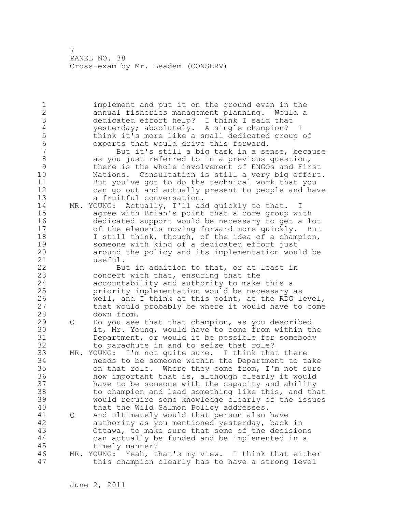1 implement and put it on the ground even in the 2 annual fisheries management planning. Would a 3 dedicated effort help? I think I said that<br>4 vesterday; absolutely. A single champion? 4 yesterday; absolutely. A single champion? I<br>5 think it's more like a small dedicated group 5 think it's more like a small dedicated group of<br>6 experts that would drive this forward. 6 experts that would drive this forward. But it's still a big task in a sense, because 8 as you just referred to in a previous question,<br>9 betwee is the whole involvement of ENGOs and Fir 9 there is the whole involvement of ENGOs and First<br>10 Mations. Consultation is still a verv big effort Nations. Consultation is still a very big effort. 11 But you've got to do the technical work that you 12 can go out and actually present to people and have 13 a fruitful conversation. 14 MR. YOUNG: Actually, I'll add quickly to that. I 15 agree with Brian's point that a core group with 16 dedicated support would be necessary to get a lot 17 of the elements moving forward more quickly. But 18 I still think, though, of the idea of a champion, 19 someone with kind of a dedicated effort just<br>20 around the policy and its implementation wou. around the policy and its implementation would be 21 useful. 22 But in addition to that, or at least in 23 concert with that, ensuring that the 24 accountability and authority to make this a 25 priority implementation would be necessary as 26 well, and I think at this point, at the RDG level,<br>27 that would probably be where it would have to come that would probably be where it would have to come 28 down from. 29 Q Do you see that that champion, as you described 30 it, Mr. Young, would have to come from within the 31 Department, or would it be possible for somebody<br>32 to parachute in and to seize that role? to parachute in and to seize that role? 33 MR. YOUNG: I'm not quite sure. I think that there 34 needs to be someone within the Department to take 35 on that role. Where they come from, I'm not sure 36 how important that is, although clearly it would 37 have to be someone with the capacity and ability 38 to champion and lead something like this, and that 39 would require some knowledge clearly of the issues 40 that the Wild Salmon Policy addresses. 41 Q And ultimately would that person also have<br>42 authority as you mentioned yesterday, back authority as you mentioned yesterday, back in 43 Ottawa, to make sure that some of the decisions 44 can actually be funded and be implemented in a 45 timely manner? 46 MR. YOUNG: Yeah, that's my view. I think that either 47 this champion clearly has to have a strong level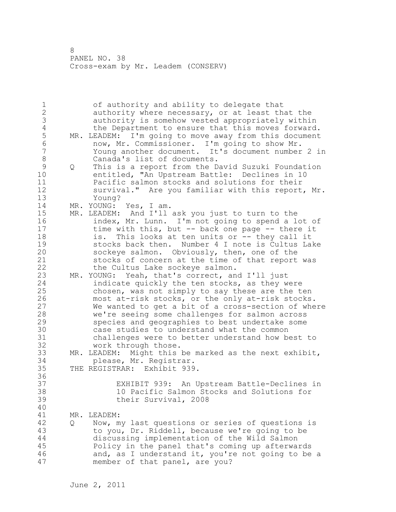1 of authority and ability to delegate that 2 authority where necessary, or at least that the 3 authority is somehow vested appropriately within 4 the Department to ensure that this moves forward.<br>5 MR. LEADEM: I'm going to move away from this document 5 MR. LEADEM: I'm going to move away from this document<br>6 mow. Mr. Commissioner. I'm going to show Mr. 6 now, Mr. Commissioner. I'm going to show Mr. 7 Young another document. It's document number 2 in 8 Canada's list of documents. 9 Q This is a report from the David Suzuki Foundation<br>10 entitled. "An Upstream Battle: Declines in 10 entitled, "An Upstream Battle: Declines in 10 11 Pacific salmon stocks and solutions for their 12 survival." Are you familiar with this report, Mr. 13 Young? 14 MR. YOUNG: Yes, I am. 15 MR. LEADEM: And I'll ask you just to turn to the 16 index, Mr. Lunn. I'm not going to spend a lot of 17 time with this, but -- back one page -- there it 18 is. This looks at ten units or -- they call it 19 stocks back then. Number 4 I note is Cultus Lake<br>20 sockeye salmon. Obviously, then, one of the sockeye salmon. Obviously, then, one of the 21 stocks of concern at the time of that report was 22 the Cultus Lake sockeye salmon. 23 MR. YOUNG: Yeah, that's correct, and I'll just 24 indicate quickly the ten stocks, as they were 25 chosen, was not simply to say these are the ten 26 most at-risk stocks, or the only at-risk stocks.<br>27 We wanted to get a bit of a cross-section of whe We wanted to get a bit of a cross-section of where 28 we're seeing some challenges for salmon across 29 species and geographies to best undertake some 30 case studies to understand what the common<br>31 challenges were to better understand how be challenges were to better understand how best to 32 work through those. 33 MR. LEADEM: Might this be marked as the next exhibit, 34 please, Mr. Registrar. 35 THE REGISTRAR: Exhibit 939. 36 37 EXHIBIT 939: An Upstream Battle-Declines in 38 10 Pacific Salmon Stocks and Solutions for 39 their Survival, 2008 40 41 MR. LEADEM:<br>42 0 Now, m 42 Q Now, my last questions or series of questions is 43 to you, Dr. Riddell, because we're going to be 44 discussing implementation of the Wild Salmon 45 Policy in the panel that's coming up afterwards 46 and, as I understand it, you're not going to be a 47 member of that panel, are you?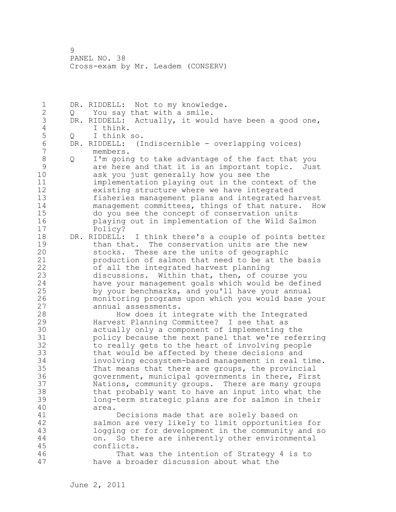1 DR. RIDDELL: Not to my knowledge. 2 Q You say that with a smile. 3 DR. RIDDELL: Actually, it would have been a good one, 4 I think.<br>5 Q I think 5 Q I think so.<br>6 DR. RIDDELL: (I 6 DR. RIDDELL: (Indiscernible - overlapping voices) members. 8 Q I'm going to take advantage of the fact that you<br>9 are here and that it is an important topic. Jus 9 are here and that it is an important topic. Just<br>10 ask you just generally how you see the ask you just generally how you see the 11 implementation playing out in the context of the 12 existing structure where we have integrated 13 fisheries management plans and integrated harvest 14 management committees, things of that nature. How 15 do you see the concept of conservation units 16 playing out in implementation of the Wild Salmon 17 Policy? 18 DR. RIDDELL: I think there's a couple of points better 19 than that. The conservation units are the new<br>20 stocks. These are the units of geographic stocks. These are the units of geographic 21 production of salmon that need to be at the basis 22 of all the integrated harvest planning 23 discussions. Within that, then, of course you 24 have your management goals which would be defined 25 by your benchmarks, and you'll have your annual 26 monitoring programs upon which you would base your annual assessments. 28 How does it integrate with the Integrated 29 Harvest Planning Committee? I see that as 30 actually only a component of implementing the<br>31 bolicy because the next panel that we're refe 31 bolicy because the next panel that we're referring<br>32 to really gets to the heart of involving people to really gets to the heart of involving people 33 that would be affected by these decisions and 34 involving ecosystem-based management in real time. 35 That means that there are groups, the provincial 36 government, municipal governments in there, First 37 Nations, community groups. There are many groups 38 that probably want to have an input into what the 39 long-term strategic plans are for salmon in their 40 area. 41 **Decisions made that are solely based on**<br>42 Salmon are very likely to limit opportunitie salmon are very likely to limit opportunities for 43 logging or for development in the community and so 44 on. So there are inherently other environmental 45 conflicts. 46 That was the intention of Strategy 4 is to 47 have a broader discussion about what the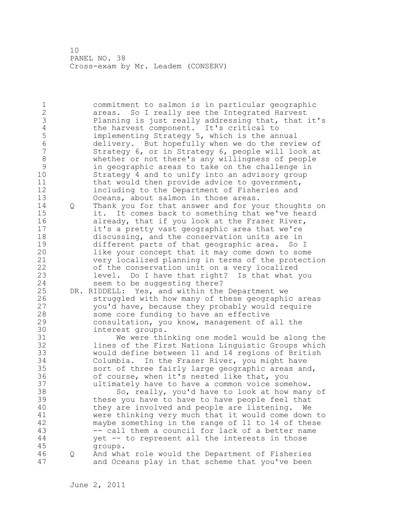1 commitment to salmon is in particular geographic 2 areas. So I really see the Integrated Harvest 3 Planning is just really addressing that, that it's<br>4 the harvest component. It's critical to 4 the harvest component. It's critical to<br>5 implementing Strategy 5, which is the and 5 implementing Strategy 5, which is the annual<br>6 delivery. But hopefully when we do the revi 6 delivery. But hopefully when we do the review of Strategy 6, or in Strategy 6, people will look at 8 whether or not there's any willingness of people 9 in geographic areas to take on the challenge in Strategy 4 and to unify into an advisory group 11 that would then provide advice to government, 12 including to the Department of Fisheries and 13 Oceans, about salmon in those areas. 14 Q Thank you for that answer and for your thoughts on 15 it. It comes back to something that we've heard 16 already, that if you look at the Fraser River, 17 it's a pretty vast geographic area that we're 18 discussing, and the conservation units are in 19 different parts of that geographic area. So I<br>20 like your concept that it may come down to som like your concept that it may come down to some 21 very localized planning in terms of the protection 22 of the conservation unit on a very localized 23 level. Do I have that right? Is that what you 24 seem to be suggesting there? 25 DR. RIDDELL: Yes, and within the Department we 26 struggled with how many of these geographic areas<br>27 vou'd have, because they probably would require you'd have, because they probably would require 28 some core funding to have an effective 29 consultation, you know, management of all the 30 interest groups.<br>31 We were thi 31 We were thinking one model would be along the<br>32 lines of the First Nations Linquistic Groups which lines of the First Nations Linguistic Groups which 33 would define between 11 and 14 regions of British 34 Columbia. In the Fraser River, you might have 35 sort of three fairly large geographic areas and, 36 of course, when it's nested like that, you 37 ultimately have to have a common voice somehow. 38 So, really, you'd have to look at how many of 39 these you have to have to have people feel that 40 they are involved and people are listening. We 41 were thinking very much that it would come down to<br>42 maybe something in the range of 11 to 14 of these maybe something in the range of 11 to 14 of these 43 -- call them a council for lack of a better name 44 yet -- to represent all the interests in those 45 groups. 46 Q And what role would the Department of Fisheries 47 and Oceans play in that scheme that you've been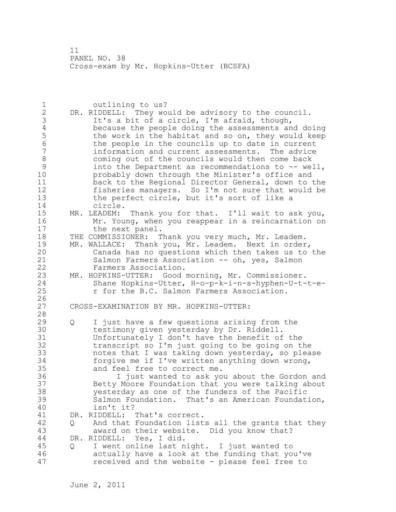11 PANEL NO. 38 Cross-exam by Mr. Hopkins-Utter (BCSFA)

| $\mathbf 1$     |   | outlining to us?                                                                                  |
|-----------------|---|---------------------------------------------------------------------------------------------------|
| $\overline{2}$  |   | DR. RIDDELL: They would be advisory to the council.                                               |
| 3               |   | It's a bit of a circle, I'm afraid, though,                                                       |
| $\sqrt{4}$      |   | because the people doing the assessments and doing                                                |
| 5               |   | the work in the habitat and so on, they would keep                                                |
| $6\phantom{.}6$ |   | the people in the councils up to date in current                                                  |
| $\overline{7}$  |   | information and current assessments. The advice                                                   |
| $\,8\,$         |   | coming out of the councils would then come back                                                   |
| 9               |   |                                                                                                   |
|                 |   | into the Department as recommendations to -- well,                                                |
| 10              |   | probably down through the Minister's office and                                                   |
| 11              |   | back to the Regional Director General, down to the                                                |
| 12              |   | fisheries managers. So I'm not sure that would be                                                 |
| 13              |   | the perfect circle, but it's sort of like a                                                       |
| 14              |   | circle.                                                                                           |
| 15              |   | Thank you for that. I'll wait to ask you,<br>MR. LEADEM:                                          |
| 16              |   | Mr. Young, when you reappear in a reincarnation on                                                |
| 17              |   | the next panel.                                                                                   |
| 18              |   | THE COMMISSIONER: Thank you very much, Mr. Leadem.                                                |
| 19              |   | MR. WALLACE: Thank you, Mr. Leadem. Next in order,                                                |
| 20              |   | Canada has no questions which then takes us to the                                                |
| 21              |   | Salmon Farmers Association -- oh, yes, Salmon                                                     |
| 22              |   | Farmers Association.                                                                              |
| 23              |   | MR. HOPKINS-UTTER: Good morning, Mr. Commissioner.                                                |
| 24              |   | Shane Hopkins-Utter, H-o-p-k-i-n-s-hyphen-U-t-t-e-                                                |
| 25              |   | r for the B.C. Salmon Farmers Association.                                                        |
| 26              |   |                                                                                                   |
| 27              |   | CROSS-EXAMINATION BY MR. HOPKINS-UTTER:                                                           |
| 28              |   |                                                                                                   |
| 29              |   | I just have a few questions arising from the                                                      |
| 30              | Q |                                                                                                   |
|                 |   | testimony given yesterday by Dr. Riddell.                                                         |
| 31              |   | Unfortunately I don't have the benefit of the                                                     |
| 32              |   | transcript so I'm just going to be going on the                                                   |
| 33              |   | notes that I was taking down yesterday, so please                                                 |
| 34              |   | forgive me if I've written anything down wrong,                                                   |
| 35              |   | and feel free to correct me.                                                                      |
| 36              |   | I just wanted to ask you about the Gordon and                                                     |
| 37              |   | Betty Moore Foundation that you were talking about                                                |
| 38              |   | yesterday as one of the funders of the Pacific                                                    |
| 39              |   | Salmon Foundation. That's an American Foundation,                                                 |
| 40              |   | isn't it?                                                                                         |
| 41              |   | DR. RIDDELL:<br>That's correct.                                                                   |
| 42              | Q | And that Foundation lists all the grants that they                                                |
| 43              |   | award on their website. Did you know that?                                                        |
| 44              |   | Yes, I did.<br>DR. RIDDELL:                                                                       |
| 45              |   |                                                                                                   |
|                 |   |                                                                                                   |
|                 | Q | I went online last night. I just wanted to                                                        |
| 46<br>47        |   | actually have a look at the funding that you've<br>received and the website - please feel free to |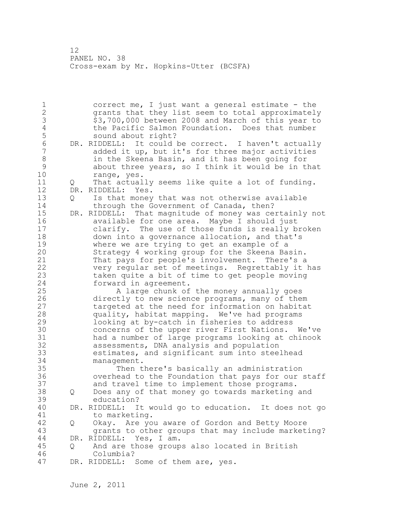12 PANEL NO. 38 Cross-exam by Mr. Hopkins-Utter (BCSFA)

1 correct me, I just want a general estimate - the 2 grants that they list seem to total approximately 3 \$3,700,000 between 2008 and March of this year to 4 the Pacific Salmon Foundation. Does that number<br>5 sound about right? 5 sound about right?<br>6 DR. RIDDELL: It could 6 DR. RIDDELL: It could be correct. I haven't actually added it up, but it's for three major activities 8 in the Skeena Basin, and it has been going for 9 about three years, so I think it would be in that range, yes. 11 Q That actually seems like quite a lot of funding. 12 DR. RIDDELL: Yes. 13 Q Is that money that was not otherwise available 14 through the Government of Canada, then? 15 DR. RIDDELL: That magnitude of money was certainly not 16 available for one area. Maybe I should just 17 clarify. The use of those funds is really broken 18 down into a governance allocation, and that's 19 where we are trying to get an example of a<br>20 Strategy 4 working group for the Skeena Ba Strategy 4 working group for the Skeena Basin. 21 That pays for people's involvement. There's a 22 very regular set of meetings. Regrettably it has 23 taken quite a bit of time to get people moving 24 forward in agreement. 25 A large chunk of the money annually goes 26 directly to new science programs, many of them<br>27 targeted at the need for information on habita targeted at the need for information on habitat 28 quality, habitat mapping. We've had programs 29 looking at by-catch in fisheries to address 30 concerns of the upper river First Nations. We've<br>31 had a number of large programs looking at chinook had a number of large programs looking at chinook 32 assessments, DNA analysis and population 33 estimates, and significant sum into steelhead 34 management. 35 Then there's basically an administration 36 overhead to the Foundation that pays for our staff 37 and travel time to implement those programs. 38 Q Does any of that money go towards marketing and 39 education? 40 DR. RIDDELL: It would go to education. It does not go 41 to marketing.<br>42 0 Okav. Are vo 42 Q Okay. Are you aware of Gordon and Betty Moore 43 grants to other groups that may include marketing? 44 DR. RIDDELL: Yes, I am. 45 Q And are those groups also located in British 46 Columbia? 47 DR. RIDDELL: Some of them are, yes.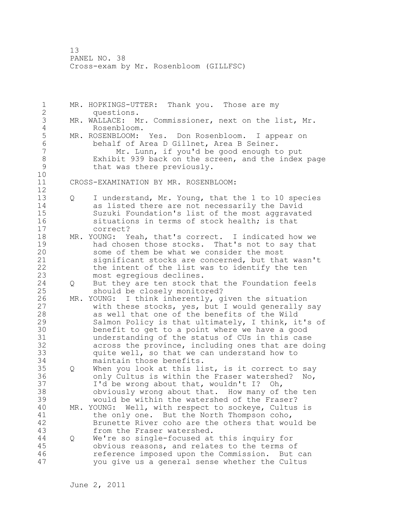1 MR. HOPKINGS-UTTER: Thank you. Those are my 2 questions. 3 MR. WALLACE: Mr. Commissioner, next on the list, Mr. 4 Rosenbloom.<br>5 MR. ROSENBLOOM: 5 MR. ROSENBLOOM: Yes. Don Rosenbloom. I appear on<br>6 behalf of Area D Gillnet, Area B Seiner. 6 behalf of Area D Gillnet, Area B Seiner. Mr. Lunn, if you'd be good enough to put 8 Exhibit 939 back on the screen, and the index page<br>9 that was there previously. that was there previously. 10 11 CROSS-EXAMINATION BY MR. ROSENBLOOM: 12 13 Q I understand, Mr. Young, that the 1 to 10 species 14 as listed there are not necessarily the David 15 Suzuki Foundation's list of the most aggravated 16 situations in terms of stock health; is that 17 correct? 18 MR. YOUNG: Yeah, that's correct. I indicated how we 19 had chosen those stocks. That's not to say that<br>20 some of them be what we consider the most some of them be what we consider the most 21 significant stocks are concerned, but that wasn't 22 the intent of the list was to identify the ten 23 most egregious declines. 24 Q But they are ten stock that the Foundation feels 25 should be closely monitored? 26 MR. YOUNG: I think inherently, given the situation<br>27 with these stocks, yes, but I would generally with these stocks, yes, but I would generally say 28 as well that one of the benefits of the Wild 29 Salmon Policy is that ultimately, I think, it's of 30 benefit to get to a point where we have a good<br>31 understanding of the status of CUs in this case understanding of the status of CUs in this case 32 across the province, including ones that are doing 33 quite well, so that we can understand how to 34 maintain those benefits. 35 Q When you look at this list, is it correct to say 36 only Cultus is within the Fraser watershed? No, 37 I'd be wrong about that, wouldn't I? Oh, 38 obviously wrong about that. How many of the ten 39 would be within the watershed of the Fraser? 40 MR. YOUNG: Well, with respect to sockeye, Cultus is 41 the only one. But the North Thompson coho,<br>42 Brunette River coho are the others that wou Brunette River coho are the others that would be 43 from the Fraser watershed. 44 Q We're so single-focused at this inquiry for 45 obvious reasons, and relates to the terms of 46 reference imposed upon the Commission. But can 47 you give us a general sense whether the Cultus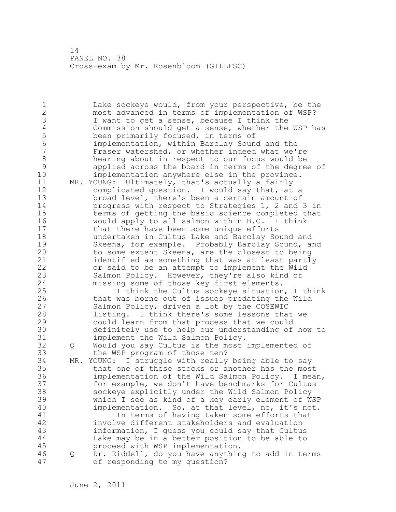1 Lake sockeye would, from your perspective, be the 2 most advanced in terms of implementation of WSP? 3 I want to get a sense, because I think the<br>4 Commission should get a sense, whether the 4 Commission should get a sense, whether the WSP has<br>5 been primarily focused, in terms of 5 been primarily focused, in terms of<br>6 implementation, within Barclav Soun 6 implementation, within Barclay Sound and the Fraser watershed, or whether indeed what we're 8 hearing about in respect to our focus would be 9 applied across the board in terms of the degree of<br>10 implementation anywhere else in the province. implementation anywhere else in the province. 11 MR. YOUNG: Ultimately, that's actually a fairly 12 complicated question. I would say that, at a 13 broad level, there's been a certain amount of 14 progress with respect to Strategies 1, 2 and 3 in 15 terms of getting the basic science completed that 16 would apply to all salmon within B.C. I think 17 that there have been some unique efforts 18 undertaken in Cultus Lake and Barclay Sound and 19 Skeena, for example. Probably Barclay Sound, and<br>20 to some extent Skeena, are the closest to being to some extent Skeena, are the closest to being 21 identified as something that was at least partly 22 or said to be an attempt to implement the Wild 23 Salmon Policy. However, they're also kind of 24 missing some of those key first elements. 25 I think the Cultus sockeye situation, I think 26 that was borne out of issues predating the Wild<br>27 Salmon Policy, driven a lot by the COSEWIC Salmon Policy, driven a lot by the COSEWIC 28 listing. I think there's some lessons that we 29 could learn from that process that we could 30 definitely use to help our understanding of how to implement the Wild Salmon Policy. 32 Q Would you say Cultus is the most implemented of 33 the WSP program of those ten? 34 MR. YOUNG: I struggle with really being able to say 35 that one of these stocks or another has the most 36 implementation of the Wild Salmon Policy. I mean, 37 for example, we don't have benchmarks for Cultus 38 sockeye explicitly under the Wild Salmon Policy 39 which I see as kind of a key early element of WSP 40 implementation. So, at that level, no, it's not. 41 In terms of having taken some efforts that<br>42 involve different stakeholders and evaluation involve different stakeholders and evaluation 43 information, I guess you could say that Cultus 44 Lake may be in a better position to be able to 45 proceed with WSP implementation. 46 Q Dr. Riddell, do you have anything to add in terms 47 of responding to my question?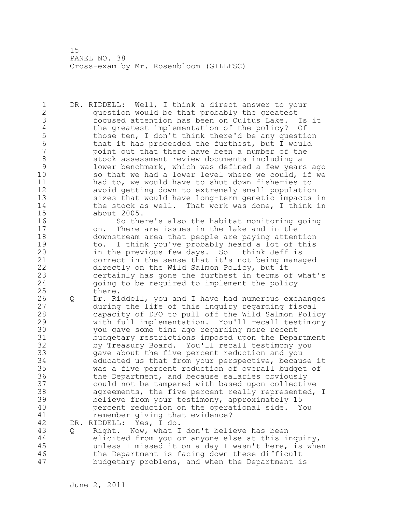1 DR. RIDDELL: Well, I think a direct answer to your 2 question would be that probably the greatest 3 focused attention has been on Cultus Lake. Is it 4 the greatest implementation of the policy? Of<br>5 those ten, I don't think there'd be any questi-5 those ten, I don't think there'd be any question<br>6 that it has proceeded the furthest, but I would 6 that it has proceeded the furthest, but I would<br>7 boint out that there have been a number of the point out that there have been a number of the 8 stock assessment review documents including a<br>9 10 lower benchmark, which was defined a few year 9 lower benchmark, which was defined a few years ago<br>10 so that we had a lower level where we could, if we so that we had a lower level where we could, if we 11 had to, we would have to shut down fisheries to 12 avoid getting down to extremely small population 13 sizes that would have long-term genetic impacts in 14 the stock as well. That work was done, I think in 15 about 2005. 16 So there's also the habitat monitoring going 17 on. There are issues in the lake and in the 18 downstream area that people are paying attention 19 to. I think you've probably heard a lot of this<br>20 in the previous few days. So I think Jeff is in the previous few days. So I think Jeff is 21 correct in the sense that it's not being managed 22 directly on the Wild Salmon Policy, but it 23 certainly has gone the furthest in terms of what's 24 going to be required to implement the policy 25 there. 26 Q Dr. Riddell, you and I have had numerous exchanges<br>27 during the life of this inquiry regarding fiscal during the life of this inquiry regarding fiscal 28 capacity of DFO to pull off the Wild Salmon Policy 29 with full implementation. You'll recall testimony 30 you gave some time ago regarding more recent budgetary restrictions imposed upon the Department 32 by Treasury Board. You'll recall testimony you 33 gave about the five percent reduction and you 34 educated us that from your perspective, because it 35 was a five percent reduction of overall budget of 36 the Department, and because salaries obviously 37 could not be tampered with based upon collective 38 agreements, the five percent really represented, I 39 believe from your testimony, approximately 15 40 percent reduction on the operational side. You 41 remember giving that evidence?<br>42 DR. RIDDELL: Yes, I do. DR. RIDDELL: Yes, I do. 43 Q Right. Now, what I don't believe has been

44 elicited from you or anyone else at this inquiry, 45 unless I missed it on a day I wasn't here, is when 46 the Department is facing down these difficult 47 budgetary problems, and when the Department is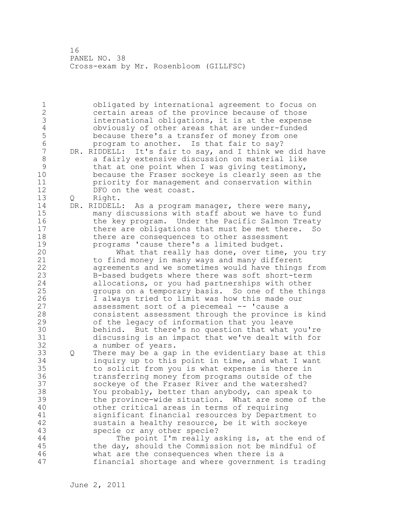1 obligated by international agreement to focus on 2 certain areas of the province because of those 3 international obligations, it is at the expense 4 obviously of other areas that are under-funded 5 because there's a transfer of money from one<br>6 because there is that fair to sav? 6 program to another. Is that fair to say?<br>7 DR. RIDDELL: It's fair to sav, and I think we DR. RIDDELL: It's fair to say, and I think we did have 8 a fairly extensive discussion on material like 9 that at one point when I was giving testimony,<br>10 because the Fraser sockeve is clearly seen as because the Fraser sockeye is clearly seen as the 11 priority for management and conservation within 12 DFO on the west coast. 13 Q Right. 14 DR. RIDDELL: As a program manager, there were many, 15 many discussions with staff about we have to fund 16 the key program. Under the Pacific Salmon Treaty 17 there are obligations that must be met there. So 18 there are consequences to other assessment 19 programs 'cause there's a limited budget.<br>20 What that really has done, over time What that really has done, over time, you try 21 to find money in many ways and many different 22 agreements and we sometimes would have things from 23 B-based budgets where there was soft short-term 24 allocations, or you had partnerships with other 25 groups on a temporary basis. So one of the things 26 1 always tried to limit was how this made our<br>27 assessment sort of a piecemeal -- 'cause a assessment sort of a piecemeal -- 'cause a 28 consistent assessment through the province is kind 29 of the legacy of information that you leave 30 behind. But there's no question that what you're<br>31 discussing is an impact that we've dealt with for discussing is an impact that we've dealt with for 32 a number of years. 33 Q There may be a gap in the evidentiary base at this 34 inquiry up to this point in time, and what I want 35 to solicit from you is what expense is there in 36 transferring money from programs outside of the 37 sockeye of the Fraser River and the watershed? 38 You probably, better than anybody, can speak to 39 the province-wide situation. What are some of the 40 other critical areas in terms of requiring 41 significant financial resources by Department to<br>42 sustain a healthy resource, be it with sockeye sustain a healthy resource, be it with sockeye 43 specie or any other specie? 44 The point I'm really asking is, at the end of 45 the day, should the Commission not be mindful of 46 what are the consequences when there is a 47 financial shortage and where government is trading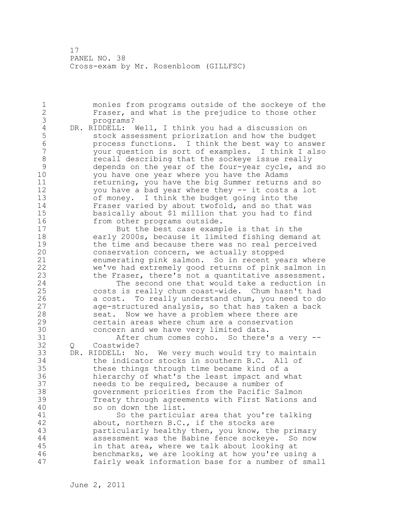1 monies from programs outside of the sockeye of the 2 Fraser, and what is the prejudice to those other 3 programs?<br>4 DR. RIDDELL: 4 DR. RIDDELL: Well, I think you had a discussion on<br>5 stock assessment priorization and how the budg 5 stock assessment priorization and how the budget 6 process functions. I think the best way to answer 7 your question is sort of examples. I think I also 8 recall describing that the sockeye issue really<br>9 depends on the year of the four-year cycle, and 9 depends on the year of the four-year cycle, and so<br>10 vou have one vear where you have the Adams you have one year where you have the Adams 11 returning, you have the big Summer returns and so 12 you have a bad year where they -- it costs a lot 13 of money. I think the budget going into the 14 Fraser varied by about twofold, and so that was 15 basically about \$1 million that you had to find 16 from other programs outside. 17 But the best case example is that in the 18 early 2000s, because it limited fishing demand at 19 the time and because there was no real perceived<br>20 conservation concern, we actually stopped conservation concern, we actually stopped 21 enumerating pink salmon. So in recent years where 22 we've had extremely good returns of pink salmon in 23 the Fraser, there's not a quantitative assessment. 24 The second one that would take a reduction in 25 costs is really chum coast-wide. Chum hasn't had 26 a cost. To really understand chum, you need to do<br>27 aqe-structured analysis, so that has taken a back age-structured analysis, so that has taken a back 28 seat. Now we have a problem where there are 29 certain areas where chum are a conservation 30 concern and we have very limited data.<br>31 after chum comes coho. So there' 31 After chum comes coho. So there's a very -- Q Coastwide? 33 DR. RIDDELL: No. We very much would try to maintain 34 the indicator stocks in southern B.C. All of 35 these things through time became kind of a 36 hierarchy of what's the least impact and what 37 needs to be required, because a number of 38 government priorities from the Pacific Salmon 39 Treaty through agreements with First Nations and 40 so on down the list. 41 So the particular area that you're talking<br>42 about, northern B.C., if the stocks are about, northern B.C., if the stocks are 43 particularly healthy then, you know, the primary 44 assessment was the Babine fence sockeye. So now 45 in that area, where we talk about looking at 46 benchmarks, we are looking at how you're using a 47 fairly weak information base for a number of small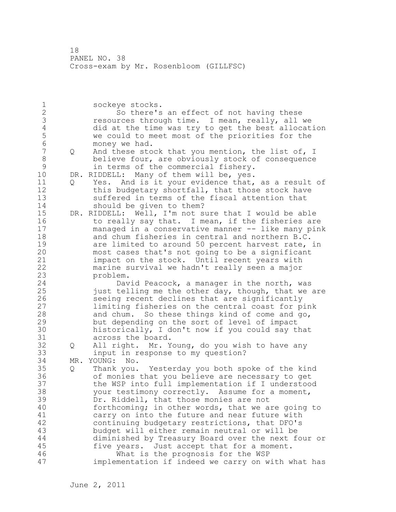1 sockeye stocks. 2 So there's an effect of not having these 3 resources through time. I mean, really, all we<br>4 did at the time was try to get the best allocat. 4 did at the time was try to get the best allocation<br>5 we could to meet most of the priorities for the 5 we could to meet most of the priorities for the<br>6 monev we had. 6 money we had.<br>7 0 And these sto Q And these stock that you mention, the list of, I 8 believe four, are obviously stock of consequence 9 in terms of the commercial fishery.<br>10 DR. RIDDELL: Many of them will be, yes. DR. RIDDELL: Many of them will be, yes. 11 Q Yes. And is it your evidence that, as a result of 12 this budgetary shortfall, that those stock have 13 suffered in terms of the fiscal attention that 14 should be given to them? 15 DR. RIDDELL: Well, I'm not sure that I would be able 16 to really say that. I mean, if the fisheries are 17 managed in a conservative manner -- like many pink 18 and chum fisheries in central and northern B.C. 19 are limited to around 50 percent harvest rate, in<br>20 most cases that's not going to be a significant most cases that's not going to be a significant 21 impact on the stock. Until recent years with 22 marine survival we hadn't really seen a major 23 problem. 24 David Peacock, a manager in the north, was 25 just telling me the other day, though, that we are 26 seeing recent declines that are significantly<br>27 1imiting fisheries on the central coast for p limiting fisheries on the central coast for pink 28 and chum. So these things kind of come and go, 29 but depending on the sort of level of impact 30 historically, I don't now if you could say that 31 across the board. 32 Q All right. Mr. Young, do you wish to have any 33 input in response to my question? 34 MR. YOUNG: No. 35 Q Thank you. Yesterday you both spoke of the kind 36 of monies that you believe are necessary to get 37 the WSP into full implementation if I understood 38 your testimony correctly. Assume for a moment, 39 Dr. Riddell, that those monies are not 40 forthcoming; in other words, that we are going to 41 carry on into the future and near future with<br>42 continuing budgetary restrictions, that DFO's continuing budgetary restrictions, that DFO's 43 budget will either remain neutral or will be 44 diminished by Treasury Board over the next four or 45 five years. Just accept that for a moment. 46 What is the prognosis for the WSP 47 implementation if indeed we carry on with what has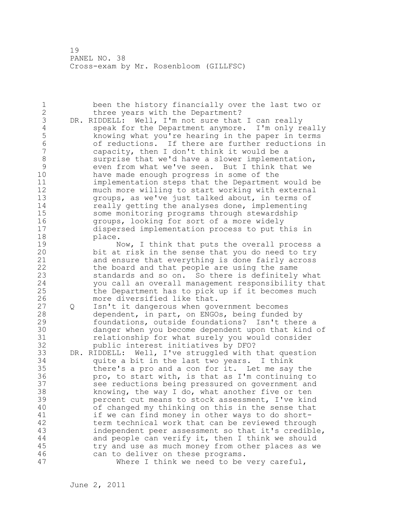1 been the history financially over the last two or 2 three years with the Department? 3 DR. RIDDELL: Well, I'm not sure that I can really<br>4 speak for the Department anymore. I'm only re 4 speak for the Department anymore. I'm only really<br>5 knowing what you're hearing in the paper in terms 5 knowing what you're hearing in the paper in terms 6 6 of reductions. If there are further reductions in<br>7 capacity, then I don't think it would be a capacity, then I don't think it would be a 8 surprise that we'd have a slower implementation,<br>9 even from what we've seen. But I think that we 9 even from what we've seen. But I think that we<br>10 have made enough progress in some of the have made enough progress in some of the 11 implementation steps that the Department would be 12 much more willing to start working with external 13 groups, as we've just talked about, in terms of 14 **really getting the analyses done, implementing** 15 some monitoring programs through stewardship 16 groups, looking for sort of a more widely 17 dispersed implementation process to put this in 18 place. 19 Now, I think that puts the overall process a<br>20 bit at risk in the sense that you do need to try bit at risk in the sense that you do need to try 21 and ensure that everything is done fairly across 22 the board and that people are using the same 23 standards and so on. So there is definitely what 24 you call an overall management responsibility that 25 the Department has to pick up if it becomes much 26 more diversified like that.<br>27 0 Isn't it dangerous when gov 27 Q Isn't it dangerous when government becomes 28 dependent, in part, on ENGOs, being funded by 29 foundations, outside foundations? Isn't there a 30 danger when you become dependent upon that kind of 31 relationship for what surely you would consider<br>32 bublic interest initiatives by DFO? public interest initiatives by DFO? 33 DR. RIDDELL: Well, I've struggled with that question 34 quite a bit in the last two years. I think 35 there's a pro and a con for it. Let me say the 36 pro, to start with, is that as I'm continuing to 37 see reductions being pressured on government and 38 knowing, the way I do, what another five or ten 39 percent cut means to stock assessment, I've kind 40 of changed my thinking on this in the sense that 41 if we can find money in other ways to do short-<br>42 term technical work that can be reviewed through term technical work that can be reviewed through 43 independent peer assessment so that it's credible, 44 and people can verify it, then I think we should 45 try and use as much money from other places as we 46 can to deliver on these programs. 47 Where I think we need to be very careful,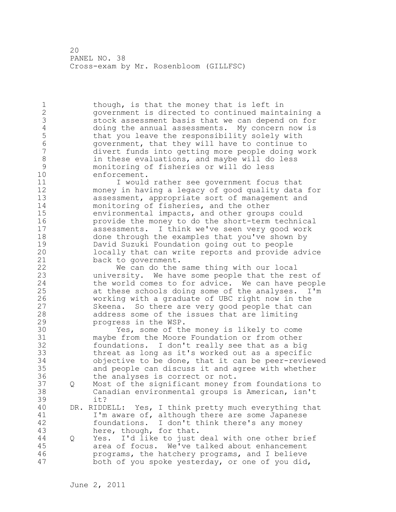1 though, is that the money that is left in 2 government is directed to continued maintaining a 3 stock assessment basis that we can depend on for 4 doing the annual assessments. My concern now is<br>5 that you leave the responsibility solely with 5 that you leave the responsibility solely with<br>6 (3) oovernment, that they will have to continue to 6 government, that they will have to continue to divert funds into getting more people doing work 8 in these evaluations, and maybe will do less<br>9 monitoring of fisheries or will do less 9 monitoring of fisheries or will do less enforcement. 11 I would rather see government focus that 12 money in having a legacy of good quality data for 13 assessment, appropriate sort of management and 14 monitoring of fisheries, and the other 15 environmental impacts, and other groups could 16 provide the money to do the short-term technical 17 assessments. I think we've seen very good work 18 done through the examples that you've shown by 19 David Suzuki Foundation going out to people<br>20 10 20 Docally that can write reports and provide locally that can write reports and provide advice 21 back to government. 22 We can do the same thing with our local 23 university. We have some people that the rest of 24 the world comes to for advice. We can have people 25 at these schools doing some of the analyses. I'm 26 working with a graduate of UBC right now in the<br>27 Skeena. So there are very good people that can Skeena. So there are very good people that can 28 address some of the issues that are limiting 29 progress in the WSP. 30 Yes, some of the money is likely to come<br>31 maybe from the Moore Foundation or from other maybe from the Moore Foundation or from other 32 foundations. I don't really see that as a big 33 threat as long as it's worked out as a specific 34 objective to be done, that it can be peer-reviewed 35 and people can discuss it and agree with whether 36 the analyses is correct or not. 37 Q Most of the significant money from foundations to 38 Canadian environmental groups is American, isn't 39 it? 40 DR. RIDDELL: Yes, I think pretty much everything that 41 I'm aware of, although there are some Japanese<br>42 foundations. I don't think there's any money foundations. I don't think there's any money 43 here, though, for that. 44 Q Yes. I'd like to just deal with one other brief 45 area of focus. We've talked about enhancement 46 programs, the hatchery programs, and I believe 47 both of you spoke yesterday, or one of you did,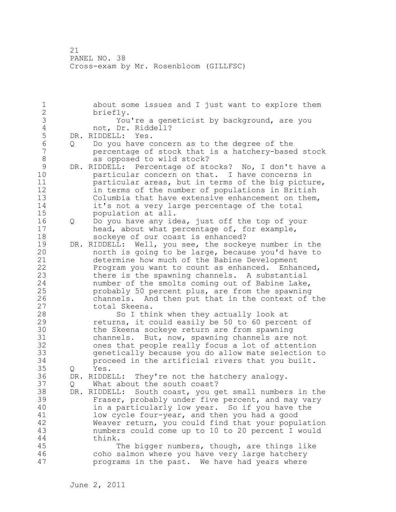1 about some issues and I just want to explore them 2 briefly. 3 You're a geneticist by background, are you<br>4 mot. Dr. Riddell? 4 not, Dr. Riddell?<br>5 DR. RIDDELL: Yes. 5 DR. RIDDELL: Yes.<br>6 0 Do you have c 6 Q Do you have concern as to the degree of the 7 percentage of stock that is a hatchery-based stock 8 as opposed to wild stock?<br>9 DR. RIDDELL: Percentage of st 9 DR. RIDDELL: Percentage of stocks? No, I don't have a<br>10 barticular concern on that. I have concerns in particular concern on that. I have concerns in 11 particular areas, but in terms of the big picture, 12 in terms of the number of populations in British 13 Columbia that have extensive enhancement on them, 14 it's not a very large percentage of the total 15 population at all. 16 Q Do you have any idea, just off the top of your 17 head, about what percentage of, for example, 18 sockeye of our coast is enhanced? 19 DR. RIDDELL: Well, you see, the sockeye number in the north is going to be large, because you'd have to 21 determine how much of the Babine Development 22 Program you want to count as enhanced. Enhanced, 23 there is the spawning channels. A substantial 24 number of the smolts coming out of Babine Lake, 25 probably 50 percent plus, are from the spawning 26 channels. And then put that in the context of the total Skeena. 28 So I think when they actually look at 29 returns, it could easily be 50 to 60 percent of 30 the Skeena sockeye return are from spawning<br>31 channels. But, now, spawning channels are channels. But, now, spawning channels are not 32 ones that people really focus a lot of attention 33 genetically because you do allow mate selection to 34 proceed in the artificial rivers that you built. 35 Q Yes. 36 DR. RIDDELL: They're not the hatchery analogy. 37 Q What about the south coast? 38 DR. RIDDELL: South coast, you get small numbers in the 39 Fraser, probably under five percent, and may vary 40 in a particularly low year. So if you have the 41 low cycle four-year, and then you had a good<br>42 Weaver return, you could find that your popul Weaver return, you could find that your population 43 numbers could come up to 10 to 20 percent I would 44 think. 45 The bigger numbers, though, are things like 46 coho salmon where you have very large hatchery 47 programs in the past. We have had years where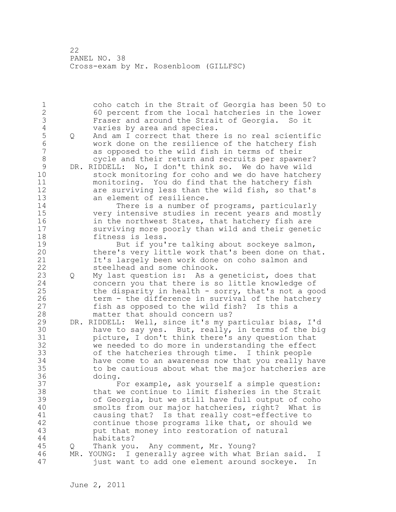1 coho catch in the Strait of Georgia has been 50 to 2 60 percent from the local hatcheries in the lower 3 Fraser and around the Strait of Georgia. So it<br>4 varies by area and species. 4 varies by area and species.<br>5 0 And am I correct that there 5 Q And am I correct that there is no real scientific 6 work done on the resilience of the hatchery fish as opposed to the wild fish in terms of their 8 cycle and their return and recruits per spawner? 9 DR. RIDDELL: No, I don't think so. We do have wild<br>10 stock monitoring for coho and we do have hatche stock monitoring for coho and we do have hatchery 11 monitoring. You do find that the hatchery fish 12 are surviving less than the wild fish, so that's 13 an element of resilience. 14 There is a number of programs, particularly 15 very intensive studies in recent years and mostly 16 **in the northwest States, that hatchery fish are** 17 surviving more poorly than wild and their genetic 18 fitness is less. 19 But if you're talking about sockeye salmon,<br>20 there's very little work that's been done on tha there's very little work that's been done on that. 21 It's largely been work done on coho salmon and 22 steelhead and some chinook. 23 Q My last question is: As a geneticist, does that 24 concern you that there is so little knowledge of 25 the disparity in health - sorry, that's not a good 26 term - the difference in survival of the hatchery<br>27 fish as opposed to the wild fish? Is this a fish as opposed to the wild fish? Is this a 28 matter that should concern us? 29 DR. RIDDELL: Well, since it's my particular bias, I'd 30 have to say yes. But, really, in terms of the big<br>31 bicture, I don't think there's any question that picture, I don't think there's any question that 32 we needed to do more in understanding the effect 33 of the hatcheries through time. I think people 34 have come to an awareness now that you really have 35 to be cautious about what the major hatcheries are 36 doing. 37 For example, ask yourself a simple question: 38 that we continue to limit fisheries in the Strait 39 of Georgia, but we still have full output of coho 40 smolts from our major hatcheries, right? What is 41 causing that? Is that really cost-effective to<br>42 continue those programs like that, or should we continue those programs like that, or should we 43 put that money into restoration of natural 44 habitats? 45 Q Thank you. Any comment, Mr. Young? 46 MR. YOUNG: I generally agree with what Brian said. I 47 just want to add one element around sockeye. In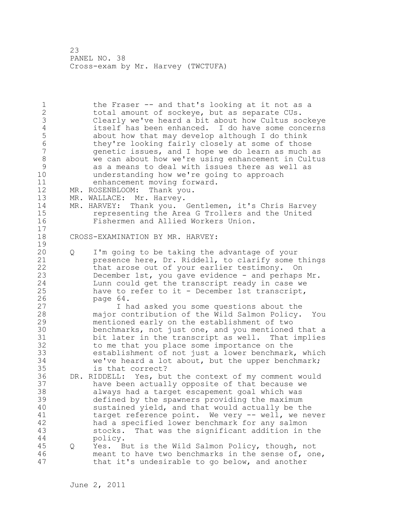1 the Fraser -- and that's looking at it not as a 2 total amount of sockeye, but as separate CUs. 3 Clearly we've heard a bit about how Cultus sockeye 4 itself has been enhanced. I do have some concerns 5 about how that may develop although I do think<br>6 thev're looking fairly closely at some of those 6 they're looking fairly closely at some of those<br>7 oenetic issues, and I hope we do learn as much 7 genetic issues, and I hope we do learn as much as 8 we can about how we're using enhancement in Cultus 9 as a means to deal with issues there as well as<br>10 anderstanding how we're going to approach understanding how we're going to approach 11 enhancement moving forward. 12 MR. ROSENBLOOM: Thank you. 13 MR. WALLACE: Mr. Harvey. 14 MR. HARVEY: Thank you. Gentlemen, it's Chris Harvey 15 representing the Area G Trollers and the United<br>16 Fishermen and Allied Workers Union. Fishermen and Allied Workers Union. 17 18 CROSS-EXAMINATION BY MR. HARVEY:  $\frac{19}{20}$ 20 Q I'm going to be taking the advantage of your 21 presence here, Dr. Riddell, to clarify some things 22 that arose out of your earlier testimony. On 23 December 1st, you gave evidence - and perhaps Mr. 24 Lunn could get the transcript ready in case we 25 have to refer to it - December 1st transcript, 26 page 64.<br>27 I h I had asked you some questions about the 28 major contribution of the Wild Salmon Policy. You 29 mentioned early on the establishment of two 30 benchmarks, not just one, and you mentioned that a<br>31 bit later in the transcript as well. That implies bit later in the transcript as well. That implies 32 to me that you place some importance on the 33 establishment of not just a lower benchmark, which 34 we've heard a lot about, but the upper benchmark; 35 is that correct? 36 DR. RIDDELL: Yes, but the context of my comment would 37 have been actually opposite of that because we 38 always had a target escapement goal which was 39 defined by the spawners providing the maximum 40 sustained yield, and that would actually be the 41 target reference point. We very -- well, we never<br>42 had a specified lower benchmark for any salmon had a specified lower benchmark for any salmon 43 stocks. That was the significant addition in the 44 policy. 45 Q Yes. But is the Wild Salmon Policy, though, not 46 meant to have two benchmarks in the sense of, one, 47 that it's undesirable to go below, and another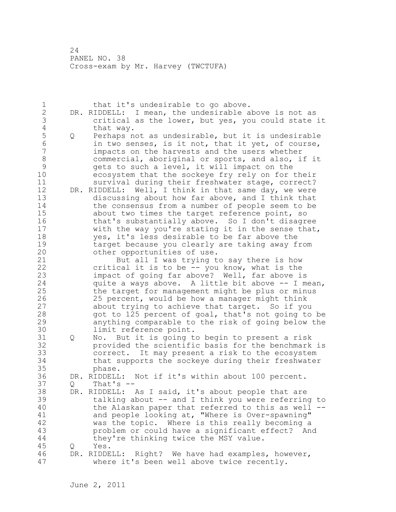1 that it's undesirable to go above. 2 DR. RIDDELL: I mean, the undesirable above is not as 3 critical as the lower, but yes, you could state it 4 that way.<br>5 Q Perhaps n 5 Q Perhaps not as undesirable, but it is undesirable<br>6 in two senses, is it not, that it yet, of course, 6 in two senses, is it not, that it yet, of course,<br>7 impacts on the harvests and the users whether impacts on the harvests and the users whether 8 commercial, aboriginal or sports, and also, if it<br>9 oets to such a level, it will impact on the 9 gets to such a level, it will impact on the<br>10 ecosystem that the sockeve fry rely on for ecosystem that the sockeye fry rely on for their 11 survival during their freshwater stage, correct? 12 DR. RIDDELL: Well, I think in that same day, we were 13 discussing about how far above, and I think that 14 the consensus from a number of people seem to be 15 about two times the target reference point, so 16 that's substantially above. So I don't disagree 17 with the way you're stating it in the sense that, 18 yes, it's less desirable to be far above the 19 target because you clearly are taking away from<br>20 other opportunities of use. other opportunities of use. 21 But all I was trying to say there is how 22 critical it is to be -- you know, what is the 23 impact of going far above? Well, far above is 24 quite a ways above. A little bit above -- I mean, 25 the target for management might be plus or minus 26 25 percent, would be how a manager might think<br>27 about trying to achieve that target. So if yo about trying to achieve that target. So if you 28 got to 125 percent of goal, that's not going to be 29 anything comparable to the risk of going below the 30 limit reference point. 31 Q No. But it is going to begin to present a risk 32 provided the scientific basis for the benchmark is 33 correct. It may present a risk to the ecosystem 34 that supports the sockeye during their freshwater 35 phase. 36 DR. RIDDELL: Not if it's within about 100 percent. 37 Q That's -- 38 DR. RIDDELL: As I said, it's about people that are 39 talking about -- and I think you were referring to 40 the Alaskan paper that referred to this as well -- 41 and people looking at, "Where is Over-spawning"<br>42 was the topic. Where is this really becoming a was the topic. Where is this really becoming a 43 problem or could have a significant effect? And 44 they're thinking twice the MSY value. 45 Q Yes. 46 DR. RIDDELL: Right? We have had examples, however, 47 where it's been well above twice recently.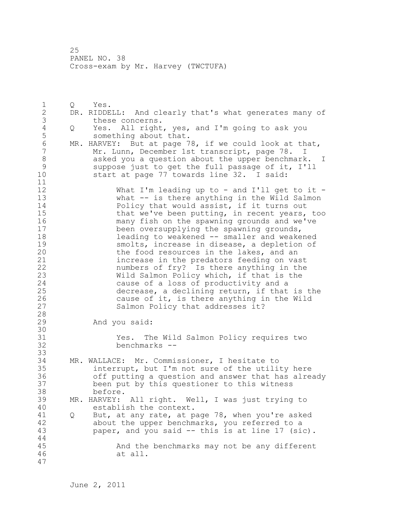1 Q Yes. 2 DR. RIDDELL: And clearly that's what generates many of 3 these concerns.<br>4 0 Yes. All right 4 Q Yes. All right, yes, and I'm going to ask you something about that. 6 MR. HARVEY: But at page 78, if we could look at that,<br>7 Mr. Lunn, December 1st transcript, page 78. I Mr. Lunn, December 1st transcript, page 78. 8 asked you a question about the upper benchmark. I 9 suppose just to get the full passage of it, I'll start at page 77 towards line 32. I said: 11 12 What I'm leading up to - and I'll get to it -<br>13 What -- is there anything in the Wild Salmon what  $-$  is there anything in the Wild Salmon 14 Policy that would assist, if it turns out 15 that we've been putting, in recent years, too 16 many fish on the spawning grounds and we've 17 been oversupplying the spawning grounds, 18 leading to weakened -- smaller and weakened 19 smolts, increase in disease, a depletion of<br>20 the food resources in the lakes, and an the food resources in the lakes, and an 21 increase in the predators feeding on vast 22 numbers of fry? Is there anything in the 23 Wild Salmon Policy which, if that is the 24 cause of a loss of productivity and a 25 decrease, a declining return, if that is the 26 cause of it, is there anything in the Wild<br>27 Salmon Policy that addresses it? Salmon Policy that addresses it? 28 29 And you said: 30<br>31 31 Yes. The Wild Salmon Policy requires two<br>32 benchmarks -benchmarks --33 34 MR. WALLACE: Mr. Commissioner, I hesitate to 35 interrupt, but I'm not sure of the utility here 36 off putting a question and answer that has already 37 been put by this questioner to this witness 38 before. 39 MR. HARVEY: All right. Well, I was just trying to 40 establish the context. 41 Q But, at any rate, at page 78, when you're asked<br>42 about the upper benchmarks, you referred to a about the upper benchmarks, you referred to a 43 paper, and you said -- this is at line 17 (sic). 44 45 And the benchmarks may not be any different 46 at all. 47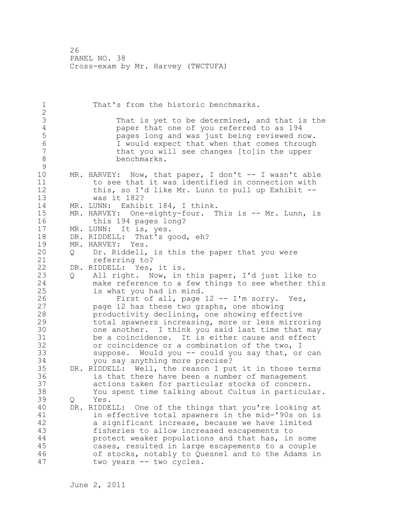1 That's from the historic benchmarks. 2 3 That is yet to be determined, and that is the<br>4 paper that one of you referred to as 194 4 paper that one of you referred to as 194<br>5 pages long and was just being reviewed n 5 **12** pages long and was just being reviewed now.<br>6 1 would expect that when that comes through 6 I would expect that when that comes through that you will see changes [to]in the upper 8 benchmarks.  $\begin{array}{c} 9 \\ 10 \end{array}$  $MR.$  HARVEY: Now, that paper, I don't  $--$  I wasn't able 11 to see that it was identified in connection with 12 this, so I'd like Mr. Lunn to pull up Exhibit -- 13 was it 182? 14 MR. LUNN: Exhibit 184, I think. 15 MR. HARVEY: One-eighty-four. This is -- Mr. Lunn, is 16 this 194 pages long? 17 MR. LUNN: It is, yes. 18 DR. RIDDELL: That's good, eh? 19 MR. HARVEY: Yes.<br>20 0 Dr. Riddell, 20 Q Dr. Riddell, is this the paper that you were 21 referring to? 22 DR. RIDDELL: Yes, it is. 23 Q All right. Now, in this paper, I'd just like to 24 make reference to a few things to see whether this 25 is what you had in mind. 26 First of all, page 12 -- I'm sorry. Yes,<br>27 page 12 has these two graphs, one showing page 12 has these two graphs, one showing 28 productivity declining, one showing effective 29 total spawners increasing, more or less mirroring 30 one another. I think you said last time that may<br>31 be a coincidence. It is either cause and effect 31 be a coincidence. It is either cause and effect<br>32 or coincidence or a combination of the two. I or coincidence or a combination of the two, I 33 suppose. Would you -- could you say that, or can 34 you say anything more precise? 35 DR. RIDDELL: Well, the reason I put it in those terms 36 is that there have been a number of management 37 actions taken for particular stocks of concern. 38 You spent time talking about Cultus in particular. 39 Q Yes. 40 DR. RIDDELL: One of the things that you're looking at 41 in effective total spawners in the mid-'90s on is<br>42 a significant increase, because we have limited a significant increase, because we have limited 43 fisheries to allow increased escapements to 44 protect weaker populations and that has, in some 45 cases, resulted in large escapements to a couple 46 of stocks, notably to Quesnel and to the Adams in 47 two years -- two cycles.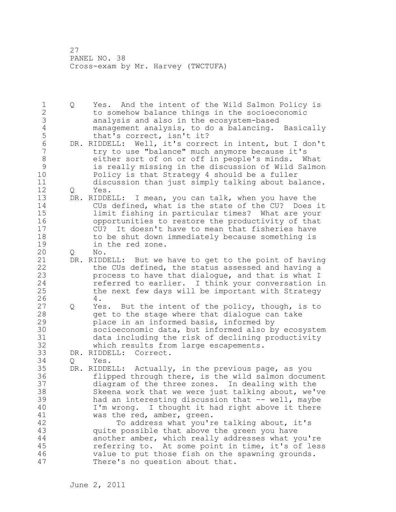1 Q Yes. And the intent of the Wild Salmon Policy is 2 to somehow balance things in the socioeconomic 3 analysis and also in the ecosystem-based<br>4 management analysis, to do a balancing. 4 management analysis, to do a balancing. Basically 5 that's correct, isn't it?<br>6 DR. RIDDELL: Well, it's corre 6 DR. RIDDELL: Well, it's correct in intent, but I don't<br>7 try to use "balance" much anymore because it's try to use "balance" much anymore because it's 8 either sort of on or off in people's minds. What 9 is really missing in the discussion of Wild Salmon Policy is that Strategy 4 should be a fuller 11 discussion than just simply talking about balance. 12 Q Yes. 13 DR. RIDDELL: I mean, you can talk, when you have the 14 CUs defined, what is the state of the CU? Does it 15 limit fishing in particular times? What are your 16 opportunities to restore the productivity of that 17 CU? It doesn't have to mean that fisheries have 18 to be shut down immediately because something is 19 in the red zone.<br>20 0 No. 20 Q No. 21 DR. RIDDELL: But we have to get to the point of having 22 the CUs defined, the status assessed and having a 23 process to have that dialogue, and that is what I 24 referred to earlier. I think your conversation in 25 the next few days will be important with Strategy 26 4.<br>27 Q Ye 27 Q Yes. But the intent of the policy, though, is to 28 get to the stage where that dialogue can take 29 place in an informed basis, informed by 30 socioeconomic data, but informed also by ecosystem 31 data including the risk of declining productivity which results from large escapements. 33 DR. RIDDELL: Correct. 34 Q Yes. 35 DR. RIDDELL: Actually, in the previous page, as you 36 flipped through there, is the wild salmon document 37 diagram of the three zones. In dealing with the 38 Skeena work that we were just talking about, we've 39 had an interesting discussion that -- well, maybe 40 I'm wrong. I thought it had right above it there 41 was the red, amber, green.<br>42 To address what you'r To address what you're talking about, it's 43 quite possible that above the green you have 44 another amber, which really addresses what you're 45 referring to. At some point in time, it's of less 46 value to put those fish on the spawning grounds. 47 There's no question about that.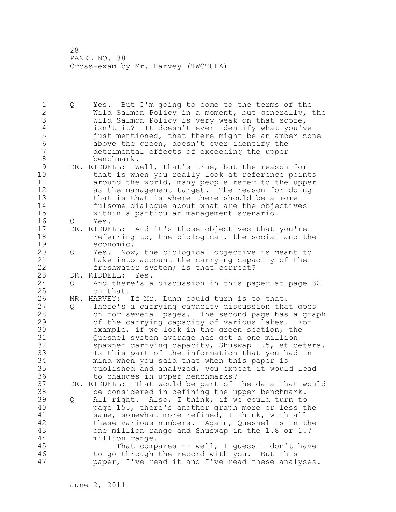1 Q Yes. But I'm going to come to the terms of the 2 Wild Salmon Policy in a moment, but generally, the 3 Wild Salmon Policy is very weak on that score,<br>4 isn't it? It doesn't ever identify what you'v 4 isn't it? It doesn't ever identify what you've<br>5 iust mentioned, that there might be an amber zo 5 just mentioned, that there might be an amber zone<br>6 above the green, doesn't ever identify the 6 above the green, doesn't ever identify the detrimental effects of exceeding the upper 8 benchmark. 9 DR. RIDDELL: Well, that's true, but the reason for<br>10 that is when you really look at reference poin that is when you really look at reference points 11 around the world, many people refer to the upper 12 as the management target. The reason for doing 13 that is that is where there should be a more 14 fulsome dialogue about what are the objectives 15 within a particular management scenario. 16 Q Yes. 17 DR. RIDDELL: And it's those objectives that you're 18 **referring to, the biological, the social and the** 19 economic.<br>20 Q Yes. Now 20 Q Yes. Now, the biological objective is meant to 21 take into account the carrying capacity of the 22 freshwater system; is that correct? 23 DR. RIDDELL: Yes. 24 Q And there's a discussion in this paper at page 32 25 on that. 26 MR. HARVEY: If Mr. Lunn could turn is to that.<br>27 0 There's a carrying capacity discussion tha 27 Q There's a carrying capacity discussion that goes 28 on for several pages. The second page has a graph 29 of the carrying capacity of various lakes. For 30 example, if we look in the green section, the<br>31 Ouesnel system average has got a one million Quesnel system average has got a one million 32 spawner carrying capacity, Shuswap 1.5, et cetera. 33 Is this part of the information that you had in 34 mind when you said that when this paper is 35 published and analyzed, you expect it would lead 36 to changes in upper benchmarks? 37 DR. RIDDELL: That would be part of the data that would 38 be considered in defining the upper benchmark. 39 Q All right. Also, I think, if we could turn to 40 page 155, there's another graph more or less the 41 same, somewhat more refined, I think, with all<br>42 these various numbers. Again, Quesnel is in the these various numbers. Again, Quesnel is in the 43 one million range and Shuswap in the 1.8 or 1.7 44 million range. 45 That compares -- well, I guess I don't have 46 to go through the record with you. But this 47 paper, I've read it and I've read these analyses.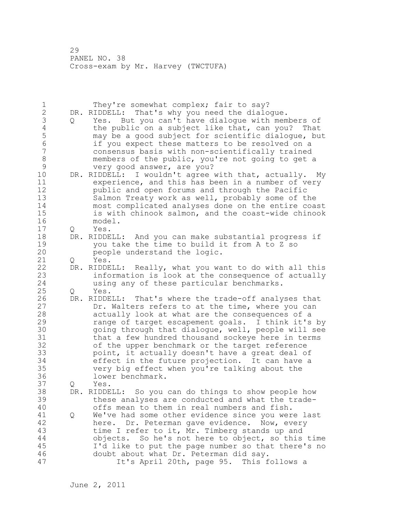| 1<br>$\mathbf{2}$<br>3<br>$\overline{4}$<br>5<br>6<br>$\overline{7}$<br>8 | Q | They're somewhat complex; fair to say?<br>That's why you need the dialogue.<br>DR. RIDDELL:<br>Yes. But you can't have dialogue with members of<br>the public on a subject like that, can you? That<br>may be a good subject for scientific dialogue, but<br>if you expect these matters to be resolved on a<br>consensus basis with non-scientifically trained<br>members of the public, you're not going to get a                                                                                                                                      |
|---------------------------------------------------------------------------|---|----------------------------------------------------------------------------------------------------------------------------------------------------------------------------------------------------------------------------------------------------------------------------------------------------------------------------------------------------------------------------------------------------------------------------------------------------------------------------------------------------------------------------------------------------------|
| $\mathsf 9$<br>10<br>11<br>12<br>13<br>14<br>15<br>16                     |   | very good answer, are you?<br>DR. RIDDELL: I wouldn't agree with that, actually.<br>My<br>experience, and this has been in a number of very<br>public and open forums and through the Pacific<br>Salmon Treaty work as well, probably some of the<br>most complicated analyses done on the entire coast<br>is with chinook salmon, and the coast-wide chinook<br>model.                                                                                                                                                                                  |
| 17<br>18<br>19<br>20                                                      | Q | Yes.<br>DR. RIDDELL: And you can make substantial progress if<br>you take the time to build it from A to Z so<br>people understand the logic.                                                                                                                                                                                                                                                                                                                                                                                                            |
| 21                                                                        | Q | Yes.                                                                                                                                                                                                                                                                                                                                                                                                                                                                                                                                                     |
| 22<br>23<br>24                                                            |   | DR. RIDDELL: Really, what you want to do with all this<br>information is look at the consequence of actually<br>using any of these particular benchmarks.                                                                                                                                                                                                                                                                                                                                                                                                |
| 25                                                                        | Q | Yes.                                                                                                                                                                                                                                                                                                                                                                                                                                                                                                                                                     |
| 26<br>27<br>28<br>29<br>30<br>31<br>32<br>33<br>34<br>35<br>36            |   | DR. RIDDELL: That's where the trade-off analyses that<br>Dr. Walters refers to at the time, where you can<br>actually look at what are the consequences of a<br>range of target escapement goals. I think it's by<br>going through that dialogue, well, people will see<br>that a few hundred thousand sockeye here in terms<br>of the upper benchmark or the target reference<br>point, it actually doesn't have a great deal of<br>effect in the future projection. It can have a<br>very big effect when you're talking about the<br>lower benchmark. |
| 37<br>38<br>39<br>40                                                      | Q | Yes.<br>So you can do things to show people how<br>DR. RIDDELL:<br>these analyses are conducted and what the trade-<br>offs mean to them in real numbers and fish.                                                                                                                                                                                                                                                                                                                                                                                       |
| 41<br>42<br>43<br>44<br>45<br>46<br>47                                    | Q | We've had some other evidence since you were last<br>here. Dr. Peterman gave evidence. Now, every<br>time I refer to it, Mr. Timberg stands up and<br>objects. So he's not here to object, so this time<br>I'd like to put the page number so that there's no<br>doubt about what Dr. Peterman did say.<br>It's April 20th, page 95. This follows a                                                                                                                                                                                                      |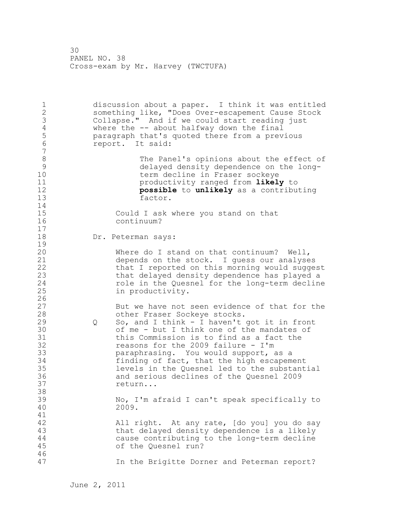1 discussion about a paper. I think it was entitled 2 something like, "Does Over-escapement Cause Stock 3 Collapse." And if we could start reading just<br>4 where the -- about halfway down the final 4 where the -- about halfway down the final<br>5 paragraph that's quoted there from a prev 5 paragraph that's quoted there from a previous 6 report. It said: 7 8 The Panel's opinions about the effect of<br>9 delayed density dependence on the long-9 delayed density dependence on the longterm decline in Fraser sockeye 11 productivity ranged from **likely** to 12 **possible** to **unlikely** as a contributing factor.  $\frac{14}{15}$ 15 Could I ask where you stand on that<br>16 continuum? continuum? 17 18 Dr. Peterman says:  $\frac{19}{20}$ Where do I stand on that continuum? Well, 21 depends on the stock. I guess our analyses 22 that I reported on this morning would suggest 23 that delayed density dependence has played a 24 role in the Quesnel for the long-term decline 25 in productivity.  $\frac{26}{27}$ 27 But we have not seen evidence of that for the<br>28 other Fraser Sockeve stocks. other Fraser Sockeye stocks. 29 Q So, and I think - I haven't got it in front 30 of me - but I think one of the mandates of<br>31 this Commission is to find as a fact the 31 this Commission is to find as a fact the<br>32 feasons for the 2009 failure - I'm reasons for the 2009 failure - I'm 33 paraphrasing. You would support, as a 34 finding of fact, that the high escapement 35 levels in the Quesnel led to the substantial 36 and serious declines of the Quesnel 2009 37 return... 38 39 No, I'm afraid I can't speak specifically to 40 2009. 41<br>42 All right. At any rate, [do you] you do say 43 that delayed density dependence is a likely 44 cause contributing to the long-term decline 45 of the Quesnel run? 46 47 In the Brigitte Dorner and Peterman report?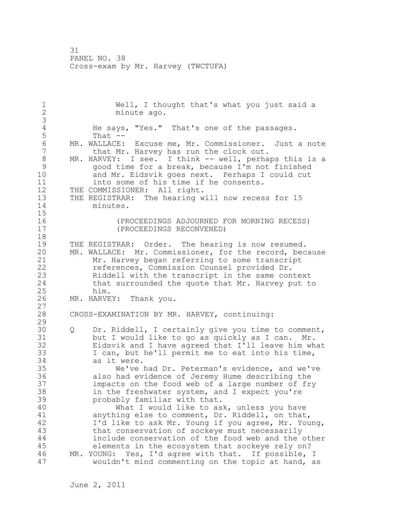1 Well, I thought that's what you just said a<br>2 minute ago. minute ago. 3 4 He says, "Yes." That's one of the passages.<br>5 That --That  $-$ 6 MR. WALLACE: Excuse me, Mr. Commissioner. Just a note<br>7 that Mr. Harvey has run the clock out. that Mr. Harvey has run the clock out. 8 MR. HARVEY: I see. I think -- well, perhaps this is a<br>9 aood time for a break, because I'm not finished 9 good time for a break, because I'm not finished<br>10 and Mr. Eidsvik goes next. Perhaps I could cut and Mr. Eidsvik goes next. Perhaps I could cut 11 into some of his time if he consents. 12 THE COMMISSIONER: All right. 13 THE REGISTRAR: The hearing will now recess for 15 14 minutes. 15 16 (PROCEEDINGS ADJOURNED FOR MORNING RECESS) 17 (PROCEEDINGS RECONVENED) 18 19 THE REGISTRAR: Order. The hearing is now resumed.<br>20 MR. WALLACE: Mr. Commissioner, for the record, bec MR. WALLACE: Mr. Commissioner, for the record, because 21 Mr. Harvey began referring to some transcript 22 references, Commission Counsel provided Dr. 23 Riddell with the transcript in the same context 24 that surrounded the quote that Mr. Harvey put to 25 him. 26 MR. HARVEY: Thank you. 27 28 CROSS-EXAMINATION BY MR. HARVEY, continuing: 29 30 Q Dr. Riddell, I certainly give you time to comment,<br>31 but I would like to go as quickly as I can. Mr. but I would like to go as quickly as I can. Mr. 32 Eidsvik and I have agreed that I'll leave him what 33 I can, but he'll permit me to eat into his time, 34 as it were. 35 We've had Dr. Peterman's evidence, and we've 36 also had evidence of Jeremy Hume describing the 37 impacts on the food web of a large number of fry 38 in the freshwater system, and I expect you're 39 probably familiar with that. 40 What I would like to ask, unless you have 41 anything else to comment, Dr. Riddell, on that,<br>42 1'd like to ask Mr. Young if you agree, Mr. You I'd like to ask Mr. Young if you agree, Mr. Young, 43 that conservation of sockeye must necessarily 44 include conservation of the food web and the other 45 elements in the ecosystem that sockeye rely on? 46 MR. YOUNG: Yes, I'd agree with that. If possible, I 47 wouldn't mind commenting on the topic at hand, as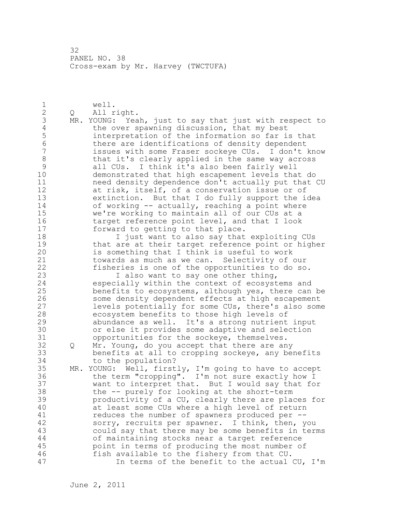1 well.<br>2 0 All r 2 Q All right. 3 MR. YOUNG: Yeah, just to say that just with respect to<br>4 the over spawning discussion, that my best 4 the over spawning discussion, that my best<br>5 interpretation of the information so far is 5 interpretation of the information so far is that<br>6 there are identifications of density dependent 6 there are identifications of density dependent<br>7 issues with some Fraser sockeve CUs. I don't issues with some Fraser sockeye CUs. I don't know 8 that it's clearly applied in the same way across 9 all CUs. I think it's also been fairly well demonstrated that high escapement levels that do 11 need density dependence don't actually put that CU 12 at risk, itself, of a conservation issue or of 13 extinction. But that I do fully support the idea 14 of working -- actually, reaching a point where 15 we're working to maintain all of our CUs at a 16 target reference point level, and that I look 17 forward to getting to that place. 18 I just want to also say that exploiting CUs 19 that are at their target reference point or higher<br>20 is something that I think is useful to work is something that I think is useful to work 21 towards as much as we can. Selectivity of our 22 fisheries is one of the opportunities to do so. 23 I also want to say one other thing, 24 especially within the context of ecosystems and 25 benefits to ecosystems, although yes, there can be 26 some density dependent effects at high escapement<br>27 devels potentially for some CUs, there's also some levels potentially for some CUs, there's also some 28 ecosystem benefits to those high levels of 29 abundance as well. It's a strong nutrient input 30 or else it provides some adaptive and selection<br>31 opportunities for the sockeye, themselves. opportunities for the sockeye, themselves. 32 Q Mr. Young, do you accept that there are any 33 benefits at all to cropping sockeye, any benefits 34 to the population? 35 MR. YOUNG: Well, firstly, I'm going to have to accept 36 the term "cropping". I'm not sure exactly how I 37 want to interpret that. But I would say that for 38 the -- purely for looking at the short-term 39 productivity of a CU, clearly there are places for 40 at least some CUs where a high level of return 41 reduces the number of spawners produced per --<br>42 sorry, recruits per spawner. I think, then, y sorry, recruits per spawner. I think, then, you 43 could say that there may be some benefits in terms 44 of maintaining stocks near a target reference 45 point in terms of producing the most number of 46 fish available to the fishery from that CU. 47 In terms of the benefit to the actual CU, I'm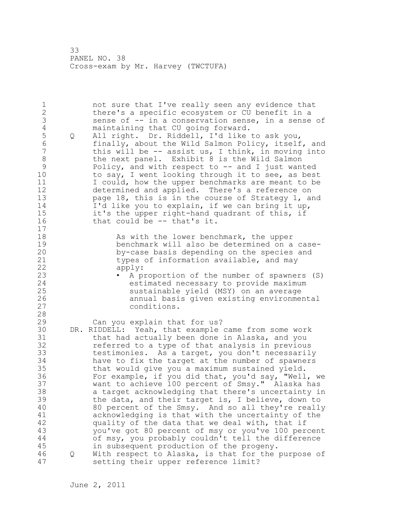1 not sure that I've really seen any evidence that 2 there's a specific ecosystem or CU benefit in a 3 sense of -- in a conservation sense, in a sense of<br>4 maintaining that CU going forward. 4 maintaining that CU going forward.<br>5 0 All right. Dr. Riddell, I'd like 5 Q All right. Dr. Riddell, I'd like to ask you, 6 finally, about the Wild Salmon Policy, itself, and this will be  $-$  assist us, I think, in moving into 8 the next panel. Exhibit 8 is the Wild Salmon 9 Policy, and with respect to -- and I just wanted<br>10 to sav, I went looking through it to see, as best to say, I went looking through it to see, as best 11 I could, how the upper benchmarks are meant to be 12 determined and applied. There's a reference on 13 page 18, this is in the course of Strategy 1, and 14 I'd like you to explain, if we can bring it up, 15 it's the upper right-hand quadrant of this, if 16 that could be -- that's it. 17 18 As with the lower benchmark, the upper 19 benchmark will also be determined on a case-<br>20 by-case basis depending on the species and by-case basis depending on the species and 21 types of information available, and may 22 apply: 23 • A proportion of the number of spawners (S) 24 estimated necessary to provide maximum 25 sustainable yield (MSY) on an average 26 annual basis given existing environmental conditions. 28 29 Can you explain that for us? 30 DR. RIDDELL: Yeah, that example came from some work 31 that had actually been done in Alaska, and you 32 referred to a type of that analysis in previous 33 testimonies. As a target, you don't necessarily 34 have to fix the target at the number of spawners 35 that would give you a maximum sustained yield. 36 For example, if you did that, you'd say, "Well, we 37 want to achieve 100 percent of Smsy." Alaska has 38 a target acknowledging that there's uncertainty in 39 the data, and their target is, I believe, down to 40 80 percent of the Smsy. And so all they're really 41 acknowledging is that with the uncertainty of the<br>42 quality of the data that we deal with, that if quality of the data that we deal with, that if 43 you've got 80 percent of msy or you've 100 percent 44 of msy, you probably couldn't tell the difference 45 in subsequent production of the progeny. 46 Q With respect to Alaska, is that for the purpose of 47 setting their upper reference limit?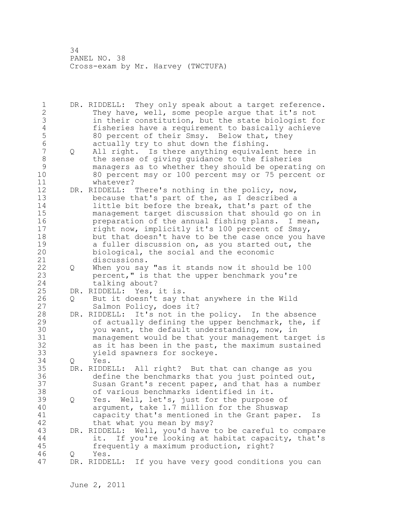1 DR. RIDDELL: They only speak about a target reference. 2 They have, well, some people argue that it's not 3 in their constitution, but the state biologist for 4 fisheries have a requirement to basically achieve<br>5 80 percent of their Smsy. Below that, they 5 80 percent of their Smsy. Below that, they 6 actually try to shut down the fishing. 7 Q All right. Is there anything equivalent here in 8 b the sense of giving guidance to the fisheries 9 managers as to whether they should be operating on<br>10 30 percent msy or 100 percent msy or 75 percent or 10 80 percent msy or 100 percent msy or 75 percent or 11 whatever? 12 DR. RIDDELL: There's nothing in the policy, now, 13 because that's part of the, as I described a 14 little bit before the break, that's part of the 15 management target discussion that should go on in 16 preparation of the annual fishing plans. I mean, 17 right now, implicitly it's 100 percent of Smsy, 18 but that doesn't have to be the case once you have 19 a fuller discussion on, as you started out, the 20 contact the social and the economic biological, the social and the economic 21 discussions. 22 Q When you say "as it stands now it should be 100 23 percent," is that the upper benchmark you're 24 talking about? 25 DR. RIDDELL: Yes, it is. 26 Q But it doesn't say that anywhere in the Wild<br>27 Salmon Policy, does it? Salmon Policy, does it? 28 DR. RIDDELL: It's not in the policy. In the absence 29 of actually defining the upper benchmark, the, if 30 you want, the default understanding, now, in<br>31 management would be that your management tare management would be that your management target is 32 as it has been in the past, the maximum sustained 33 yield spawners for sockeye. 34 Q Yes. 35 DR. RIDDELL: All right? But that can change as you 36 define the benchmarks that you just pointed out, 37 Susan Grant's recent paper, and that has a number 38 of various benchmarks identified in it. 39 Q Yes. Well, let's, just for the purpose of 40 argument, take 1.7 million for the Shuswap 41 capacity that's mentioned in the Grant paper. Is<br>42 that what you mean by msy? that what you mean by msy? 43 DR. RIDDELL: Well, you'd have to be careful to compare 44 it. If you're looking at habitat capacity, that's 45 frequently a maximum production, right? 46 Q Yes. 47 DR. RIDDELL: If you have very good conditions you can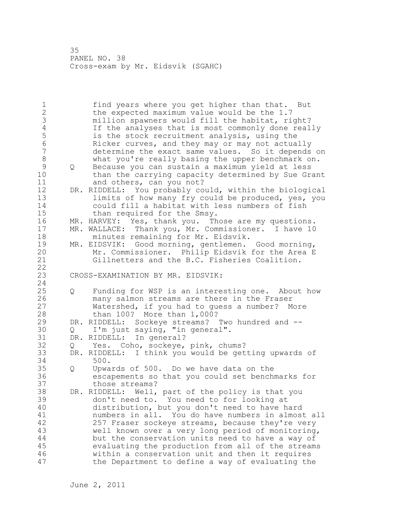1 find years where you get higher than that. But 2 the expected maximum value would be the 1.7 3 million spawners would fill the habitat, right?<br>4 15 The analyses that is most commonly done real 4 If the analyses that is most commonly done really<br>5 is the stock recruitment analysis, using the 5 is the stock recruitment analysis, using the 6 Ricker curves, and they may or may not actually determine the exact same values. So it depends on 8 what you're really basing the upper benchmark on. 9 Q Because you can sustain a maximum yield at less than the carrying capacity determined by Sue Grant 11 and others, can you not? 12 DR. RIDDELL: You probably could, within the biological 13 limits of how many fry could be produced, yes, you 14 could fill a habitat with less numbers of fish 15 than required for the Smsy. 16 MR. HARVEY: Yes, thank you. Those are my questions. 17 MR. WALLACE: Thank you, Mr. Commissioner. I have 10 18 minutes remaining for Mr. Eidsvik. 19 MR. EIDSVIK: Good morning, gentlemen. Good morning,<br>20 Mr. Commissioner. Philip Eidsvik for the Area E Mr. Commissioner. Philip Eidsvik for the Area E 21 Gillnetters and the B.C. Fisheries Coalition. 22 23 CROSS-EXAMINATION BY MR. EIDSVIK: 24 25 Q Funding for WSP is an interesting one. About how 26 many salmon streams are there in the Fraser<br>27 Watershed, if you had to quess a number? M Watershed, if you had to guess a number? More 28 than 100? More than 1,000? 29 DR. RIDDELL: Sockeye streams? Two hundred and -- 30 Q I'm just saying, "in general".<br>31 DR. RIDDELL: In general? 31 DR. RIDDELL: In general?<br>32 0 Yes. Coho, sockeve, 32 Q Yes. Coho, sockeye, pink, chums? 33 DR. RIDDELL: I think you would be getting upwards of 34 500. 35 Q Upwards of 500. Do we have data on the<br>36 escapements so that you could set bench escapements so that you could set benchmarks for 37 those streams? 38 DR. RIDDELL: Well, part of the policy is that you 39 don't need to. You need to for looking at 40 distribution, but you don't need to have hard 41 mumbers in all. You do have numbers in almost all<br>42 257 Fraser sockeye streams, because they're very 257 Fraser sockeye streams, because they're very 43 well known over a very long period of monitoring, 44 but the conservation units need to have a way of 45 evaluating the production from all of the streams 46 within a conservation unit and then it requires 47 the Department to define a way of evaluating the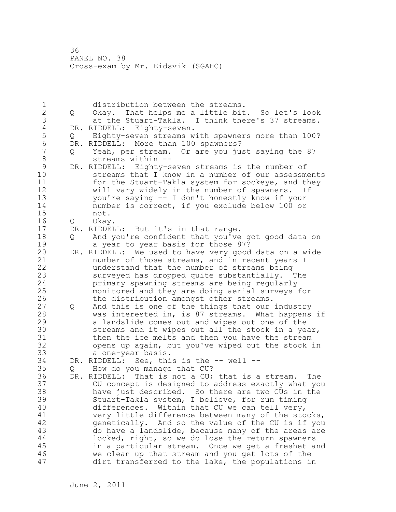1 distribution between the streams. 2 Q Okay. That helps me a little bit. So let's look 3 at the Stuart-Takla. I think there's 37 streams.<br>4 DR. RIDDELL: Eighty-seven. 4 DR. RIDDELL: Eighty-seven.<br>5 0 Eighty-seven streams w 5 Q Eighty-seven streams with spawners more than 100?<br>6 DR. RIDDELL: More than 100 spawners? 6 DR. RIDDELL: More than 100 spawners? 7 Q Yeah, per stream. Or are you just saying the 87 8 streams within -- 9 DR. RIDDELL: Eighty-seven streams is the number of streams that I know in a number of our assessments 11 for the Stuart-Takla system for sockeye, and they 12 will vary widely in the number of spawners. If 13 you're saying -- I don't honestly know if your 14 number is correct, if you exclude below 100 or 15 not. 16 Q Okay. 17 DR. RIDDELL: But it's in that range. 18 Q And you're confident that you've got good data on 19 a year to year basis for those 87?<br>20 DR. RIDDELL: We used to have very good DR. RIDDELL: We used to have very good data on a wide 21 number of those streams, and in recent years I 22 understand that the number of streams being 23 surveyed has dropped quite substantially. The 24 primary spawning streams are being regularly 25 monitored and they are doing aerial surveys for 26 the distribution amongst other streams.<br>27 Q And this is one of the things that our 27 Q And this is one of the things that our industry 28 was interested in, is 87 streams. What happens if 29 a landslide comes out and wipes out one of the 30 streams and it wipes out all the stock in a year,<br>31 then the ice melts and then you have the stream then the ice melts and then you have the stream 32 opens up again, but you've wiped out the stock in 33 a one-year basis. 34 DR. RIDDELL: See, this is the -- well -- 35 Q How do you manage that CU? 36 DR. RIDDELL: That is not a CU; that is a stream. The 37 CU concept is designed to address exactly what you 38 have just described. So there are two CUs in the 39 Stuart-Takla system, I believe, for run timing 40 differences. Within that CU we can tell very, 41 very little difference between many of the stocks,<br>42 openetically. And so the value of the CU is if you genetically. And so the value of the CU is if you 43 do have a landslide, because many of the areas are 44 locked, right, so we do lose the return spawners 45 in a particular stream. Once we get a freshet and 46 we clean up that stream and you get lots of the 47 dirt transferred to the lake, the populations in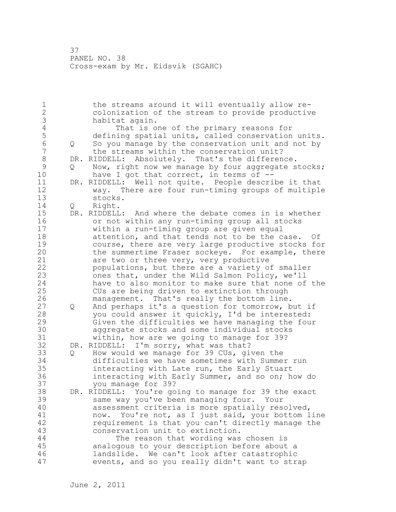1 the streams around it will eventually allow re-2 colonization of the stream to provide productive 3 **habitat again.**<br>4 That is o 4 That is one of the primary reasons for<br>5 defining spatial units, called conservation 5 defining spatial units, called conservation units. 6 Q So you manage by the conservation unit and not by the streams within the conservation unit? 8 DR. RIDDELL: Absolutely. That's the difference.<br>9 0 Now, right now we manage by four aggregate s 9 Q Now, right now we manage by four aggregate stocks;<br>10 have I got that correct, in terms of -have I got that correct, in terms of  $-$ -11 DR. RIDDELL: Well not quite. People describe it that 12 way. There are four run-timing groups of multiple stocks. 14 Q Right. 15 DR. RIDDELL: And where the debate comes in is whether 16 or not within any run-timing group all stocks 17 within a run-timing group are given equal 18 attention, and that tends not to be the case. Of 19 course, there are very large productive stocks for<br>20 the summertime Fraser sockeye. For example, there the summertime Fraser sockeye. For example, there 21 are two or three very, very productive 22 populations, but there are a variety of smaller 23 ones that, under the Wild Salmon Policy, we'll 24 have to also monitor to make sure that none of the 25 CUs are being driven to extinction through 26 management. That's really the bottom line.<br>27 0 And perhaps it's a question for tomorrow, b 27 Q And perhaps it's a question for tomorrow, but if 28 you could answer it quickly, I'd be interested: 29 Given the difficulties we have managing the four 30 aggregate stocks and some individual stocks<br>31 within, how are we going to manage for 39? within, how are we going to manage for 39? 32 DR. RIDDELL: I'm sorry, what was that? 33 Q How would we manage for 39 CUs, given the 34 difficulties we have sometimes with Summer run 35 interacting with Late run, the Early Stuart 36 interacting with Early Summer, and so on; how do 37 you manage for 39? 38 DR. RIDDELL: You're going to manage for 39 the exact 39 same way you've been managing four. Your 40 assessment criteria is more spatially resolved, 41 now. You're not, as I just said, your bottom line<br>42 equirement is that you can't directly manage the requirement is that you can't directly manage the 43 conservation unit to extinction. 44 The reason that wording was chosen is 45 analogous to your description before about a 46 landslide. We can't look after catastrophic 47 events, and so you really didn't want to strap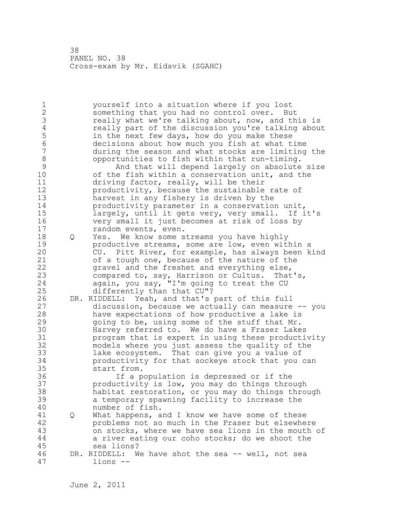1 yourself into a situation where if you lost 2 something that you had no control over. But 3 really what we're talking about, now, and this is<br>4 really part of the discussion you're talking abou 4 really part of the discussion you're talking about<br>5 in the next few days, how do you make these 5 in the next few days, how do you make these<br>6 decisions about how much you fish at what t 6 decisions about how much you fish at what time during the season and what stocks are limiting the 8 opportunities to fish within that run-timing.<br>9 and that will depend largely on absolute 9 And that will depend largely on absolute size<br>10 of the fish within a conservation unit, and the of the fish within a conservation unit, and the 11 driving factor, really, will be their 12 productivity, because the sustainable rate of 13 harvest in any fishery is driven by the 14 productivity parameter in a conservation unit, 15 largely, until it gets very, very small. If it's 16 very small it just becomes at risk of loss by 17 random events, even. 18 Q Yes. We know some streams you have highly 19 **productive streams, some are low, even within a**<br>20 **cU.** Pitt River, for example, has always been k CU. Pitt River, for example, has always been kind 21 of a tough one, because of the nature of the 22 gravel and the freshet and everything else, 23 compared to, say, Harrison or Cultus. That's, 24 again, you say, "I'm going to treat the CU 25 differently than that CU"? 26 DR. RIDDELL: Yeah, and that's part of this full<br>27 discussion, because we actually can measure discussion, because we actually can measure  $-$  you 28 have expectations of how productive a lake is 29 going to be, using some of the stuff that Mr. 30 Harvey referred to. We do have a Fraser Lakes<br>31 brogram that is expert in using these producti program that is expert in using these productivity 32 models where you just assess the quality of the 33 lake ecosystem. That can give you a value of 34 productivity for that sockeye stock that you can 35 start from. 36 If a population is depressed or if the 37 productivity is low, you may do things through 38 habitat restoration, or you may do things through 39 a temporary spawning facility to increase the 40 number of fish. 41 Q What happens, and I know we have some of these 42 problems not so much in the Fraser but elsewhere 43 on stocks, where we have sea lions in the mouth of 44 a river eating our coho stocks; do we shoot the 45 sea lions? 46 DR. RIDDELL: We have shot the sea -- well, not sea 47 lions --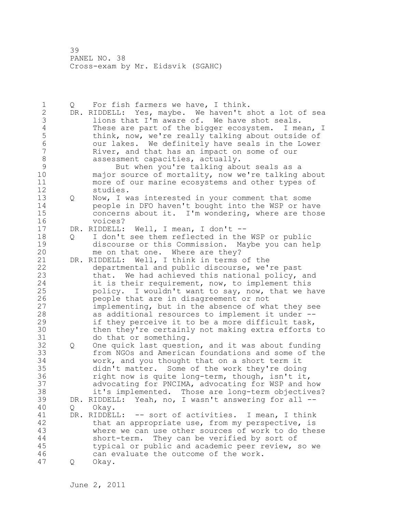1 Q For fish farmers we have, I think. 2 DR. RIDDELL: Yes, maybe. We haven't shot a lot of sea 3 lions that I'm aware of. We have shot seals.<br>4 These are part of the bigger ecosystem. I me 4 These are part of the bigger ecosystem. I mean, I<br>5 think, now, we're really talking about outside of 5 think, now, we're really talking about outside of<br>6 000 001 lakes. We definitely have seals in the Lower 6 our lakes. We definitely have seals in the Lower River, and that has an impact on some of our 8 assessment capacities, actually. 9 But when you're talking about seals as a<br>10 major source of mortality, now we're talking major source of mortality, now we're talking about 11 more of our marine ecosystems and other types of 12 studies. 13 Q Now, I was interested in your comment that some 14 people in DFO haven't bought into the WSP or have 15 concerns about it. I'm wondering, where are those 16 voices? 17 DR. RIDDELL: Well, I mean, I don't -- 18 Q I don't see them reflected in the WSP or public 19 discourse or this Commission. Maybe you can help<br>20 me on that one. Where are thev? me on that one. Where are they? 21 DR. RIDDELL: Well, I think in terms of the 22 departmental and public discourse, we're past 23 that. We had achieved this national policy, and 24 it is their requirement, now, to implement this 25 policy. I wouldn't want to say, now, that we have 26 people that are in disagreement or not<br>27 implementing, but in the absence of what implementing, but in the absence of what they see 28 as additional resources to implement it under -- 29 if they perceive it to be a more difficult task, 30 then they're certainly not making extra efforts to 31 do that or something. 32 Q One quick last question, and it was about funding 33 from NGOs and American foundations and some of the 34 work, and you thought that on a short term it 35 didn't matter. Some of the work they're doing 36 right now is quite long-term, though, isn't it, 37 advocating for PNCIMA, advocating for WSP and how 38 it's implemented. Those are long-term objectives? 39 DR. RIDDELL: Yeah, no, I wasn't answering for all -- 40 Q Okay. 41 DR. RIDDELL: -- sort of activities. I mean, I think<br>42 that an appropriate use, from my perspective, is that an appropriate use, from my perspective, is 43 where we can use other sources of work to do these 44 short-term. They can be verified by sort of 45 typical or public and academic peer review, so we 46 can evaluate the outcome of the work. 47 Q Okay.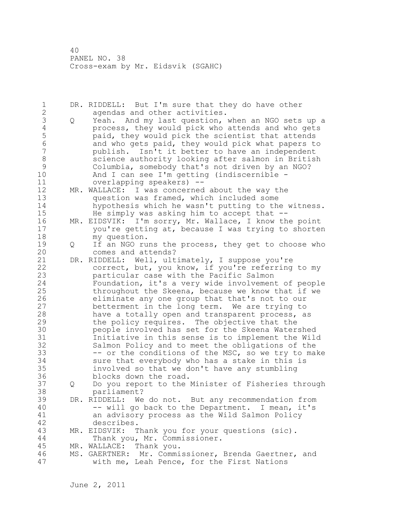1 DR. RIDDELL: But I'm sure that they do have other 2 agendas and other activities. 3 Q Yeah. And my last question, when an NGO sets up a<br>4 process, they would pick who attends and who gets 4 process, they would pick who attends and who gets 5 paid, they would pick the scientist that attends<br>6 and who gets paid, they would pick what papers to 6 and who gets paid, they would pick what papers to publish. Isn't it better to have an independent 8 science authority looking after salmon in British<br>9 Columbia, somebody that's not driven by an NGO? 9 Columbia, somebody that's not driven by an NGO?<br>10 And I can see I'm getting (indiscernible -And I can see I'm getting (indiscernible  $-$ 11 overlapping speakers) -- 12 MR. WALLACE: I was concerned about the way the 13 question was framed, which included some 14 hypothesis which he wasn't putting to the witness. 15 He simply was asking him to accept that -- 16 MR. EIDSVIK: I'm sorry, Mr. Wallace, I know the point 17 you're getting at, because I was trying to shorten 18 my question. 19 Q If an NGO runs the process, they get to choose who<br>20 comes and attends? comes and attends? 21 DR. RIDDELL: Well, ultimately, I suppose you're 22 correct, but, you know, if you're referring to my 23 particular case with the Pacific Salmon 24 Foundation, it's a very wide involvement of people 25 throughout the Skeena, because we know that if we 26 eliminate any one group that that's not to our<br>27 betterment in the long term. We are trying to betterment in the long term. We are trying to 28 have a totally open and transparent process, as 29 the policy requires. The objective that the 30 people involved has set for the Skeena Watershed Initiative in this sense is to implement the Wild 32 Salmon Policy and to meet the obligations of the 33 -- or the conditions of the MSC, so we try to make 34 sure that everybody who has a stake in this is 35 involved so that we don't have any stumbling 36 blocks down the road. 37 Q Do you report to the Minister of Fisheries through 38 parliament? 39 DR. RIDDELL: We do not. But any recommendation from 40 -- will go back to the Department. I mean, it's 41 an advisory process as the Wild Salmon Policy describes. 43 MR. EIDSVIK: Thank you for your questions (sic). 44 Thank you, Mr. Commissioner. 45 MR. WALLACE: Thank you. 46 MS. GAERTNER: Mr. Commissioner, Brenda Gaertner, and 47 with me, Leah Pence, for the First Nations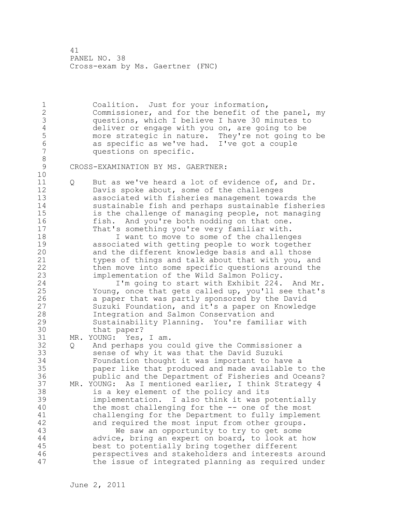1 Coalition. Just for your information, 2 Commissioner, and for the benefit of the panel, my 3 questions, which I believe I have 30 minutes to 4 deliver or engage with you on, are going to be<br>5 more strategic in nature. They're not going to 5 more strategic in nature. They're not going to be 6 as specific as we've had. I've got a couple questions on specific. 8 CROSS-EXAMINATION BY MS. GAERTNER: 10 11 Q But as we've heard a lot of evidence of, and Dr. 12 Davis spoke about, some of the challenges 13 associated with fisheries management towards the 14 sustainable fish and perhaps sustainable fisheries 15 is the challenge of managing people, not managing 16 fish. And you're both nodding on that one. 17 That's something you're very familiar with. 18 **I** want to move to some of the challenges 19 associated with getting people to work together<br>20 and the different knowledge basis and all those and the different knowledge basis and all those 21 types of things and talk about that with you, and 22 then move into some specific questions around the 23 implementation of the Wild Salmon Policy. 24 I'm going to start with Exhibit 224. And Mr. 25 Young, once that gets called up, you'll see that's 26 a paper that was partly sponsored by the David<br>27 Suzuki Foundation, and it's a paper on Knowled Suzuki Foundation, and it's a paper on Knowledge 28 Integration and Salmon Conservation and 29 Sustainability Planning. You're familiar with 30 that paper?<br>31 MR. YOUNG: Yes, MR. YOUNG: Yes, I am. 32 Q And perhaps you could give the Commissioner a 33 sense of why it was that the David Suzuki 34 Foundation thought it was important to have a 35 paper like that produced and made available to the 36 public and the Department of Fisheries and Oceans? 37 MR. YOUNG: As I mentioned earlier, I think Strategy 4 38 is a key element of the policy and its 39 implementation. I also think it was potentially 40 the most challenging for the -- one of the most 41 challenging for the Department to fully implement<br>42 and required the most input from other groups. and required the most input from other groups. 43 We saw an opportunity to try to get some 44 advice, bring an expert on board, to look at how 45 best to potentially bring together different 46 perspectives and stakeholders and interests around 47 the issue of integrated planning as required under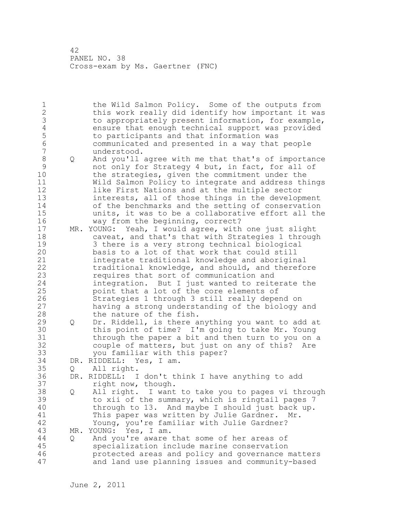1 the Wild Salmon Policy. Some of the outputs from 2 this work really did identify how important it was 3 to appropriately present information, for example,<br>4 ensure that enough technical support was provided 4 ensure that enough technical support was provided<br>5 to participants and that information was 5 to participants and that information was 6 communicated and presented in a way that people understood. 8 Q And you'll agree with me that that's of importance 9 not only for Strategy 4 but, in fact, for all of 10 the strategies, given the commitment under the 11 Wild Salmon Policy to integrate and address things 12 like First Nations and at the multiple sector 13 interests, all of those things in the development 14 of the benchmarks and the setting of conservation 15 units, it was to be a collaborative effort all the 16 way from the beginning, correct? 17 MR. YOUNG: Yeah, I would agree, with one just slight 18 caveat, and that's that with Strategies 1 through 19 3 there is a very strong technical biological<br>20 basis to a lot of that work that could still basis to a lot of that work that could still 21 integrate traditional knowledge and aboriginal 22 traditional knowledge, and should, and therefore 23 requires that sort of communication and 24 integration. But I just wanted to reiterate the 25 point that a lot of the core elements of 26 Strategies 1 through 3 still really depend on<br>27 having a strong understanding of the biology having a strong understanding of the biology and 28 the nature of the fish. 29 Q Dr. Riddell, is there anything you want to add at 30 this point of time? I'm going to take Mr. Young<br>31 through the paper a bit and then turn to you on through the paper a bit and then turn to you on a 32 couple of matters, but just on any of this? Are 33 you familiar with this paper? 34 DR. RIDDELL: Yes, I am. 35 Q All right. 36 DR. RIDDELL: I don't think I have anything to add 37 right now, though. 38 Q All right. I want to take you to pages vi through 39 to xii of the summary, which is ringtail pages 7 40 through to 13. And maybe I should just back up. 41 This paper was written by Julie Gardner. Mr.<br>42 Toung, you're familiar with Julie Gardner? Young, you're familiar with Julie Gardner? 43 MR. YOUNG: Yes, I am. 44 Q And you're aware that some of her areas of 45 specialization include marine conservation 46 protected areas and policy and governance matters 47 and land use planning issues and community-based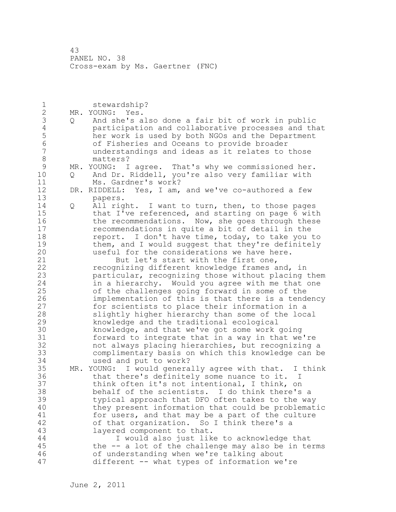1 stewardship? 2 MR. YOUNG: Yes. 3 Q And she's also done a fair bit of work in public 4 participation and collaborative processes and that<br>5 her work is used by both NGOs and the Department 5 her work is used by both NGOs and the Department<br>6 6 6 of Fisheries and Oceans to provide broader 6 of Fisheries and Oceans to provide broader understandings and ideas as it relates to those 8 matters?<br>9 MR. YOUNG: I 9 MR. YOUNG: I agree. That's why we commissioned her.<br>10 0 And Dr. Riddell, you're also very familiar with 10 Q And Dr. Riddell, you're also very familiar with 11 Ms. Gardner's work? 12 DR. RIDDELL: Yes, I am, and we've co-authored a few 13 papers. 14 Q All right. I want to turn, then, to those pages 15 that I've referenced, and starting on page 6 with 16 the recommendations. Now, she goes through these 17 recommendations in quite a bit of detail in the 18 **report.** I don't have time, today, to take you to 19 them, and I would suggest that they're definitely<br>20 suseful for the considerations we have here. useful for the considerations we have here. 21 But let's start with the first one, 22 recognizing different knowledge frames and, in 23 particular, recognizing those without placing them 24 in a hierarchy. Would you agree with me that one 25 of the challenges going forward in some of the 26 implementation of this is that there is a tendency<br>27 for scientists to place their information in a for scientists to place their information in a 28 slightly higher hierarchy than some of the local 29 knowledge and the traditional ecological 30 knowledge, and that we've got some work going<br>31 forward to integrate that in a way in that we forward to integrate that in a way in that we're 32 not always placing hierarchies, but recognizing a 33 complimentary basis on which this knowledge can be 34 used and put to work? 35 MR. YOUNG: I would generally agree with that. I think 36 that there's definitely some nuance to it. I 37 think often it's not intentional, I think, on 38 behalf of the scientists. I do think there's a 39 typical approach that DFO often takes to the way 40 they present information that could be problematic 41 for users, and that may be a part of the culture<br>42 of that organization. So I think there's a of that organization. So I think there's a 43 layered component to that. 44 I would also just like to acknowledge that 45 the -- a lot of the challenge may also be in terms 46 of understanding when we're talking about 47 different -- what types of information we're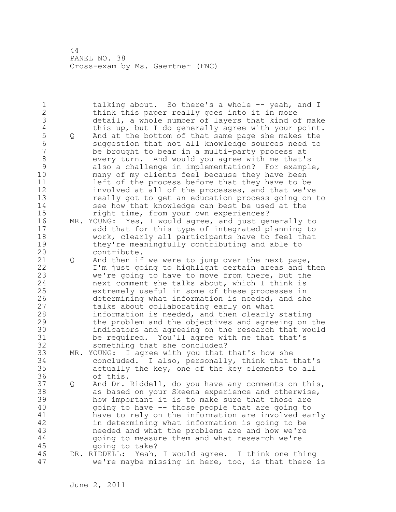1 talking about. So there's a whole -- yeah, and I 2 think this paper really goes into it in more 3 detail, a whole number of layers that kind of make 4 this up, but I do generally agree with your point.<br>5 Q And at the bottom of that same page she makes the 5 Q And at the bottom of that same page she makes the 6 suggestion that not all knowledge sources need to be brought to bear in a multi-party process at 8 every turn. And would you agree with me that's 9 also a challenge in implementation? For example,<br>10 many of my clients feel because they have been many of my clients feel because they have been 11 left of the process before that they have to be 12 involved at all of the processes, and that we've 13 really got to get an education process going on to 14 see how that knowledge can best be used at the 15 right time, from your own experiences? 16 MR. YOUNG: Yes, I would agree, and just generally to 17 add that for this type of integrated planning to 18 work, clearly all participants have to feel that 19 they're meaningfully contributing and able to<br>20 contribute. contribute. 21 Q And then if we were to jump over the next page, 22 I'm just going to highlight certain areas and then 23 we're going to have to move from there, but the 24 next comment she talks about, which I think is 25 extremely useful in some of these processes in 26 determining what information is needed, and she<br>27 talks about collaborating early on what talks about collaborating early on what 28 information is needed, and then clearly stating 29 the problem and the objectives and agreeing on the 30 indicators and agreeing on the research that would<br>31 be required. You'll agree with me that that's be required. You'll agree with me that that's 32 something that she concluded? 33 MR. YOUNG: I agree with you that that's how she 34 concluded. I also, personally, think that that's 35 actually the key, one of the key elements to all 36 of this. 37 Q And Dr. Riddell, do you have any comments on this, 38 as based on your Skeena experience and otherwise, 39 how important it is to make sure that those are 40 going to have -- those people that are going to 41 have to rely on the information are involved early<br>42 in determining what information is going to be in determining what information is going to be 43 needed and what the problems are and how we're 44 going to measure them and what research we're 45 going to take? 46 DR. RIDDELL: Yeah, I would agree. I think one thing 47 we're maybe missing in here, too, is that there is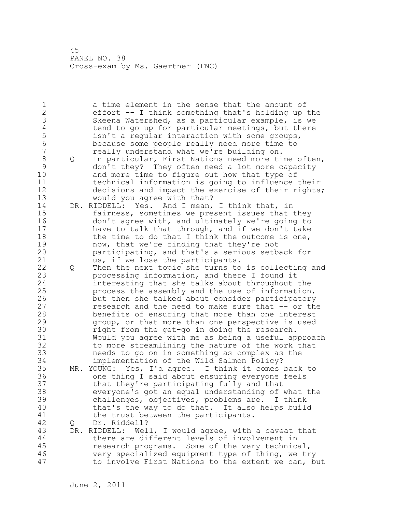1 a time element in the sense that the amount of 2 effort -- I think something that's holding up the 3 Skeena Watershed, as a particular example, is we<br>4 tend to go up for particular meetings, but there 4 tend to go up for particular meetings, but there<br>5  $\cdot$  isn't a regular interaction with some groups, 5 isn't a regular interaction with some groups,<br>6 because some people really need more time to 6 because some people really need more time to really understand what we're building on. 8 Q In particular, First Nations need more time often, 9 don't they? They often need a lot more capacity and more time to figure out how that type of 11 technical information is going to influence their 12 decisions and impact the exercise of their rights; 13 would you agree with that? 14 DR. RIDDELL: Yes. And I mean, I think that, in 15 fairness, sometimes we present issues that they 16 don't agree with, and ultimately we're going to 17 have to talk that through, and if we don't take 18 the time to do that I think the outcome is one, 19 now, that we're finding that they're not<br>20 participating, and that's a serious setb participating, and that's a serious setback for 21 us, if we lose the participants. 22 Q Then the next topic she turns to is collecting and 23 processing information, and there I found it 24 interesting that she talks about throughout the 25 process the assembly and the use of information, 26 but then she talked about consider participatory<br>27 cesearch and the need to make sure that -- or the research and the need to make sure that -- or the 28 benefits of ensuring that more than one interest 29 group, or that more than one perspective is used 30 **1988** right from the get-go in doing the research.<br>31 Would you agree with me as being a useful ap 31 Would you agree with me as being a useful approach to more streamlining the nature of the work that 33 needs to go on in something as complex as the 34 implementation of the Wild Salmon Policy? 35 MR. YOUNG: Yes, I'd agree. I think it comes back to 36 one thing I said about ensuring everyone feels 37 that they're participating fully and that 38 everyone's got an equal understanding of what the 39 challenges, objectives, problems are. I think 40 that's the way to do that. It also helps build 41 the trust between the participants.<br>42 Q Dr. Riddell? 42 Q Dr. Riddell? 43 DR. RIDDELL: Well, I would agree, with a caveat that 44 there are different levels of involvement in 45 research programs. Some of the very technical, 46 very specialized equipment type of thing, we try 47 to involve First Nations to the extent we can, but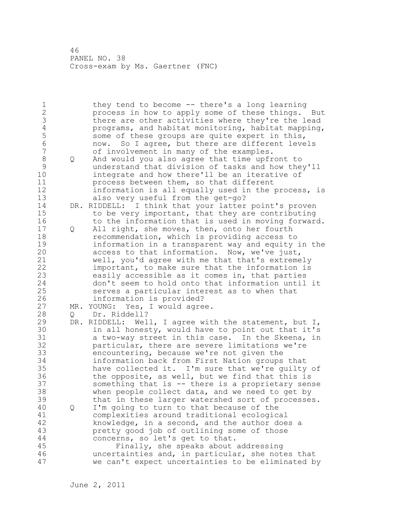1 they tend to become -- there's a long learning 2 process in how to apply some of these things. But 3 there are other activities where they're the lead<br>4 programs, and habitat monitoring, habitat mapping 4 programs, and habitat monitoring, habitat mapping,<br>5 some of these groups are quite expert in this, 5 some of these groups are quite expert in this,<br>6 0 now. So I agree, but there are different leve 6 mow. So I agree, but there are different levels<br>7 of involvement in many of the examples. of involvement in many of the examples. 8 Q And would you also agree that time upfront to 9 understand that division of tasks and how they'll integrate and how there'll be an iterative of 11 process between them, so that different 12 information is all equally used in the process, is 13 also very useful from the get-go? 14 DR. RIDDELL: I think that your latter point's proven 15 to be very important, that they are contributing 16 to the information that is used in moving forward. 17 Q All right, she moves, then, onto her fourth 18 recommendation, which is providing access to 19 information in a transparent way and equity in the<br>20 access to that information. Now, we've just, access to that information. Now, we've just, 21 well, you'd agree with me that that's extremely 22 important, to make sure that the information is 23 easily accessible as it comes in, that parties 24 don't seem to hold onto that information until it 25 serves a particular interest as to when that 26 information is provided?<br>27 MR. YOUNG: Yes, I would agre MR. YOUNG: Yes, I would agree. 28 Q Dr. Riddell? 29 DR. RIDDELL: Well, I agree with the statement, but I, 30 in all honesty, would have to point out that it's<br>31 a two-way street in this case. In the Skeena, in a two-way street in this case. In the Skeena, in 32 particular, there are severe limitations we're 33 encountering, because we're not given the 34 information back from First Nation groups that 35 have collected it. I'm sure that we're guilty of 36 the opposite, as well, but we find that this is 37 something that is -- there is a proprietary sense 38 when people collect data, and we need to get by 39 that in these larger watershed sort of processes. 40 Q I'm going to turn to that because of the 41 complexities around traditional ecological<br>42 knowledge, in a second, and the author doe knowledge, in a second, and the author does a 43 pretty good job of outlining some of those 44 concerns, so let's get to that. 45 Finally, she speaks about addressing 46 uncertainties and, in particular, she notes that 47 we can't expect uncertainties to be eliminated by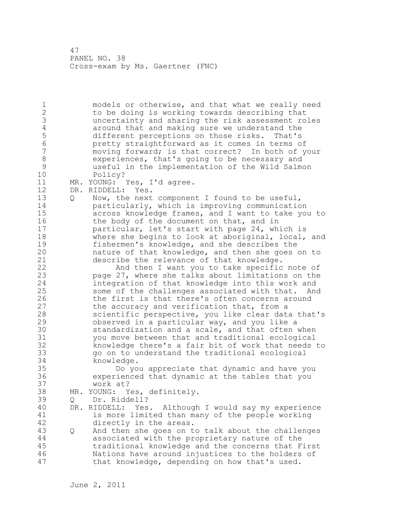1 models or otherwise, and that what we really need 2 to be doing is working towards describing that 3 uncertainty and sharing the risk assessment roles 4 around that and making sure we understand the<br>5 different perceptions on those risks. That's 5 different perceptions on those risks. That's 6 pretty straightforward as it comes in terms of moving forward; is that correct? In both of your 8 experiences, that's going to be necessary and 9 useful in the implementation of the Wild Salmon Policy? 11 MR. YOUNG: Yes, I'd agree. 12 DR. RIDDELL: Yes. 13 Q Now, the next component I found to be useful, 14 particularly, which is improving communication 15 across knowledge frames, and I want to take you to 16 the body of the document on that, and in 17 particular, let's start with page 24, which is 18 where she begins to look at aboriginal, local, and 19 fishermen's knowledge, and she describes the<br>20 hature of that knowledge, and then she goes nature of that knowledge, and then she goes on to 21 describe the relevance of that knowledge. 22 And then I want you to take specific note of 23 page 27, where she talks about limitations on the 24 integration of that knowledge into this work and 25 some of the challenges associated with that. And 26 the first is that there's often concerns around<br>27 the accuracy and verification that, from a the accuracy and verification that, from a 28 scientific perspective, you like clear data that's 29 observed in a particular way, and you like a 30 standardization and a scale, and that often when<br>31 vou move between that and traditional ecological you move between that and traditional ecological 32 knowledge there's a fair bit of work that needs to 33 go on to understand the traditional ecological 34 knowledge. 35 Do you appreciate that dynamic and have you 36 experienced that dynamic at the tables that you 37 work at? 38 MR. YOUNG: Yes, definitely. 39 Q Dr. Riddell? 40 DR. RIDDELL: Yes. Although I would say my experience 41 is more limited than many of the people working<br>42 directly in the areas. directly in the areas. 43 Q And then she goes on to talk about the challenges 44 associated with the proprietary nature of the 45 traditional knowledge and the concerns that First 46 Nations have around injustices to the holders of 47 that knowledge, depending on how that's used.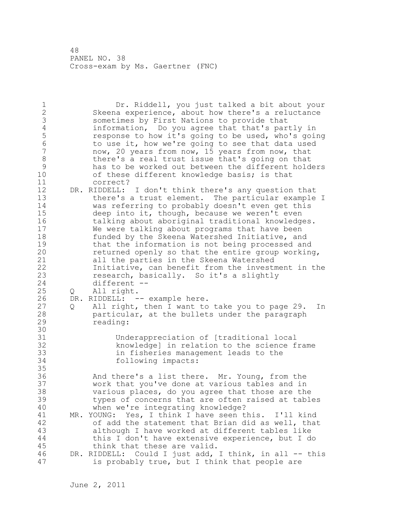1 Dr. Riddell, you just talked a bit about your 2 Skeena experience, about how there's a reluctance 3 sometimes by First Nations to provide that<br>4 information, Do you agree that that's par 4 information, Do you agree that that's partly in<br>5 cesponse to how it's going to be used, who's going 5 compare to how it's going to be used, who's going<br>6 to use it, how we're going to see that data used 6 to use it, how we're going to see that data used<br>7 mow, 20 years from now, 15 years from now, that now, 20 years from now, 15 years from now, that 8 there's a real trust issue that's going on that<br>9 has to be worked out between the different hold 9 has to be worked out between the different holders<br>10 of these different knowledge basis; is that of these different knowledge basis; is that 11 correct? 12 DR. RIDDELL: I don't think there's any question that 13 there's a trust element. The particular example I 14 was referring to probably doesn't even get this 15 deep into it, though, because we weren't even 16 talking about aboriginal traditional knowledges. 17 We were talking about programs that have been 18 funded by the Skeena Watershed Initiative, and 19 that the information is not being processed and<br>20 feturned openly so that the entire group working returned openly so that the entire group working, 21 all the parties in the Skeena Watershed 22 Initiative, can benefit from the investment in the 23 research, basically. So it's a slightly 24 different -- 25 Q All right. 26 DR. RIDDELL: -- example here.<br>27 0 All right, then I want to 27 Q All right, then I want to take you to page 29. In 28 particular, at the bullets under the paragraph 29 reading: 30<br>31 31 Underappreciation of [traditional local knowledge] in relation to the science frame 33 in fisheries management leads to the 34 following impacts: 35 36 And there's a list there. Mr. Young, from the 37 work that you've done at various tables and in 38 various places, do you agree that those are the 39 types of concerns that are often raised at tables 40 when we're integrating knowledge? 41 MR. YOUNG: Yes, I think I have seen this. I'll kind<br>42 of add the statement that Brian did as well, that of add the statement that Brian did as well, that 43 although I have worked at different tables like 44 this I don't have extensive experience, but I do 45 think that these are valid. 46 DR. RIDDELL: Could I just add, I think, in all -- this 47 is probably true, but I think that people are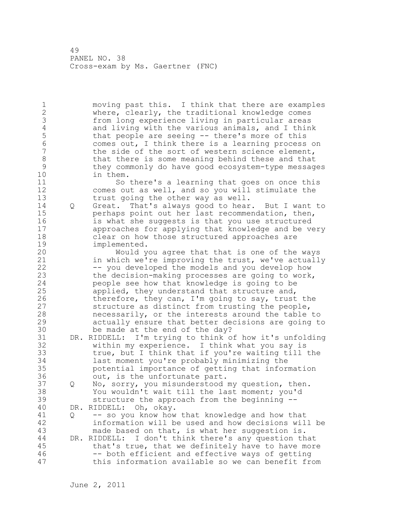1 moving past this. I think that there are examples 2 where, clearly, the traditional knowledge comes 3 from long experience living in particular areas<br>4 and living with the various animals, and I thin 4 and living with the various animals, and I think<br>5 that people are seeing -- there's more of this 5 that people are seeing -- there's more of this<br>6 (6 ) comes out, I think there is a learning process 6 comes out, I think there is a learning process on the side of the sort of western science element, 8 that there is some meaning behind these and that<br>9 they commonly do have good ecosystem-type messag 9 they commonly do have good ecosystem-type messages in them. 11 So there's a learning that goes on once this 12 comes out as well, and so you will stimulate the 13 trust going the other way as well. 14 Q Great. That's always good to hear. But I want to 15 perhaps point out her last recommendation, then, 16 is what she suggests is that you use structured 17 approaches for applying that knowledge and be very 18 clear on how those structured approaches are 19 implemented.<br>20 Would y Would you agree that that is one of the ways 21 in which we're improving the trust, we've actually 22 -- you developed the models and you develop how 23 the decision-making processes are going to work, 24 people see how that knowledge is going to be 25 applied, they understand that structure and, 26 therefore, they can, I'm going to say, trust the<br>27 structure as distinct from trusting the people, structure as distinct from trusting the people, 28 necessarily, or the interests around the table to 29 actually ensure that better decisions are going to 30 be made at the end of the day?<br>31 DR. RIDDELL: I'm trving to think o DR. RIDDELL: I'm trying to think of how it's unfolding 32 within my experience. I think what you say is 33 true, but I think that if you're waiting till the 34 last moment you're probably minimizing the 35 potential importance of getting that information 36 out, is the unfortunate part. 37 Q No, sorry, you misunderstood my question, then. 38 You wouldn't wait till the last moment; you'd 39 structure the approach from the beginning -- 40 DR. RIDDELL: Oh, okay. 41 Q -- so you know how that knowledge and how that<br>42 information will be used and how decisions wil information will be used and how decisions will be 43 made based on that, is what her suggestion is. 44 DR. RIDDELL: I don't think there's any question that 45 that's true, that we definitely have to have more 46 -- both efficient and effective ways of getting 47 this information available so we can benefit from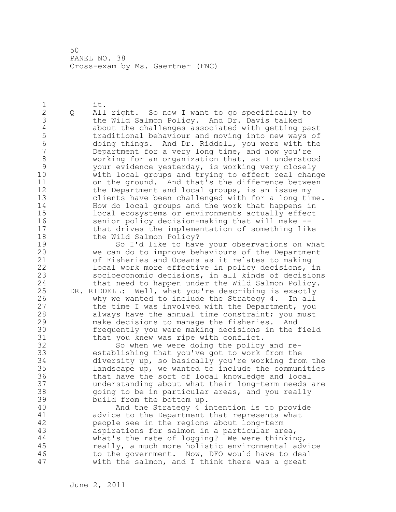1 it. 2 Q All right. So now I want to go specifically to 3 the Wild Salmon Policy. And Dr. Davis talked<br>4 about the challenges associated with getting 4 about the challenges associated with getting past 5 traditional behaviour and moving into new ways of 6 doing things. And Dr. Riddell, you were with the Department for a very long time, and now you're 8 working for an organization that, as I understood<br>9 vour evidence yesterday, is working very closely 9 your evidence yesterday, is working very closely with local groups and trying to effect real change 11 on the ground. And that's the difference between 12 the Department and local groups, is an issue my 13 clients have been challenged with for a long time. 14 How do local groups and the work that happens in 15 local ecosystems or environments actually effect 16 senior policy decision-making that will make -- 17 that drives the implementation of something like 18 the Wild Salmon Policy? 19 So I'd like to have your observations on what<br>20 we can do to improve behaviours of the Department we can do to improve behaviours of the Department 21 of Fisheries and Oceans as it relates to making 22 local work more effective in policy decisions, in 23 socioeconomic decisions, in all kinds of decisions 24 that need to happen under the Wild Salmon Policy. 25 DR. RIDDELL: Well, what you're describing is exactly 26 why we wanted to include the Strategy 4. In all<br>27 the time I was involved with the Department, you the time I was involved with the Department, you 28 always have the annual time constraint; you must 29 make decisions to manage the fisheries. And 30 frequently you were making decisions in the field 31 that you knew was ripe with conflict.<br>32 So when we were doing the policy So when we were doing the policy and re-

33 establishing that you've got to work from the 34 diversity up, so basically you're working from the 35 landscape up, we wanted to include the communities 36 that have the sort of local knowledge and local 37 understanding about what their long-term needs are 38 going to be in particular areas, and you really 39 build from the bottom up.

40 And the Strategy 4 intention is to provide 41 advice to the Department that represents what<br>42 people see in the regions about long-term people see in the regions about long-term 43 aspirations for salmon in a particular area, 44 what's the rate of logging? We were thinking, 45 really, a much more holistic environmental advice 46 to the government. Now, DFO would have to deal 47 with the salmon, and I think there was a great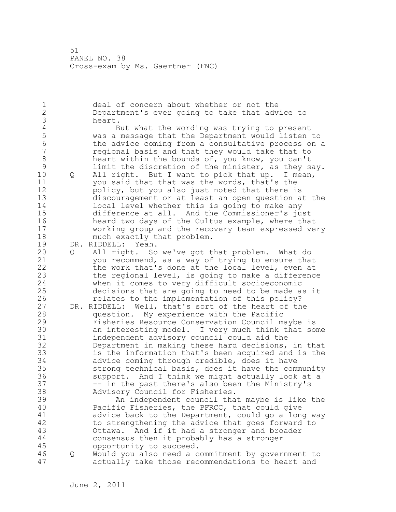1 deal of concern about whether or not the 2 Department's ever going to take that advice to 3 heart.<br>4 B 4 But what the wording was trying to present<br>5 was a message that the Department would listen 5 was a message that the Department would listen to 6 the advice coming from a consultative process on a<br>7 The regional basis and that they would take that to 7 regional basis and that they would take that to 8 heart within the bounds of, you know, you can't<br>9 limit the discretion of the minister, as they s 9 limit the discretion of the minister, as they say.<br>10 0 All right. But I want to pick that up. I mean, Q All right. But I want to pick that up. I mean, 11 you said that that was the words, that's the 12 policy, but you also just noted that there is 13 discouragement or at least an open question at the 14 local level whether this is going to make any 15 difference at all. And the Commissioner's just 16 heard two days of the Cultus example, where that 17 working group and the recovery team expressed very 18 much exactly that problem. 19 DR. RIDDELL: Yeah.<br>20 0 All right. So 20 Q All right. So we've got that problem. What do 21 you recommend, as a way of trying to ensure that 22 the work that's done at the local level, even at 23 the regional level, is going to make a difference 24 when it comes to very difficult socioeconomic 25 decisions that are going to need to be made as it 26 relates to the implementation of this policy?<br>27 DR. RIDDELL: Well, that's sort of the heart of th DR. RIDDELL: Well, that's sort of the heart of the 28 question. My experience with the Pacific 29 Fisheries Resource Conservation Council maybe is 30 an interesting model. I very much think that some independent advisory council could aid the 32 Department in making these hard decisions, in that 33 is the information that's been acquired and is the 34 advice coming through credible, does it have 35 strong technical basis, does it have the community 36 support. And I think we might actually look at a 37 -- in the past there's also been the Ministry's 38 Advisory Council for Fisheries. 39 An independent council that maybe is like the 40 Pacific Fisheries, the PFRCC, that could give 41 advice back to the Department, could go a long way<br>42 to strengthening the advice that goes forward to to strengthening the advice that goes forward to 43 Ottawa. And if it had a stronger and broader 44 consensus then it probably has a stronger 45 opportunity to succeed. 46 Q Would you also need a commitment by government to 47 actually take those recommendations to heart and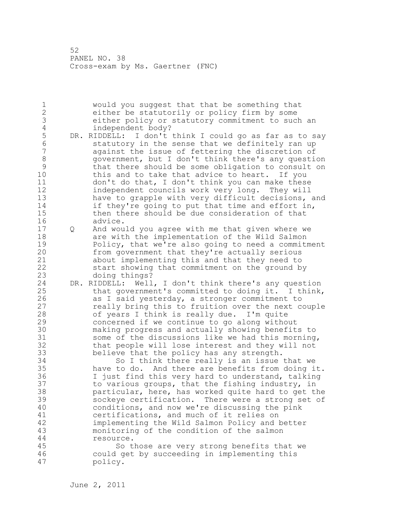1 would you suggest that that be something that 2 either be statutorily or policy firm by some 3 either policy or statutory commitment to such an 4 independent body?<br>5 DR. RIDDELL: I don't 5 DR. RIDDELL: I don't think I could go as far as to say<br>6 Statutory in the sense that we definitely ran up 6 statutory in the sense that we definitely ran up<br>7 against the issue of fettering the discretion of against the issue of fettering the discretion of 8 government, but I don't think there's any question<br>9 that there should be some obligation to consult on 9 that there should be some obligation to consult on<br>10 this and to take that advice to heart. If you this and to take that advice to heart. If you 11 don't do that, I don't think you can make these 12 independent councils work very long. They will 13 have to grapple with very difficult decisions, and 14 if they're going to put that time and effort in, 15 then there should be due consideration of that 16 advice. 17 Q And would you agree with me that given where we 18 are with the implementation of the Wild Salmon 19 Policy, that we're also going to need a commitment<br>20 from government that they're actually serious from government that they're actually serious 21 about implementing this and that they need to 22 start showing that commitment on the ground by 23 doing things? 24 DR. RIDDELL: Well, I don't think there's any question 25 that government's committed to doing it. I think, 26 as I said yesterday, a stronger commitment to<br>27 ceally bring this to fruition over the next c really bring this to fruition over the next couple 28 of years I think is really due. I'm quite 29 concerned if we continue to go along without 30 making progress and actually showing benefits to some of the discussions like we had this morning, 32 that people will lose interest and they will not 33 believe that the policy has any strength. 34 So I think there really is an issue that we 35 have to do. And there are benefits from doing it. 36 I just find this very hard to understand, talking 37 to various groups, that the fishing industry, in 38 particular, here, has worked quite hard to get the 39 sockeye certification. There were a strong set of 40 conditions, and now we're discussing the pink 41 certifications, and much of it relies on<br>42 implementing the Wild Salmon Policy and 1 implementing the Wild Salmon Policy and better 43 monitoring of the condition of the salmon 44 resource. 45 So those are very strong benefits that we 46 could get by succeeding in implementing this 47 policy.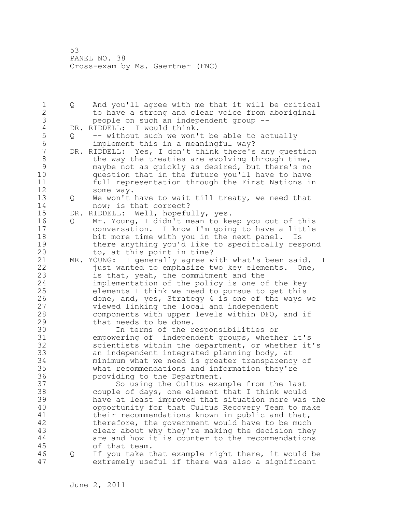1 Q And you'll agree with me that it will be critical 2 to have a strong and clear voice from aboriginal 3 people on such an independent group --<br>4 DR. RIDDELL: I would think. 4 DR. RIDDELL: I would think.<br>5 0 -- without such we won' 5 Q -- without such we won't be able to actually<br>6 implement this in a meaningful way? 6 implement this in a meaningful way?<br>7 DR. RIDDELL: Yes, I don't think there's DR. RIDDELL: Yes, I don't think there's any question 8 the way the treaties are evolving through time,<br>9 maybe not as quickly as desired, but there's no 9 maybe not as quickly as desired, but there's no<br>10 ouestion that in the future you'll have to have question that in the future you'll have to have 11 full representation through the First Nations in 12 some way. 13 Q We won't have to wait till treaty, we need that 14 now; is that correct? 15 DR. RIDDELL: Well, hopefully, yes. 16 Q Mr. Young, I didn't mean to keep you out of this 17 conversation. I know I'm going to have a little 18 bit more time with you in the next panel. Is 19 there anything you'd like to specifically respond<br>20 to, at this point in time? to, at this point in time? 21 MR. YOUNG: I generally agree with what's been said. I 22 just wanted to emphasize two key elements. One, 23 is that, yeah, the commitment and the 24 implementation of the policy is one of the key 25 elements I think we need to pursue to get this 26 done, and, yes, Strategy 4 is one of the ways we<br>27 viewed linking the local and independent viewed linking the local and independent 28 components with upper levels within DFO, and if 29 that needs to be done. 30 1n terms of the responsibilities or<br>31 6 mpowering of independent groups, wheth empowering of independent groups, whether it's 32 scientists within the department, or whether it's 33 an independent integrated planning body, at 34 minimum what we need is greater transparency of 35 what recommendations and information they're 36 providing to the Department. 37 So using the Cultus example from the last 38 couple of days, one element that I think would 39 have at least improved that situation more was the 40 opportunity for that Cultus Recovery Team to make 41 their recommendations known in public and that,<br>42 therefore, the government would have to be much therefore, the government would have to be much 43 clear about why they're making the decision they 44 are and how it is counter to the recommendations 45 of that team. 46 Q If you take that example right there, it would be 47 extremely useful if there was also a significant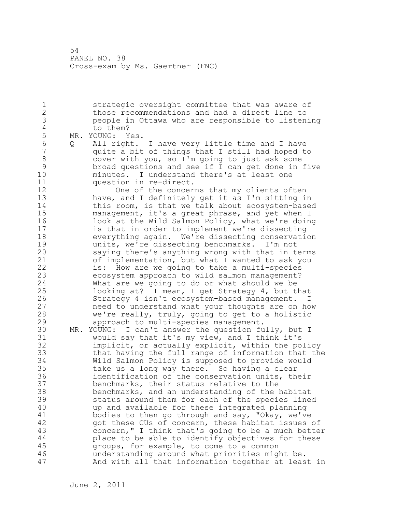1 strategic oversight committee that was aware of 2 those recommendations and had a direct line to 3 people in Ottawa who are responsible to listening 4 to them?<br>5 MR. YOUNG: Y 5 MR. YOUNG: Yes.<br>6 0 All right. 6 Q All right. I have very little time and I have quite a bit of things that I still had hoped to 8 cover with you, so I'm going to just ask some<br>9 broad questions and see if I can get done in 9 broad questions and see if I can get done in five minutes. I understand there's at least one 11 question in re-direct. 12 One of the concerns that my clients often 13 have, and I definitely get it as I'm sitting in 14 this room, is that we talk about ecosystem-based 15 management, it's a great phrase, and yet when I 16 look at the Wild Salmon Policy, what we're doing 17 is that in order to implement we're dissecting 18 everything again. We're dissecting conservation 19 units, we're dissecting benchmarks. I'm not<br>20 saying there's anything wrong with that in t saying there's anything wrong with that in terms 21 of implementation, but what I wanted to ask you 22 is: How are we going to take a multi-species 23 ecosystem approach to wild salmon management? 24 What are we going to do or what should we be 25 looking at? I mean, I get Strategy 4, but that 26 Strategy 4 isn't ecosystem-based management. I<br>27 meed to understand what your thoughts are on ho need to understand what your thoughts are on how 28 we're really, truly, going to get to a holistic 29 approach to multi-species management. 30 MR. YOUNG: I can't answer the question fully, but I<br>31 would say that it's my view, and I think it's would say that it's my view, and I think it's 32 implicit, or actually explicit, within the policy 33 that having the full range of information that the 34 Wild Salmon Policy is supposed to provide would 35 take us a long way there. So having a clear 36 identification of the conservation units, their 37 benchmarks, their status relative to the 38 benchmarks, and an understanding of the habitat 39 status around them for each of the species lined 40 up and available for these integrated planning 41 bodies to then go through and say, "Okay, we've<br>42 opt these CUs of concern, these habitat issues got these CUs of concern, these habitat issues of 43 concern," I think that's going to be a much better 44 place to be able to identify objectives for these 45 groups, for example, to come to a common 46 understanding around what priorities might be. 47 And with all that information together at least in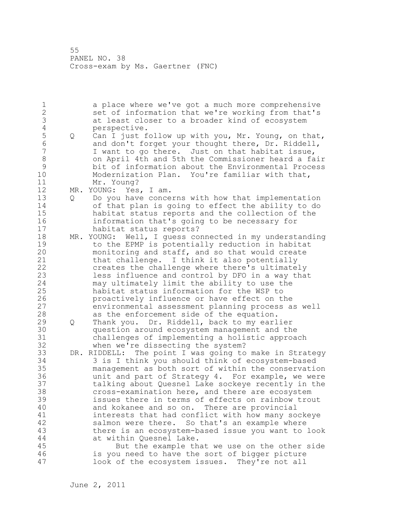1 a place where we've got a much more comprehensive 2 set of information that we're working from that's 3 at least closer to a broader kind of ecosystem 4 perspective.<br>5 Q Can I just f 5 Q Can I just follow up with you, Mr. Young, on that,<br>6 and don't forget your thought there, Dr. Riddell, 6 and don't forget your thought there, Dr. Riddell, I want to go there. Just on that habitat issue, 8 on April 4th and 5th the Commissioner heard a fair 9 bit of information about the Environmental Process<br>10 Modernization Plan. You're familiar with that, Modernization Plan. You're familiar with that, 11 Mr. Young? 12 MR. YOUNG: Yes, I am. 13 Q Do you have concerns with how that implementation 14 of that plan is going to effect the ability to do 15 habitat status reports and the collection of the 16 information that's going to be necessary for 17 habitat status reports? 18 MR. YOUNG: Well, I guess connected in my understanding 19 to the EPMP is potentially reduction in habitat<br>20 monitoring and staff, and so that would create monitoring and staff, and so that would create 21 that challenge. I think it also potentially 22 creates the challenge where there's ultimately 23 less influence and control by DFO in a way that 24 may ultimately limit the ability to use the 25 habitat status information for the WSP to 26 **proactively influence or have effect on the**<br>27 environmental assessment planning process a environmental assessment planning process as well 28 as the enforcement side of the equation. 29 Q Thank you. Dr. Riddell, back to my earlier 30 question around ecosystem management and the challenges of implementing a holistic approach 32 when we're dissecting the system? 33 DR. RIDDELL: The point I was going to make in Strategy 34 3 is I think you should think of ecosystem-based 35 management as both sort of within the conservation 36 unit and part of Strategy 4. For example, we were 37 talking about Quesnel Lake sockeye recently in the 38 cross-examination here, and there are ecosystem 39 issues there in terms of effects on rainbow trout 40 and kokanee and so on. There are provincial 41 interests that had conflict with how many sockeye<br>42 salmon were there. So that's an example where salmon were there. So that's an example where 43 there is an ecosystem-based issue you want to look 44 at within Quesnel Lake. 45 But the example that we use on the other side 46 is you need to have the sort of bigger picture 47 look of the ecosystem issues. They're not all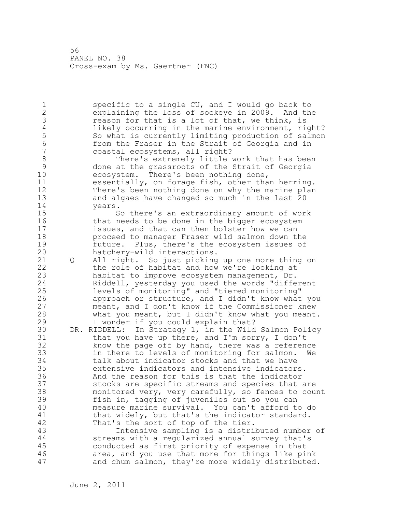1 specific to a single CU, and I would go back to 2 explaining the loss of sockeye in 2009. And the 3 reason for that is a lot of that, we think, is<br>4 likely occurring in the marine environment, ri-4 likely occurring in the marine environment, right?<br>5 So what is currently limiting production of salmon 5 So what is currently limiting production of salmon<br>6 from the Fraser in the Strait of Georgia and in 6 from the Fraser in the Strait of Georgia and in coastal ecosystems, all right? 8 There's extremely little work that has been<br>9 done at the grassroots of the Strait of Georgia 9 done at the grassroots of the Strait of Georgia<br>10 ecosystem. There's been nothing done, ecosystem. There's been nothing done, 11 essentially, on forage fish, other than herring. 12 There's been nothing done on why the marine plan 13 and algaes have changed so much in the last 20 14 years. 15 So there's an extraordinary amount of work 16 that needs to be done in the bigger ecosystem 17 issues, and that can then bolster how we can 18 proceed to manager Fraser wild salmon down the 19 future. Plus, there's the ecosystem issues of<br>20 hatchery-wild interactions. hatchery-wild interactions. 21 Q All right. So just picking up one more thing on 22 the role of habitat and how we're looking at 23 habitat to improve ecosystem management, Dr. 24 Riddell, yesterday you used the words "different 25 levels of monitoring" and "tiered monitoring" 26 approach or structure, and I didn't know what you<br>27 meant, and I don't know if the Commissioner knew meant, and I don't know if the Commissioner knew 28 what you meant, but I didn't know what you meant. 29 I wonder if you could explain that? 30 DR. RIDDELL: In Strategy 1, in the Wild Salmon Policy that you have up there, and I'm sorry, I don't 32 know the page off by hand, there was a reference 33 in there to levels of monitoring for salmon. 34 talk about indicator stocks and that we have 35 extensive indicators and intensive indicators. 36 And the reason for this is that the indicator 37 stocks are specific streams and species that are 38 monitored very, very carefully, so fences to count 39 fish in, tagging of juveniles out so you can 40 measure marine survival. You can't afford to do 41 that widely, but that's the indicator standard.<br>42 That's the sort of top of the tier. That's the sort of top of the tier. 43 Intensive sampling is a distributed number of 44 streams with a regularized annual survey that's 45 conducted as first priority of expense in that 46 area, and you use that more for things like pink 47 and chum salmon, they're more widely distributed.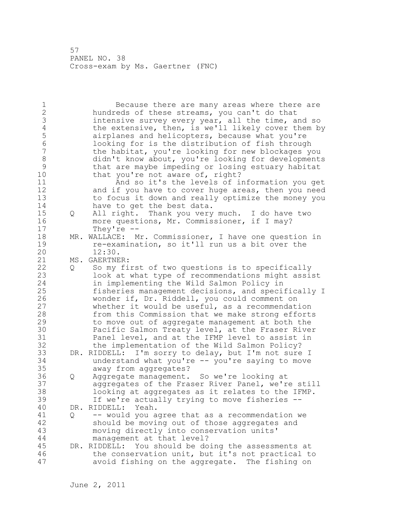1 Because there are many areas where there are 2 hundreds of these streams, you can't do that 3 intensive survey every year, all the time, and so<br>4 the extensive, then, is we'll likely cover them b 4 the extensive, then, is we'll likely cover them by<br>5 airplanes and helicopters, because what you're 5 airplanes and helicopters, because what you're<br>6 100king for is the distribution of fish through 6 looking for is the distribution of fish through the habitat, you're looking for new blockages you 8 didn't know about, you're looking for developments 9 that are maybe impeding or losing estuary habitat<br>10 that you're not aware of, right? that you're not aware of, right? 11 And so it's the levels of information you get 12 and if you have to cover huge areas, then you need 13 to focus it down and really optimize the money you 14 have to get the best data. 15 Q All right. Thank you very much. I do have two 16 more questions, Mr. Commissioner, if I may? 17 They're -- 18 MR. WALLACE: Mr. Commissioner, I have one question in 19 re-examination, so it'll run us a bit over the 20 12:30. 12:30. 21 MS. GAERTNER: 22 Q So my first of two questions is to specifically 23 look at what type of recommendations might assist 24 in implementing the Wild Salmon Policy in 25 fisheries management decisions, and specifically I 26 wonder if, Dr. Riddell, you could comment on<br>27 whether it would be useful, as a recommendat. whether it would be useful, as a recommendation 28 from this Commission that we make strong efforts 29 to move out of aggregate management at both the 30 Pacific Salmon Treaty level, at the Fraser River<br>31 Panel level, and at the IFMP level to assist in Panel level, and at the IFMP level to assist in 32 the implementation of the Wild Salmon Policy? 33 DR. RIDDELL: I'm sorry to delay, but I'm not sure I 34 understand what you're -- you're saying to move 35 away from aggregates? 36 Q Aggregate management. So we're looking at 37 aggregates of the Fraser River Panel, we're still 38 looking at aggregates as it relates to the IFMP. 39 If we're actually trying to move fisheries -- 40 DR. RIDDELL: Yeah. 41 Q -- would you agree that as a recommendation we should be moving out of those aggregates and 43 moving directly into conservation units' 44 management at that level? 45 DR. RIDDELL: You should be doing the assessments at 46 the conservation unit, but it's not practical to 47 avoid fishing on the aggregate. The fishing on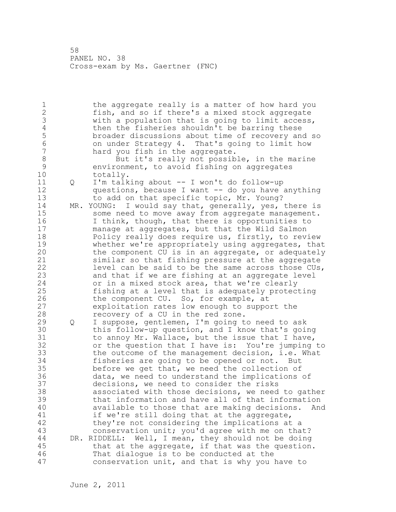1 the aggregate really is a matter of how hard you 2 fish, and so if there's a mixed stock aggregate 3 with a population that is going to limit access,<br>4 then the fisheries shouldn't be barring these 4 then the fisheries shouldn't be barring these<br>5 broader discussions about time of recovery an 5 broader discussions about time of recovery and so 6 on under Strategy 4. That's going to limit how hard you fish in the aggregate. 8 But it's really not possible, in the marine<br>9 environment, to avoid fishing on aggregates 9 environment, to avoid fishing on aggregates<br>10 totally. totally. 11 Q I'm talking about -- I won't do follow-up 12 questions, because I want -- do you have anything 13 to add on that specific topic, Mr. Young? 14 MR. YOUNG: I would say that, generally, yes, there is 15 some need to move away from aggregate management. 16 I think, though, that there is opportunities to 17 manage at aggregates, but that the Wild Salmon 18 Policy really does require us, firstly, to review 19 whether we're appropriately using aggregates, that<br>20 the component CU is in an aggregate, or adequately the component CU is in an aggregate, or adequately 21 similar so that fishing pressure at the aggregate 22 level can be said to be the same across those CUs, 23 and that if we are fishing at an aggregate level 24 or in a mixed stock area, that we're clearly 25 fishing at a level that is adequately protecting 26 the component CU. So, for example, at<br>27 exploitation rates low enough to suppo exploitation rates low enough to support the 28 recovery of a CU in the red zone. 29 Q I suppose, gentlemen, I'm going to need to ask 30 this follow-up question, and I know that's going 31 to annoy Mr. Wallace, but the issue that I have, 32 or the question that I have is: You're jumping to 33 the outcome of the management decision, i.e. What 34 fisheries are going to be opened or not. But 35 before we get that, we need the collection of 36 data, we need to understand the implications of 37 decisions, we need to consider the risks 38 associated with those decisions, we need to gather 39 that information and have all of that information 40 available to those that are making decisions. And 41 if we're still doing that at the aggregate,<br>42 they're not considering the implications at they're not considering the implications at a 43 conservation unit; you'd agree with me on that? 44 DR. RIDDELL: Well, I mean, they should not be doing 45 that at the aggregate, if that was the question. 46 That dialogue is to be conducted at the 47 conservation unit, and that is why you have to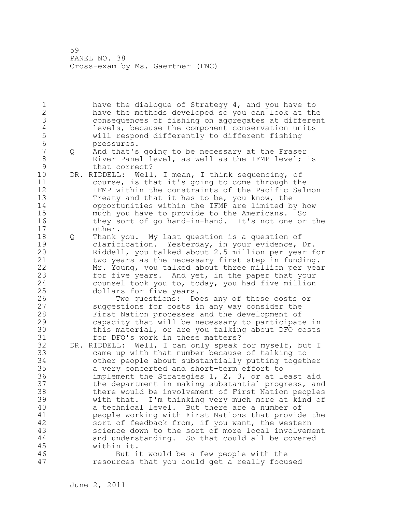1 have the dialogue of Strategy 4, and you have to 2 have the methods developed so you can look at the 3 consequences of fishing on aggregates at different 4 levels, because the component conservation units<br>5 will respond differently to different fishing 5 will respond differently to different fishing 6 pressures.<br>7 0 And that's 7 Q And that's going to be necessary at the Fraser 8 River Panel level, as well as the IFMP level; is 9 that correct?<br>10 DR. RIDDELL: Well DR. RIDDELL: Well, I mean, I think sequencing, of 11 course, is that it's going to come through the 12 IFMP within the constraints of the Pacific Salmon 13 Treaty and that it has to be, you know, the 14 opportunities within the IFMP are limited by how 15 much you have to provide to the Americans. So 16 they sort of go hand-in-hand. It's not one or the 17 other. 18 Q Thank you. My last question is a question of 19 clarification. Yesterday, in your evidence, Dr.<br>20 Riddell, you talked about 2.5 million per year f Riddell, you talked about 2.5 million per year for 21 two years as the necessary first step in funding. 22 Mr. Young, you talked about three million per year 23 for five years. And yet, in the paper that your 24 counsel took you to, today, you had five million 25 dollars for five years. 26 Two questions: Does any of these costs or<br>27 Suggestions for costs in any way consider the suggestions for costs in any way consider the 28 First Nation processes and the development of 29 capacity that will be necessary to participate in 30 this material, or are you talking about DFO costs<br>31 for DFO's work in these matters? for DFO's work in these matters? 32 DR. RIDDELL: Well, I can only speak for myself, but I 33 came up with that number because of talking to 34 other people about substantially putting together 35 a very concerted and short-term effort to 36 implement the Strategies 1, 2, 3, or at least aid 37 the department in making substantial progress, and 38 there would be involvement of First Nation peoples 39 with that. I'm thinking very much more at kind of 40 a technical level. But there are a number of 41 beople working with First Nations that provide the<br>42 sort of feedback from, if you want, the western sort of feedback from, if you want, the western 43 science down to the sort of more local involvement 44 and understanding. So that could all be covered 45 within it. 46 But it would be a few people with the 47 resources that you could get a really focused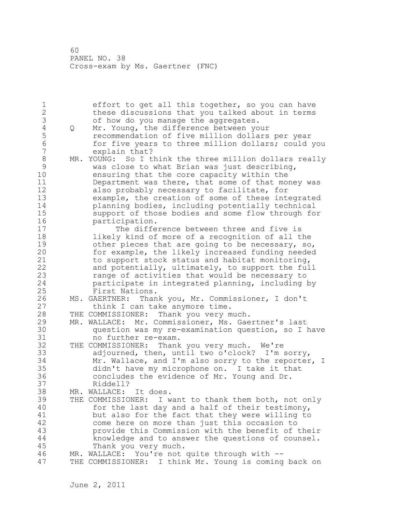1 effort to get all this together, so you can have 2 these discussions that you talked about in terms 3 of how do you manage the aggregates.<br>4 Q Mr. Young, the difference between yo 4 Q Mr. Young, the difference between your<br>5 recommendation of five million dollars 5 5 recommendation of five million dollars per year<br>6 6 for five years to three million dollars: could 6 for five years to three million dollars; could you explain that? 8 MR. YOUNG: So I think the three million dollars really 9 was close to what Brian was just describing, ensuring that the core capacity within the 11 Department was there, that some of that money was 12 also probably necessary to facilitate, for 13 example, the creation of some of these integrated 14 planning bodies, including potentially technical 15 support of those bodies and some flow through for 16 participation. 17 The difference between three and five is 18 likely kind of more of a recognition of all the 19 other pieces that are going to be necessary, so,<br>20 for example, the likely increased funding needed for example, the likely increased funding needed 21 to support stock status and habitat monitoring, 22 and potentially, ultimately, to support the full 23 range of activities that would be necessary to 24 participate in integrated planning, including by 25 First Nations. 26 MS. GAERTNER: Thank you, Mr. Commissioner, I don't<br>27 think I can take anymore time. think I can take anymore time. 28 THE COMMISSIONER: Thank you very much. 29 MR. WALLACE: Mr. Commissioner, Ms. Gaertner's last 30 question was my re-examination question, so I have no further re-exam. 32 THE COMMISSIONER: Thank you very much. We're 33 adjourned, then, until two o'clock? I'm sorry, 34 Mr. Wallace, and I'm also sorry to the reporter, I 35 didn't have my microphone on. I take it that 36 concludes the evidence of Mr. Young and Dr. 37 Riddell? 38 MR. WALLACE: It does. 39 THE COMMISSIONER: I want to thank them both, not only 40 for the last day and a half of their testimony, 41 but also for the fact that they were willing to<br>42 come here on more than just this occasion to come here on more than just this occasion to 43 provide this Commission with the benefit of their 44 knowledge and to answer the questions of counsel. 45 Thank you very much. 46 MR. WALLACE: You're not quite through with -- 47 THE COMMISSIONER: I think Mr. Young is coming back on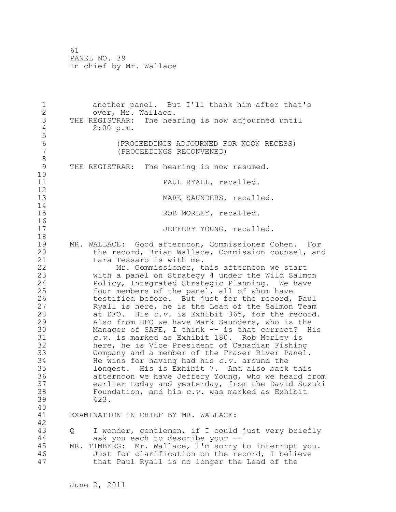1 another panel. But I'll thank him after that's 2 over, Mr. Wallace. 3 THE REGISTRAR: The hearing is now adjourned until<br>4 2:00 p.m.  $2:00$  p.m. 5 6 (PROCEEDINGS ADJOURNED FOR NOON RECESS) 7 (PROCEEDINGS RECONVENED) 8<br>9 THE REGISTRAR: The hearing is now resumed. 10 11 PAUL RYALL, recalled. 12 13 MARK SAUNDERS, recalled.  $\begin{array}{c} 14 \\ 15 \end{array}$ ROB MORLEY, recalled.  $\begin{array}{c} 16 \\ 17 \end{array}$ JEFFERY YOUNG, recalled. 18 19 MR. WALLACE: Good afternoon, Commissioner Cohen. For<br>20 the record, Brian Wallace, Commission counsel, and the record, Brian Wallace, Commission counsel, and 21 Lara Tessaro is with me. 22 Mr. Commissioner, this afternoon we start 23 with a panel on Strategy 4 under the Wild Salmon 24 Policy, Integrated Strategic Planning. We have 25 four members of the panel, all of whom have 26 testified before. But just for the record, Paul<br>27 Ryall is here, he is the Lead of the Salmon Team 27 Ryall is here, he is the Lead of the Salmon Team<br>28 at DFO. His c.v. is Exhibit 365. for the record at DFO. His *c.v.* is Exhibit 365, for the record. 29 Also from DFO we have Mark Saunders, who is the 30 Manager of SAFE, I think -- is that correct? His<br>31 C.v. is marked as Exhibit 180. Rob Morlev is 31 *c.v.* is marked as Exhibit 180. Rob Morley is here, he is Vice President of Canadian Fishing 33 Company and a member of the Fraser River Panel. 34 He wins for having had his *c.v.* around the 35 longest. His is Exhibit 7. And also back this 36 afternoon we have Jeffery Young, who we heard from 37 earlier today and yesterday, from the David Suzuki 38 Foundation, and his *c.v.* was marked as Exhibit 39 423. 40 41 EXAMINATION IN CHIEF BY MR. WALLACE: 42 43 Q I wonder, gentlemen, if I could just very briefly 44 ask you each to describe your -- 45 MR. TIMBERG: Mr. Wallace, I'm sorry to interrupt you. 46 Just for clarification on the record, I believe 47 that Paul Ryall is no longer the Lead of the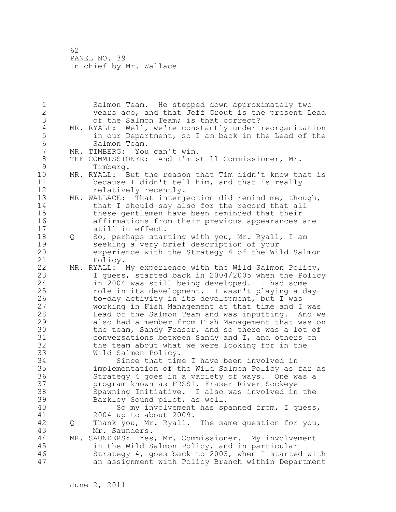1 Salmon Team. He stepped down approximately two 2 years ago, and that Jeff Grout is the present Lead 3 of the Salmon Team; is that correct?<br>4 MR. RYALL: Well, we're constantly under 4 MR. RYALL: Well, we're constantly under reorganization<br>5 in our Department, so I am back in the Lead of the 5 in our Department, so I am back in the Lead of the<br>6 Salmon Team. 6 Salmon Team.<br>7 MR. TIMBERG: You MR. TIMBERG: You can't win. 8 THE COMMISSIONER: And I'm still Commissioner, Mr. 9 Timberg.<br>10 MR. RYALL: B MR. RYALL: But the reason that Tim didn't know that is 11 because I didn't tell him, and that is really 12 relatively recently. 13 MR. WALLACE: That interjection did remind me, though, 14 that I should say also for the record that all 15 these gentlemen have been reminded that their 16 affirmations from their previous appearances are 17 still in effect. 18 Q So, perhaps starting with you, Mr. Ryall, I am 19 seeking a very brief description of your<br>20 experience with the Strategy 4 of the Wi experience with the Strategy 4 of the Wild Salmon 21 Policy. 22 MR. RYALL: My experience with the Wild Salmon Policy, 23 I guess, started back in 2004/2005 when the Policy 24 in 2004 was still being developed. I had some 25 role in its development. I wasn't playing a day-26 to-day activity in its development, but I was<br>27 working in Fish Management at that time and I working in Fish Management at that time and I was 28 Lead of the Salmon Team and was inputting. And we 29 also had a member from Fish Management that was on 30 the team, Sandy Fraser, and so there was a lot of<br>31 conversations between Sandy and I, and others on 31 conversations between Sandy and I, and others on<br>32 the team about what we were looking for in the the team about what we were looking for in the 33 Wild Salmon Policy. 34 Since that time I have been involved in 35 implementation of the Wild Salmon Policy as far as 36 Strategy 4 goes in a variety of ways. One was a 37 program known as FRSSI, Fraser River Sockeye 38 Spawning Initiative. I also was involved in the 39 Barkley Sound pilot, as well. 40 So my involvement has spanned from, I guess, 41 2004 up to about 2009.<br>42 0 Thank you, Mr. Ryall. 42 Q Thank you, Mr. Ryall. The same question for you, 43 Mr. Saunders. 44 MR. SAUNDERS: Yes, Mr. Commissioner. My involvement 45 in the Wild Salmon Policy, and in particular 46 Strategy 4, goes back to 2003, when I started with 47 an assignment with Policy Branch within Department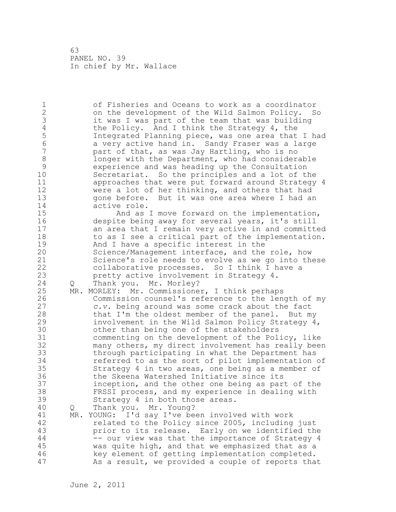1 of Fisheries and Oceans to work as a coordinator 2 on the development of the Wild Salmon Policy. So 3 it was I was part of the team that was building<br>4 the Policy. And I think the Strategy 4, the 4 the Policy. And I think the Strategy 4, the<br>5 Integrated Planning piece, was one area that 5 Integrated Planning piece, was one area that I had 6 6 a very active hand in. Sandy Fraser was a large<br>7 a bart of that, as was Jav Hartling, who is no part of that, as was Jay Hartling, who is no 8 longer with the Department, who had considerable<br>9 experience and was heading up the Consultation 9 experience and was heading up the Consultation Secretariat. So the principles and a lot of the 11 approaches that were put forward around Strategy 4 12 were a lot of her thinking, and others that had<br>13 oone before. But it was one area where I had an gone before. But it was one area where I had an 14 active role. 15 And as I move forward on the implementation, 16 despite being away for several years, it's still 17 an area that I remain very active in and committed 18 to as I see a critical part of the implementation. 19 And I have a specific interest in the<br>20 Science/Management interface, and the Science/Management interface, and the role, how 21 Science's role needs to evolve as we go into these 22 collaborative processes. So I think I have a 23 pretty active involvement in Strategy 4. 24 Q Thank you. Mr. Morley? 25 MR. MORLEY: Mr. Commissioner, I think perhaps 26 Commission counsel's reference to the length of my<br>27 c.v. being around was some crack about the fact c.v. being around was some crack about the fact 28 that I'm the oldest member of the panel. But my 29 involvement in the Wild Salmon Policy Strategy 4, 30 other than being one of the stakeholders<br>31 commenting on the development of the Pol 31 commenting on the development of the Policy, like<br>32 many others, my direct involvement has really bee: many others, my direct involvement has really been 33 through participating in what the Department has 34 referred to as the sort of pilot implementation of 35 Strategy 4 in two areas, one being as a member of 36 the Skeena Watershed Initiative since its 37 inception, and the other one being as part of the 38 FRSSI process, and my experience in dealing with 39 Strategy 4 in both those areas. 40 Q Thank you. Mr. Young? 41 MR. YOUNG: I'd say I've been involved with work<br>42 felated to the Policy since 2005, including related to the Policy since 2005, including just 43 prior to its release. Early on we identified the 44 -- our view was that the importance of Strategy 4 45 was quite high, and that we emphasized that as a 46 key element of getting implementation completed. 47 As a result, we provided a couple of reports that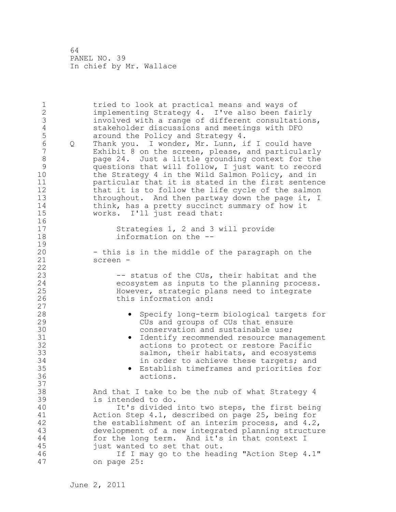1 tried to look at practical means and ways of 2 implementing Strategy 4. I've also been fairly 3 involved with a range of different consultations, 4 stakeholder discussions and meetings with DFO<br>5 around the Policy and Strategy 4. 5 around the Policy and Strategy 4.<br>6 0 Thank you. I wonder, Mr. Lunn, i 6 Q Thank you. I wonder, Mr. Lunn, if I could have Exhibit 8 on the screen, please, and particularly 8 page 24. Just a little grounding context for the 9 questions that will follow, I just want to record the Strategy 4 in the Wild Salmon Policy, and in 11 particular that it is stated in the first sentence 12 that it is to follow the life cycle of the salmon 13 throughout. And then partway down the page it, I 14 think, has a pretty succinct summary of how it 15 works. I'll just read that: 16 17 Strategies 1, 2 and 3 will provide 18 information on the --  $\frac{19}{20}$ - this is in the middle of the paragraph on the 21 screen - 22 23 -- status of the CUs, their habitat and the 24 ecosystem as inputs to the planning process. 25 However, strategic plans need to integrate 26 this information and: 27 28 • Specify long-term biological targets for 29 CUs and groups of CUs that ensure 30 conservation and sustainable use;<br>31 e Identify recommended resource man 31 • Identify recommended resource management<br>32 · Cartions to protect or restore Pacific actions to protect or restore Pacific 33 salmon, their habitats, and ecosystems 34 in order to achieve these targets; and 35 • Establish timeframes and priorities for 36 actions. 37 38 And that I take to be the nub of what Strategy 4 39 is intended to do. 40 It's divided into two steps, the first being 41 Action Step 4.1, described on page 25, being for 42 the establishment of an interim process, and 4.2, 43 development of a new integrated planning structure 44 for the long term. And it's in that context I 45 just wanted to set that out. 46 If I may go to the heading "Action Step 4.1" 47 on page 25: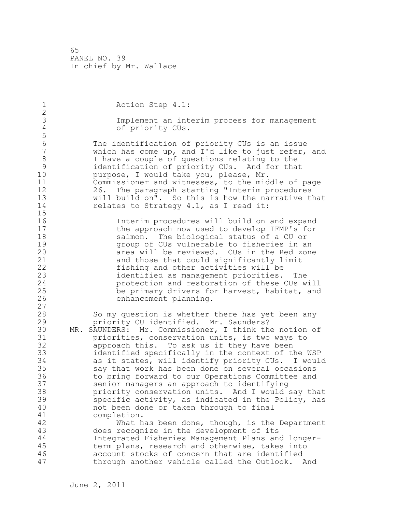1 Action Step 4.1: 2 3 Implement an interim process for management<br>4 of priority CUs. of priority CUs. 5 6 The identification of priority CUs is an issue<br>7 Which has come up, and I'd like to just refer, which has come up, and I'd like to just refer, and 8 I have a couple of questions relating to the<br>9 identification of priority CUs. And for tha 9 identification of priority CUs. And for that<br>10 murpose, I would take you, please, Mr. purpose, I would take you, please, Mr. 11 Commissioner and witnesses, to the middle of page 12 26. The paragraph starting "Interim procedures 13 will build on". So this is how the narrative that 14 relates to Strategy 4.1, as I read it: 15 16 Interim procedures will build on and expand 17 the approach now used to develop IFMP's for 18 salmon. The biological status of a CU or 19 19 group of CUs vulnerable to fisheries in an<br>20 19 area will be reviewed. CUs in the Red zone area will be reviewed. CUs in the Red zone 21 and those that could significantly limit 22 fishing and other activities will be 23 identified as management priorities. The 24 protection and restoration of these CUs will 25 be primary drivers for harvest, habitat, and 26 enhancement planning. 27 28 So my question is whether there has yet been any 29 priority CU identified. Mr. Saunders? 30 MR. SAUNDERS: Mr. Commissioner, I think the notion of<br>31 **bullisher** conservation units, is two ways to priorities, conservation units, is two ways to 32 approach this. To ask us if they have been 33 identified specifically in the context of the WSP 34 as it states, will identify priority CUs. I would 35 say that work has been done on several occasions 36 to bring forward to our Operations Committee and 37 senior managers an approach to identifying 38 priority conservation units. And I would say that 39 specific activity, as indicated in the Policy, has 40 not been done or taken through to final 41 completion.<br>42 What h What has been done, though, is the Department 43 does recognize in the development of its 44 Integrated Fisheries Management Plans and longer-45 term plans, research and otherwise, takes into 46 account stocks of concern that are identified 47 through another vehicle called the Outlook. And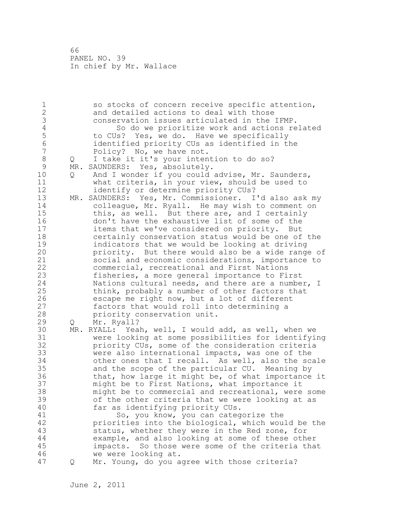1 so stocks of concern receive specific attention, 2 and detailed actions to deal with those 3 conservation issues articulated in the IFMP.<br>4 So do we prioritize work and actions re 4 So do we prioritize work and actions related<br>5 to CUs? Yes, we do. Have we specifically 5 to CUs? Yes, we do. Have we specifically<br>6 identified priority CUs as identified in t 6 identified priority CUs as identified in the Policy? No, we have not. 8 Q I take it it's your intention to do so? 9 MR. SAUNDERS: Yes, absolutely.<br>10 0 And I wonder if you could Q And I wonder if you could advise, Mr. Saunders, 11 what criteria, in your view, should be used to 12 identify or determine priority CUs? 13 MR. SAUNDERS: Yes, Mr. Commissioner. I'd also ask my 14 colleague, Mr. Ryall. He may wish to comment on 15 this, as well. But there are, and I certainly 16 don't have the exhaustive list of some of the 17 items that we've considered on priority. But 18 certainly conservation status would be one of the 19 indicators that we would be looking at driving<br>20 priority. But there would also be a wide range priority. But there would also be a wide range of 21 social and economic considerations, importance to 22 commercial, recreational and First Nations 23 fisheries, a more general importance to First 24 Nations cultural needs, and there are a number, I 25 think, probably a number of other factors that 26 escape me right now, but a lot of different<br>27 factors that would roll into determining a factors that would roll into determining a 28 priority conservation unit. 29 Q Mr. Ryall? 30 MR. RYALL: Yeah, well, I would add, as well, when we 31 were looking at some possibilities for identifying priority CUs, some of the consideration criteria 33 were also international impacts, was one of the 34 other ones that I recall. As well, also the scale 35 and the scope of the particular CU. Meaning by 36 that, how large it might be, of what importance it 37 might be to First Nations, what importance it 38 might be to commercial and recreational, were some 39 of the other criteria that we were looking at as 40 far as identifying priority CUs. 41 So, you know, you can categorize the<br>42 priorities into the biological, which wou priorities into the biological, which would be the 43 status, whether they were in the Red zone, for 44 example, and also looking at some of these other 45 impacts. So those were some of the criteria that 46 we were looking at. 47 Q Mr. Young, do you agree with those criteria?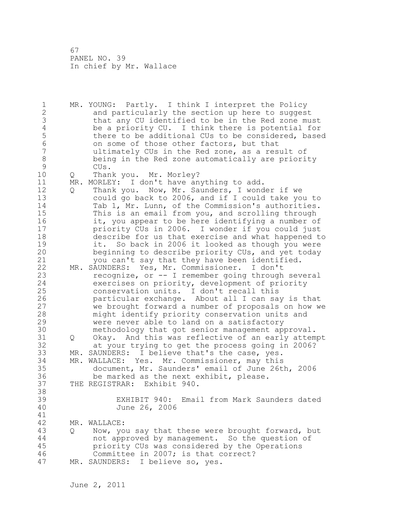1 MR. YOUNG: Partly. I think I interpret the Policy 2 and particularly the section up here to suggest 3 that any CU identified to be in the Red zone must<br>4 be a priority CU. I think there is potential for 4 be a priority CU. I think there is potential for<br>5 there to be additional CUs to be considered, base 5 there to be additional CUs to be considered, based 6 on some of those other factors, but that<br>7 all timately CUs in the Red zone, as a res ultimately CUs in the Red zone, as a result of 8 being in the Red zone automatically are priority 9 CUs.<br>10 O Than 10 Q Thank you. Mr. Morley? 11 MR. MORLEY: I don't have anything to add. 12 Q Thank you. Now, Mr. Saunders, I wonder if we 13 could go back to 2006, and if I could take you to 14 Tab 1, Mr. Lunn, of the Commission's authorities. 15 This is an email from you, and scrolling through 16 it, you appear to be here identifying a number of 17 priority CUs in 2006. I wonder if you could just 18 describe for us that exercise and what happened to 19 it. So back in 2006 it looked as though you were<br>20 beginning to describe priority CUs, and yet today beginning to describe priority CUs, and yet today 21 you can't say that they have been identified. 22 MR. SAUNDERS: Yes, Mr. Commissioner. I don't 23 recognize, or -- I remember going through several 24 exercises on priority, development of priority 25 conservation units. I don't recall this 26 particular exchange. About all I can say is that<br>27 we brought forward a number of proposals on how we we brought forward a number of proposals on how we 28 might identify priority conservation units and 29 were never able to land on a satisfactory 30 methodology that got senior management approval. Q Okay. And this was reflective of an early attempt 32 at your trying to get the process going in 2006? 33 MR. SAUNDERS: I believe that's the case, yes. 34 MR. WALLACE: Yes. Mr. Commissioner, may this 35 document, Mr. Saunders' email of June 26th, 2006 36 be marked as the next exhibit, please. 37 THE REGISTRAR: Exhibit 940. 38 39 EXHIBIT 940: Email from Mark Saunders dated 40 June 26, 2006 41<br>42 MR. WALLACE: 43 Q Now, you say that these were brought forward, but 44 not approved by management. So the question of 45 priority CUs was considered by the Operations 46 Committee in 2007; is that correct? 47 MR. SAUNDERS: I believe so, yes.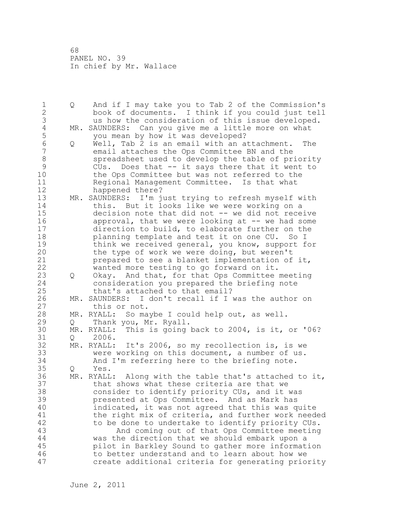1 Q And if I may take you to Tab 2 of the Commission's 2 book of documents. I think if you could just tell 3 us how the consideration of this issue developed.<br>4 MR. SAUNDERS: Can you give me a little more on what 4 MR. SAUNDERS: Can you give me a little more on what<br>5 vou mean by how it was developed? 5 you mean by how it was developed?<br>6 0 Well, Tab 2 is an email with an a 6 Q Well, Tab 2 is an email with an attachment. The email attaches the Ops Committee BN and the 8 spreadsheet used to develop the table of priority<br>9 CUs. Does that -- it says there that it went to 9 CUs. Does that -- it says there that it went to<br>10 the Ops Committee but was not referred to the the Ops Committee but was not referred to the 11 Regional Management Committee. Is that what 12 happened there? 13 MR. SAUNDERS: I'm just trying to refresh myself with 14 this. But it looks like we were working on a 15 decision note that did not -- we did not receive 16 approval, that we were looking at -- we had some 17 direction to build, to elaborate further on the 18 planning template and test it on one CU. So I 19 think we received general, you know, support for<br>20 the type of work we were doing, but weren't the type of work we were doing, but weren't 21 prepared to see a blanket implementation of it, 22 wanted more testing to go forward on it. 23 Q Okay. And that, for that Ops Committee meeting 24 consideration you prepared the briefing note 25 that's attached to that email? 26 MR. SAUNDERS: I don't recall if I was the author on<br>27 this or not. this or not. 28 MR. RYALL: So maybe I could help out, as well. 29 Q Thank you, Mr. Ryall. 30 MR. RYALL: This is going back to 2004, is it, or '06? 31 Q 2006.<br>32 MR. RYALL: MR. RYALL: It's 2006, so my recollection is, is we 33 were working on this document, a number of us. 34 And I'm referring here to the briefing note. 35 Q Yes. 36 MR. RYALL: Along with the table that's attached to it, 37 that shows what these criteria are that we 38 consider to identify priority CUs, and it was 39 presented at Ops Committee. And as Mark has 40 indicated, it was not agreed that this was quite 41 the right mix of criteria, and further work needed<br>42 to be done to undertake to identify priority CUs. to be done to undertake to identify priority CUs. 43 And coming out of that Ops Committee meeting 44 was the direction that we should embark upon a 45 pilot in Barkley Sound to gather more information 46 to better understand and to learn about how we 47 create additional criteria for generating priority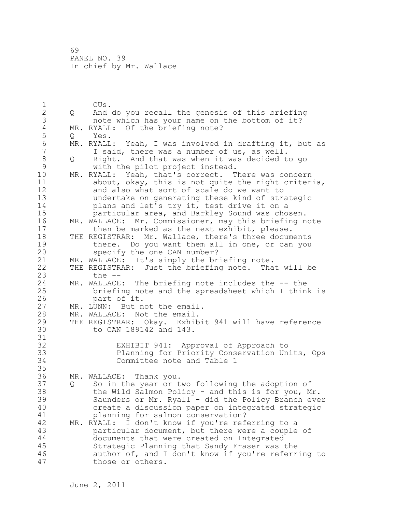1 CUs. 2 Q And do you recall the genesis of this briefing 3 note which has your name on the bottom of it?<br>4 MR. RYALL: Of the briefing note? 4 MR. RYALL: Of the briefing note?<br>5 0 Yes. 5 Q Yes.<br>6 MR.RYALL 6 MR. RYALL: Yeah, I was involved in drafting it, but as<br>7 T said, there was a number of us, as well. I said, there was a number of us, as well. 8 Q Right. And that was when it was decided to go 9 with the pilot project instead.<br>10 MR. RYALL: Yeah, that's correct. T MR. RYALL: Yeah, that's correct. There was concern 11 about, okay, this is not quite the right criteria, 12 and also what sort of scale do we want to 13 undertake on generating these kind of strategic 14 plans and let's try it, test drive it on a 15 particular area, and Barkley Sound was chosen. 16 MR. WALLACE: Mr. Commissioner, may this briefing note 17 then be marked as the next exhibit, please. 18 THE REGISTRAR: Mr. Wallace, there's three documents 19 there. Do you want them all in one, or can you<br>20 specify the one CAN number? specify the one CAN number? 21 MR. WALLACE: It's simply the briefing note. 22 THE REGISTRAR: Just the briefing note. That will be 23 the -- 24 MR. WALLACE: The briefing note includes the -- the 25 briefing note and the spreadsheet which I think is 26 part of it.<br>27 MR. LUNN: But n MR. LUNN: But not the email. 28 MR. WALLACE: Not the email. 29 THE REGISTRAR: Okay. Exhibit 941 will have reference 30 to CAN 189142 and 143. 31<br>32 EXHIBIT 941: Approval of Approach to 33 Planning for Priority Conservation Units, Ops 34 Committee note and Table 1 35 36 MR. WALLACE: Thank you. 37 Q So in the year or two following the adoption of 38 the Wild Salmon Policy - and this is for you, Mr. 39 Saunders or Mr. Ryall - did the Policy Branch ever 40 create a discussion paper on integrated strategic 41 planning for salmon conservation?<br>42 MR. RYALL: I don't know if you're ref MR. RYALL: I don't know if you're referring to a 43 particular document, but there were a couple of 44 documents that were created on Integrated 45 Strategic Planning that Sandy Fraser was the 46 author of, and I don't know if you're referring to 47 those or others.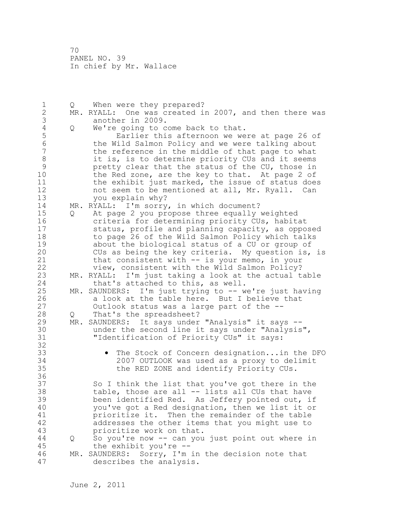| 1                | Q   | When were they prepared?                               |
|------------------|-----|--------------------------------------------------------|
| $\mathbf{2}$     |     | MR. RYALL: One was created in 2007, and then there was |
| 3                |     | another in 2009.                                       |
| $\sqrt{4}$       | Q   | We're going to come back to that.                      |
| 5                |     | Earlier this afternoon we were at page 26 of           |
| $\sqrt{6}$       |     | the Wild Salmon Policy and we were talking about       |
| $\boldsymbol{7}$ |     | the reference in the middle of that page to what       |
| $\,8\,$          |     | it is, is to determine priority CUs and it seems       |
| $\mathcal{G}$    |     | pretty clear that the status of the CU, those in       |
| 10               |     | the Red zone, are the key to that. At page 2 of        |
| 11               |     | the exhibit just marked, the issue of status does      |
| 12               |     | not seem to be mentioned at all, Mr. Ryall. Can        |
| 13               |     |                                                        |
|                  |     | you explain why?                                       |
| 14               |     | MR. RYALL: I'm sorry, in which document?               |
| 15               | Q   | At page 2 you propose three equally weighted           |
| 16               |     | criteria for determining priority CUs, habitat         |
| 17               |     | status, profile and planning capacity, as opposed      |
| 18               |     | to page 26 of the Wild Salmon Policy which talks       |
| 19               |     | about the biological status of a CU or group of        |
| 20               |     | CUs as being the key criteria. My question is, is      |
| 21               |     | that consistent with -- is your memo, in your          |
| 22               |     | view, consistent with the Wild Salmon Policy?          |
| 23               |     | MR. RYALL: I'm just taking a look at the actual table  |
| 24               |     | that's attached to this, as well.                      |
| 25               | MR. | SAUNDERS: I'm just trying to -- we're just having      |
| 26               |     | a look at the table here. But I believe that           |
| 27               |     | Outlook status was a large part of the --              |
| 28               | Q   | That's the spreadsheet?                                |
| 29               |     | MR. SAUNDERS: It says under "Analysis" it says --      |
| 30               |     | under the second line it says under "Analysis",        |
| 31               |     | "Identification of Priority CUs" it says:              |
| 32               |     |                                                        |
| 33               |     | The Stock of Concern designationin the DFO             |
| 34               |     | 2007 OUTLOOK was used as a proxy to delimit            |
| 35               |     | the RED ZONE and identify Priority CUs.                |
| 36               |     |                                                        |
| 37               |     | So I think the list that you've got there in the       |
| 38               |     | table, those are all -- lists all CUs that have        |
| 39               |     | been identified Red. As Jeffery pointed out, if        |
| 40               |     | you've got a Red designation, then we list it or       |
| 41               |     | prioritize it. Then the remainder of the table         |
| 42               |     | addresses the other items that you might use to        |
| 43               |     | prioritize work on that.                               |
| 44               | Q   | So you're now -- can you just point out where in       |
| 45               |     | the exhibit you're --                                  |
| 46               |     | MR. SAUNDERS: Sorry, I'm in the decision note that     |
| 47               |     | describes the analysis.                                |
|                  |     |                                                        |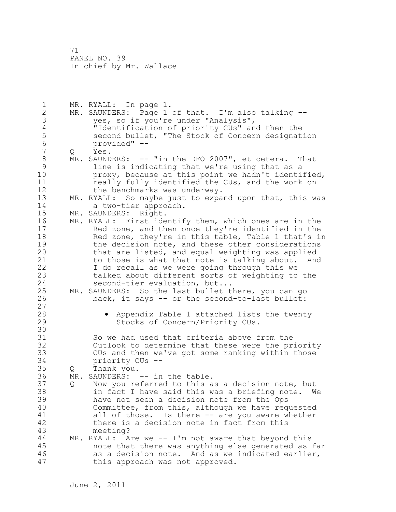1 MR. RYALL: In page 1. 2 MR. SAUNDERS: Page 1 of that. I'm also talking -- 3 yes, so if you're under "Analysis",<br>4 Tidentification of priority CUs" and 4 "Identification of priority CUs" and then the<br>5 second bullet, "The Stock of Concern designat 5 second bullet, "The Stock of Concern designation<br>6 provided" --6 provided" --<br>7 0 Yes. Q Yes. 8 MR. SAUNDERS: -- "in the DFO 2007", et cetera. That 9 1ine is indicating that we're using that as a<br>10 10 broxy, because at this point we hadn't identi proxy, because at this point we hadn't identified, 11 really fully identified the CUs, and the work on 12 the benchmarks was underway. 13 MR. RYALL: So maybe just to expand upon that, this was<br>14 a two-tier approach. a two-tier approach. 15 MR. SAUNDERS: Right. 16 MR. RYALL: First identify them, which ones are in the 17 Red zone, and then once they're identified in the 18 Red zone, they're in this table, Table 1 that's in 19 the decision note, and these other considerations<br>20 that are listed, and equal weighting was applied that are listed, and equal weighting was applied 21 to those is what that note is talking about. And 22 I do recall as we were going through this we 23 talked about different sorts of weighting to the 24 second-tier evaluation, but... 25 MR. SAUNDERS: So the last bullet there, you can go 26 back, it says -- or the second-to-last bullet: 27 28 • Appendix Table 1 attached lists the twenty 29 Stocks of Concern/Priority CUs. 30<br>31 So we had used that criteria above from the 32 Outlook to determine that these were the priority 33 CUs and then we've got some ranking within those 34 priority CUs -- 35 Q Thank you. 36 MR. SAUNDERS: -- in the table. 37 Q Now you referred to this as a decision note, but 38 in fact I have said this was a briefing note. We 39 have not seen a decision note from the Ops 40 Committee, from this, although we have requested 41 all of those. Is there -- are you aware whether<br>42 there is a decision note in fact from this there is a decision note in fact from this 43 meeting? 44 MR. RYALL: Are we -- I'm not aware that beyond this 45 note that there was anything else generated as far 46 as a decision note. And as we indicated earlier, 47 this approach was not approved.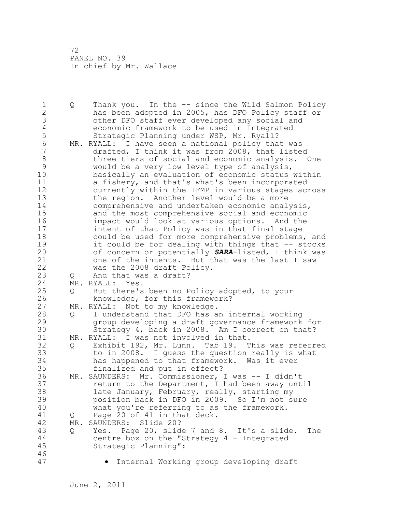1 Q Thank you. In the -- since the Wild Salmon Policy 2 has been adopted in 2005, has DFO Policy staff or 3 other DFO staff ever developed any social and 4 economic framework to be used in Integrated<br>5 Strategic Planning under WSP, Mr. Ryall? 5 Strategic Planning under WSP, Mr. Ryall?<br>6 MR. RYALL: I have seen a national policy tha 6 MR. RYALL: I have seen a national policy that was drafted, I think it was from 2008, that listed 8 three tiers of social and economic analysis. One<br>9 would be a very low level type of analysis, 9 would be a very low level type of analysis, basically an evaluation of economic status within 11 a fishery, and that's what's been incorporated 12 currently within the IFMP in various stages across 13 the region. Another level would be a more 14 comprehensive and undertaken economic analysis, 15 and the most comprehensive social and economic 16 impact would look at various options. And the 17 intent of that Policy was in that final stage 18 could be used for more comprehensive problems, and 19 it could be for dealing with things that -- stocks<br>20 of concern or potentially **SARA**-listed, I think was of concern or potentially **SARA-listed**, I think was 21 one of the intents. But that was the last I saw 22 was the 2008 draft Policy. 23 Q And that was a draft? 24 MR. RYALL: Yes. 25 Q But there's been no Policy adopted, to your 26 knowledge, for this framework?<br>27 MR. RYALL: Not to my knowledge. MR. RYALL: Not to my knowledge. 28 Q I understand that DFO has an internal working 29 group developing a draft governance framework for 30 Strategy 4, back in 2008. Am I correct on that?<br>31 MR. RYALL: I was not involved in that. MR. RYALL: I was not involved in that. 32 Q Exhibit 192, Mr. Lunn. Tab 19. This was referred 33 to in 2008. I guess the question really is what 34 has happened to that framework. Was it ever 35 finalized and put in effect? 36 MR. SAUNDERS: Mr. Commissioner, I was -- I didn't 37 return to the Department, I had been away until 38 late January, February, really, starting my 39 position back in DFO in 2009. So I'm not sure 40 what you're referring to as the framework. 41 Q Page 20 of 41 in that deck.<br>42 MR. SAUNDERS: Slide 20? MR. SAUNDERS: Slide 20? 43 Q Yes. Page 20, slide 7 and 8. It's a slide. The 44 centre box on the "Strategy 4 - Integrated 45 Strategic Planning": 46 47 • Internal Working group developing draft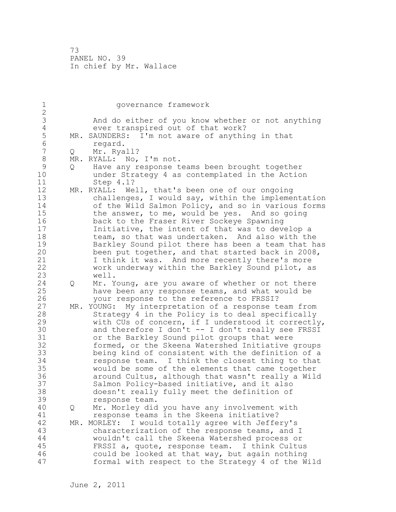1 governance framework 2 3 And do either of you know whether or not anything<br>4 ever transpired out of that work? 4 ever transpired out of that work?<br>5 MR. SAUNDERS: I'm not aware of anythi 5 MR. SAUNDERS: I'm not aware of anything in that<br>6 megard. 6 regard. Q Mr. Ryall? 8 MR. RYALL: No, I'm not.<br>9 0 Have any response t 9 Q Have any response teams been brought together<br>10 ander Strategy 4 as contemplated in the Actio under Strategy 4 as contemplated in the Action 11 Step 4.1? 12 MR. RYALL: Well, that's been one of our ongoing 13 challenges, I would say, within the implementation 14 of the Wild Salmon Policy, and so in various forms 15 the answer, to me, would be yes. And so going 16 back to the Fraser River Sockeye Spawning 17 Initiative, the intent of that was to develop a 18 team, so that was undertaken. And also with the 19 Barkley Sound pilot there has been a team that has<br>20 been put together, and that started back in 2008, been put together, and that started back in 2008, 21 I think it was. And more recently there's more 22 work underway within the Barkley Sound pilot, as 23 well. 24 Q Mr. Young, are you aware of whether or not there 25 have been any response teams, and what would be 26 your response to the reference to FRSSI?<br>27 MR. YOUNG: My interpretation of a response t MR. YOUNG: My interpretation of a response team from 28 Strategy 4 in the Policy is to deal specifically 29 with CUs of concern, if I understood it correctly, 30 and therefore I don't -- I don't really see FRSSI<br>31 or the Barkley Sound pilot groups that were or the Barkley Sound pilot groups that were 32 formed, or the Skeena Watershed Initiative groups 33 being kind of consistent with the definition of a 34 response team. I think the closest thing to that 35 would be some of the elements that came together 36 around Cultus, although that wasn't really a Wild 37 Salmon Policy-based initiative, and it also 38 doesn't really fully meet the definition of 39 response team. 40 Q Mr. Morley did you have any involvement with 41 **response teams in the Skeena initiative?**<br>42 MR. MORLEY: I would totally agree with Jeffe MR. MORLEY: I would totally agree with Jeffery's 43 characterization of the response teams, and I 44 wouldn't call the Skeena Watershed process or 45 FRSSI a, quote, response team. I think Cultus 46 could be looked at that way, but again nothing 47 formal with respect to the Strategy 4 of the Wild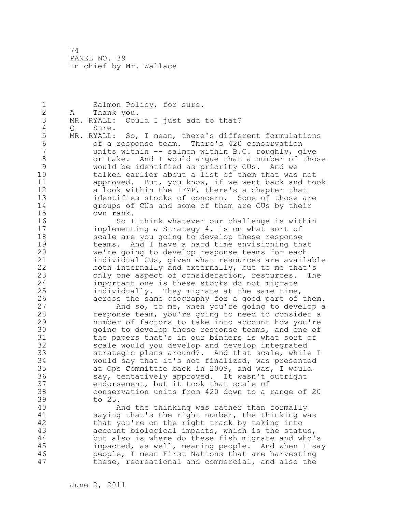1 Salmon Policy, for sure. 2 A Thank you. 3 MR. RYALL: Could I just add to that?<br>4 0 Sure. 4 Q Sure.<br>5 MR. RYALL: 5 MR. RYALL: So, I mean, there's different formulations 6 of a response team. There's 420 conservation units within  $--$  salmon within B.C. roughly, give 8 or take. And I would argue that a number of those<br>9 would be identified as priority CUs. And we 9 would be identified as priority CUs. And we talked earlier about a list of them that was not 11 approved. But, you know, if we went back and took 12 a look within the IFMP, there's a chapter that 13 identifies stocks of concern. Some of those are 14 groups of CUs and some of them are CUs by their 15 own rank. 16 So I think whatever our challenge is within 17 implementing a Strategy 4, is on what sort of 18 scale are you going to develop these response 19 teams. And I have a hard time envisioning that<br>20 we're going to develop response teams for each we're going to develop response teams for each 21 individual CUs, given what resources are available 22 both internally and externally, but to me that's 23 only one aspect of consideration, resources. The 24 important one is these stocks do not migrate 25 individually. They migrate at the same time, 26 across the same geography for a good part of them.<br>27 and so, to me, when you're going to develop a And so, to me, when you're going to develop a 28 response team, you're going to need to consider a 29 number of factors to take into account how you're 30 going to develop these response teams, and one of<br>31 the papers that's in our binders is what sort of the papers that's in our binders is what sort of 32 scale would you develop and develop integrated 33 strategic plans around?. And that scale, while I 34 would say that it's not finalized, was presented 35 at Ops Committee back in 2009, and was, I would 36 say, tentatively approved. It wasn't outright 37 endorsement, but it took that scale of 38 conservation units from 420 down to a range of 20 39 to 25. 40 And the thinking was rather than formally 41 saying that's the right number, the thinking was<br>42 that you're on the right track by taking into that you're on the right track by taking into 43 account biological impacts, which is the status, 44 but also is where do these fish migrate and who's 45 impacted, as well, meaning people. And when I say 46 people, I mean First Nations that are harvesting 47 these, recreational and commercial, and also the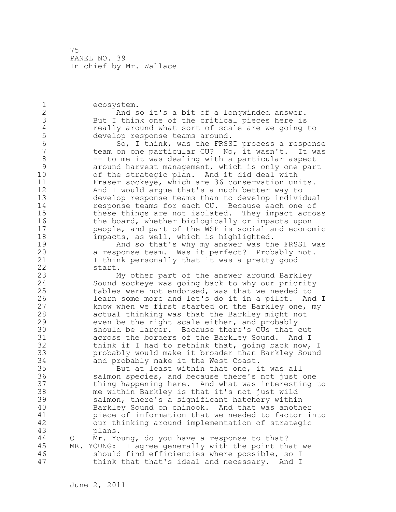1 ecosystem. 2 And so it's a bit of a longwinded answer. 3 But I think one of the critical pieces here is<br>4 ceally around what sort of scale are we going 4 really around what sort of scale are we going to<br>5 develop response teams around. 5 develop response teams around.<br>6 6 50, I think, was the FRSS 6 So, I think, was the FRSSI process a response team on one particular CU? No, it wasn't. It was 8 -- to me it was dealing with a particular aspect 9 around harvest management, which is only one part<br>10 of the strategic plan. And it did deal with of the strategic plan. And it did deal with 11 Fraser sockeye, which are 36 conservation units. 12 And I would argue that's a much better way to 13 develop response teams than to develop individual 14 response teams for each CU. Because each one of 15 these things are not isolated. They impact across 16 the board, whether biologically or impacts upon 17 people, and part of the WSP is social and economic 18 impacts, as well, which is highlighted. 19 And so that's why my answer was the FRSSI was<br>20 a response team. Was it perfect? Probably not. a response team. Was it perfect? Probably not. 21 I think personally that it was a pretty good 22 start. 23 My other part of the answer around Barkley 24 Sound sockeye was going back to why our priority 25 tables were not endorsed, was that we needed to 26 learn some more and let's do it in a pilot. And I<br>27 how when we first started on the Barkley one, my know when we first started on the Barkley one, my 28 actual thinking was that the Barkley might not 29 even be the right scale either, and probably 30 should be larger. Because there's CUs that cut<br>31 across the borders of the Barkley Sound. And I across the borders of the Barkley Sound. And I 32 think if I had to rethink that, going back now, I 33 probably would make it broader than Barkley Sound 34 and probably make it the West Coast. 35 But at least within that one, it was all 36 salmon species, and because there's not just one 37 thing happening here. And what was interesting to 38 me within Barkley is that it's not just wild 39 salmon, there's a significant hatchery within 40 Barkley Sound on chinook. And that was another 41 piece of information that we needed to factor into<br>42 our thinking around implementation of strategic our thinking around implementation of strategic 43 plans. 44 Q Mr. Young, do you have a response to that? 45 MR. YOUNG: I agree generally with the point that we 46 should find efficiencies where possible, so I 47 think that that's ideal and necessary. And I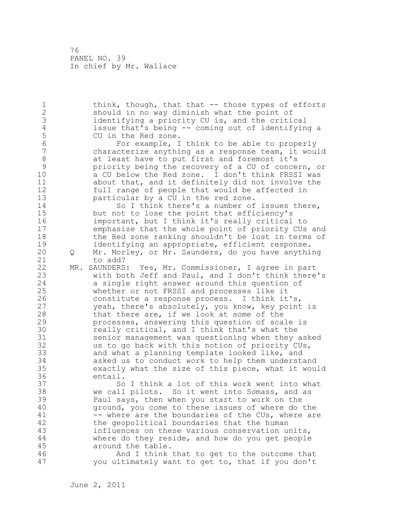1 think, though, that that -- those types of efforts 2 should in no way diminish what the point of 3 identifying a priority CU is, and the critical<br>4 issue that's being -- coming out of identifyin 4 issue that's being -- coming out of identifying a 5 CU in the Red zone.<br>6 For example, I 6 For example, I think to be able to properly characterize anything as a response team, it would 8 at least have to put first and foremost it's<br>9 priority being the recovery of a CU of conce. 9 9 priority being the recovery of a CU of concern, or<br>10 a CU below the Red zone. I don't think FRSSI was a CU below the Red zone. I don't think FRSSI was 11 about that, and it definitely did not involve the 12 full range of people that would be affected in 13 particular by a CU in the red zone. 14 So I think there's a number of issues there, 15 but not to lose the point that efficiency's 16 important, but I think it's really critical to 17 emphasize that the whole point of priority CUs and 18 the Red zone ranking shouldn't be lost in terms of 19 identifying an appropriate, efficient response.<br>20 0 Mr. Morley, or Mr. Saunders, do you have anythi 20 Q Mr. Morley, or Mr. Saunders, do you have anything 21 to add? 22 MR. SAUNDERS: Yes, Mr. Commissioner, I agree in part 23 with both Jeff and Paul, and I don't think there's 24 a single right answer around this question of 25 whether or not FRSSI and processes like it 26 constitute a response process. I think it's,<br>27 veah, there's absolutely, you know, key point yeah, there's absolutely, you know, key point is 28 that there are, if we look at some of the 29 processes, answering this question of scale is 30 really critical, and I think that's what the<br>31 senior management was questioning when they senior management was questioning when they asked 32 us to go back with this notion of priority CUs, 33 and what a planning template looked like, and 34 asked us to conduct work to help them understand 35 exactly what the size of this piece, what it would 36 entail. 37 So I think a lot of this work went into what 38 we call pilots. So it went into Somass, and as 39 Paul says, then when you start to work on the 40 ground, you come to these issues of where do the 41 -- where are the boundaries of the CUs, where are<br>42 the qeopolitical boundaries that the human the geopolitical boundaries that the human 43 influences on these various conservation units, 44 where do they reside, and how do you get people 45 around the table. 46 And I think that to get to the outcome that 47 you ultimately want to get to, that if you don't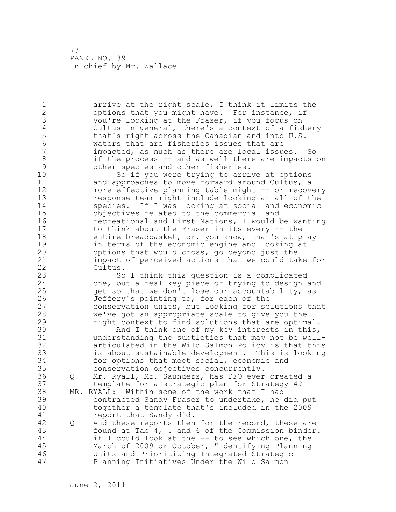1 arrive at the right scale, I think it limits the 2 options that you might have. For instance, if 3 you're looking at the Fraser, if you focus on<br>4 Cultus in general, there's a context of a fis 4 Cultus in general, there's a context of a fishery<br>5 that's right across the Canadian and into U.S. 5 that's right across the Canadian and into U.S.<br>6 Waters that are fisheries issues that are 6 waters that are fisheries issues that are impacted, as much as there are local issues. So 8 if the process -- and as well there are impacts on<br>9 other species and other fisheries. 9 other species and other fisheries.<br>10 So if you were trying to arri So if you were trying to arrive at options 11 and approaches to move forward around Cultus, a 12 more effective planning table might -- or recovery 13 response team might include looking at all of the 14 species. If I was looking at social and economic 15 objectives related to the commercial and 16 recreational and First Nations, I would be wanting 17 to think about the Fraser in its every -- the 18 entire breadbasket, or, you know, that's at play 19 in terms of the economic engine and looking at<br>20 options that would cross, go beyond just the options that would cross, go beyond just the 21 impact of perceived actions that we could take for 22 Cultus. 23 So I think this question is a complicated 24 one, but a real key piece of trying to design and 25 get so that we don't lose our accountability, as 26 Jeffery's pointing to, for each of the<br>27 conservation units, but looking for so conservation units, but looking for solutions that 28 we've got an appropriate scale to give you the 29 right context to find solutions that are optimal. 30 And I think one of my key interests in this,<br>31 understanding the subtleties that may not be well understanding the subtleties that may not be well-32 articulated in the Wild Salmon Policy is that this 33 is about sustainable development. This is looking 34 for options that meet social, economic and 35 conservation objectives concurrently. 36 Q Mr. Ryall, Mr. Saunders, has DFO ever created a 37 template for a strategic plan for Strategy 4? 38 MR. RYALL: Within some of the work that I had 39 contracted Sandy Fraser to undertake, he did put 40 together a template that's included in the 2009 41 report that Sandy did.<br>42 0 And these reports then 42 Q And these reports then for the record, these are 43 found at Tab 4, 5 and 6 of the Commission binder. 44 if I could look at the -- to see which one, the 45 March of 2009 or October, "Identifying Planning 46 Units and Prioritizing Integrated Strategic 47 Planning Initiatives Under the Wild Salmon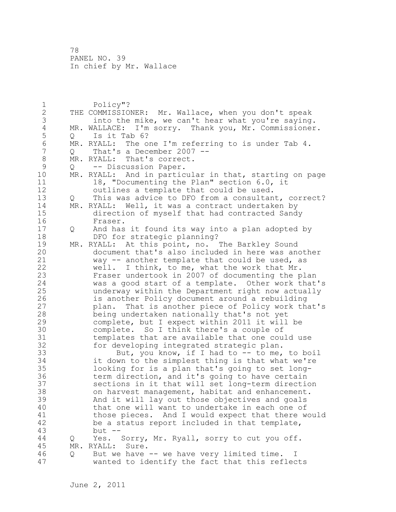1 Policy"? 2 THE COMMISSIONER: Mr. Wallace, when you don't speak 3 into the mike, we can't hear what you're saying.<br>4 MR. WALLACE: I'm sorry. Thank you, Mr. Commissioner 4 MR. WALLACE: I'm sorry. Thank you, Mr. Commissioner.<br>5 0 Is it Tab 6? 5 Q Is it Tab 6?<br>6 MR. RYALL: The o 6 MR. RYALL: The one I'm referring to is under Tab 4.<br>7 0 That's a December 2007 -- $Q$  That's a December 2007 --8 MR. RYALL: That's correct.<br>9 0 -- Discussion Paper. 9 Q -- Discussion Paper.<br>10 MR. RYALL: And in partic MR. RYALL: And in particular in that, starting on page 11 18, "Documenting the Plan" section 6.0, it 12 outlines a template that could be used. 13 Q This was advice to DFO from a consultant, correct?<br>14 MR. RYALL: Well, it was a contract undertaken by MR. RYALL: Well, it was a contract undertaken by 15 direction of myself that had contracted Sandy 16 Fraser. 17 Q And has it found its way into a plan adopted by 18 DFO for strategic planning? 19 MR. RYALL: At this point, no. The Barkley Sound<br>20 document that's also included in here was and document that's also included in here was another 21 way -- another template that could be used, as 22 well. I think, to me, what the work that Mr. 23 Fraser undertook in 2007 of documenting the plan 24 was a good start of a template. Other work that's 25 underway within the Department right now actually 26 is another Policy document around a rebuilding<br>27 blan. That is another piece of Policy work the plan. That is another piece of Policy work that's 28 being undertaken nationally that's not yet 29 complete, but I expect within 2011 it will be 30 complete. So I think there's a couple of<br>31 templates that are available that one cou templates that are available that one could use 32 for developing integrated strategic plan. 33 But, you know, if I had to -- to me, to boil 34 it down to the simplest thing is that what we're 35 looking for is a plan that's going to set long-36 term direction, and it's going to have certain 37 sections in it that will set long-term direction 38 on harvest management, habitat and enhancement. 39 And it will lay out those objectives and goals 40 that one will want to undertake in each one of 41 those pieces. And I would expect that there would<br>42 be a status report included in that template, be a status report included in that template, 43 but -- 44 Q Yes. Sorry, Mr. Ryall, sorry to cut you off. 45 MR. RYALL: Sure. 46 Q But we have -- we have very limited time. I 47 wanted to identify the fact that this reflects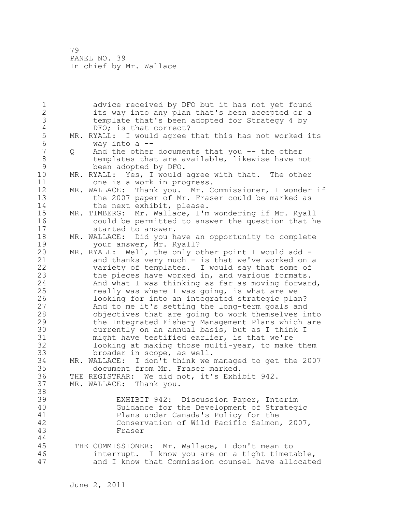1 advice received by DFO but it has not yet found 2 its way into any plan that's been accepted or a 3 template that's been adopted for Strategy 4 by 4 DFO; is that correct?<br>5 MR. RYALL: I would agree 5 MR. RYALL: I would agree that this has not worked its<br>6 way into a --6 way into a --<br>7 0 And the other 0 And the other documents that you -- the other 8 templates that are available, likewise have not<br>9 been adopted by DFO. 9 been adopted by DFO.<br>10 MR. RYALL: Yes, I would MR. RYALL: Yes, I would agree with that. The other 11 one is a work in progress. 12 MR. WALLACE: Thank you. Mr. Commissioner, I wonder if 13 the 2007 paper of Mr. Fraser could be marked as 14 the next exhibit, please. 15 MR. TIMBERG: Mr. Wallace, I'm wondering if Mr. Ryall 16 could be permitted to answer the question that he 17 started to answer. 18 MR. WALLACE: Did you have an opportunity to complete 19 your answer, Mr. Ryall?<br>20 MR. RYALL: Well, the only o MR. RYALL: Well, the only other point I would add -21 and thanks very much - is that we've worked on a 22 variety of templates. I would say that some of 23 the pieces have worked in, and various formats. 24 And what I was thinking as far as moving forward, 25 really was where I was going, is what are we 26 100king for into an integrated strategic plan?<br>27 10 And to me it's setting the long-term goals and And to me it's setting the long-term goals and 28 objectives that are going to work themselves into 29 the Integrated Fishery Management Plans which are 30 currently on an annual basis, but as I think I<br>31 might have testified earlier, is that we're might have testified earlier, is that we're 32 looking at making those multi-year, to make them 33 broader in scope, as well. 34 MR. WALLACE: I don't think we managed to get the 2007 35 document from Mr. Fraser marked. 36 THE REGISTRAR: We did not, it's Exhibit 942. 37 MR. WALLACE: Thank you. 38 39 EXHIBIT 942: Discussion Paper, Interim 40 Guidance for the Development of Strategic 41 Plans under Canada's Policy for the<br>42 Conservation of Wild Pacific Salmon Conservation of Wild Pacific Salmon, 2007, 43 Fraser 44 45 THE COMMISSIONER: Mr. Wallace, I don't mean to 46 interrupt. I know you are on a tight timetable, 47 and I know that Commission counsel have allocated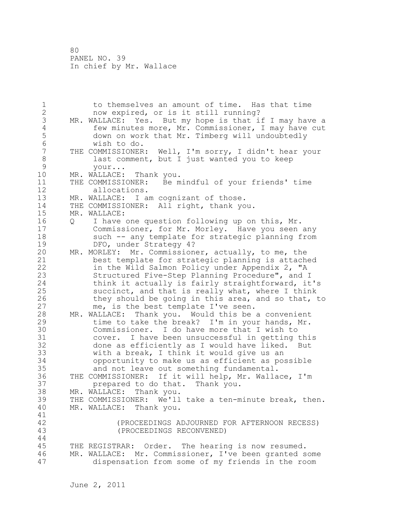1 to themselves an amount of time. Has that time 2 now expired, or is it still running? 3 MR. WALLACE: Yes. But my hope is that if I may have a<br>4 few minutes more, Mr. Commissioner, I may have cut 4 few minutes more, Mr. Commissioner, I may have cut<br>5 down on work that Mr. Timberg will undoubtedly 5 down on work that Mr. Timberg will undoubtedly<br>6 wish to do. 6 wish to do.<br>7 THE COMMISSIONER THE COMMISSIONER: Well, I'm sorry, I didn't hear your 8 last comment, but I just wanted you to keep<br>9 vour... 9 your...<br>10 MR. WALLACE: MR. WALLACE: Thank you. 11 THE COMMISSIONER: Be mindful of your friends' time 12 allocations. 13 MR. WALLACE: I am cognizant of those. 14 THE COMMISSIONER: All right, thank you. 15 MR. WALLACE: 16 Q I have one question following up on this, Mr. 17 Commissioner, for Mr. Morley. Have you seen any 18 such -- any template for strategic planning from 19 DFO, under Strategy 4?<br>20 MR. MORLEY: Mr. Commission MR. MORLEY: Mr. Commissioner, actually, to me, the 21 best template for strategic planning is attached 22 in the Wild Salmon Policy under Appendix 2, "A 23 Structured Five-Step Planning Procedure", and I 24 think it actually is fairly straightforward, it's 25 succinct, and that is really what, where I think 26 they should be going in this area, and so that, to<br>27 me, is the best template I've seen. me, is the best template I've seen. 28 MR. WALLACE: Thank you. Would this be a convenient 29 time to take the break? I'm in your hands, Mr. 30 Commissioner. I do have more that I wish to<br>31 cover. I have been unsuccessful in getting cover. I have been unsuccessful in getting this 32 done as efficiently as I would have liked. But 33 with a break, I think it would give us an 34 opportunity to make us as efficient as possible 35 and not leave out something fundamental. 36 THE COMMISSIONER: If it will help, Mr. Wallace, I'm 37 prepared to do that. Thank you. 38 MR. WALLACE: Thank you. 39 THE COMMISSIONER: We'll take a ten-minute break, then. 40 MR. WALLACE: Thank you. 41<br>42 42 (PROCEEDINGS ADJOURNED FOR AFTERNOON RECESS) 43 (PROCEEDINGS RECONVENED) 44 45 THE REGISTRAR: Order. The hearing is now resumed. 46 MR. WALLACE: Mr. Commissioner, I've been granted some 47 dispensation from some of my friends in the room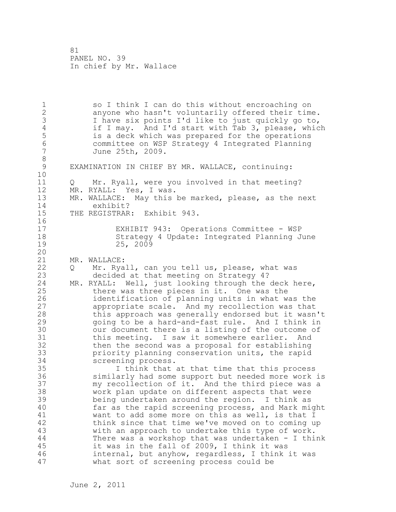1 so I think I can do this without encroaching on 2 anyone who hasn't voluntarily offered their time. 3 I have six points I'd like to just quickly go to,<br>4 if I may. And I'd start with Tab 3, please, whic 4 if I may. And I'd start with Tab 3, please, which<br>5 is a deck which was prepared for the operations 5 is a deck which was prepared for the operations 6 committee on WSP Strategy 4 Integrated Planning June 25th, 2009. 8<br>9 EXAMINATION IN CHIEF BY MR. WALLACE, continuing: 10 11 Q Mr. Ryall, were you involved in that meeting? 12 MR. RYALL: Yes, I was. 13 MR. WALLACE: May this be marked, please, as the next 14 exhibit? 15 THE REGISTRAR: Exhibit 943. 16 17 EXHIBIT 943: Operations Committee - WSP 18 Strategy 4 Update: Integrated Planning June 19 25, 2009 20 21 MR. WALLACE: 22 Q Mr. Ryall, can you tell us, please, what was 23 decided at that meeting on Strategy 4? 24 MR. RYALL: Well, just looking through the deck here, 25 there was three pieces in it. One was the 26 identification of planning units in what was the<br>27 appropriate scale. And my recollection was that appropriate scale. And my recollection was that 28 this approach was generally endorsed but it wasn't 29 going to be a hard-and-fast rule. And I think in 30 our document there is a listing of the outcome of<br>31 this meeting. I saw it somewhere earlier. And this meeting. I saw it somewhere earlier. And 32 then the second was a proposal for establishing 33 priority planning conservation units, the rapid 34 screening process. 35 I think that at that time that this process 36 similarly had some support but needed more work is 37 my recollection of it. And the third piece was a 38 work plan update on different aspects that were 39 being undertaken around the region. I think as 40 far as the rapid screening process, and Mark might 41 want to add some more on this as well, is that I<br>42 think since that time we've moved on to coming u think since that time we've moved on to coming up 43 with an approach to undertake this type of work. 44 There was a workshop that was undertaken - I think 45 it was in the fall of 2009, I think it was 46 internal, but anyhow, regardless, I think it was 47 what sort of screening process could be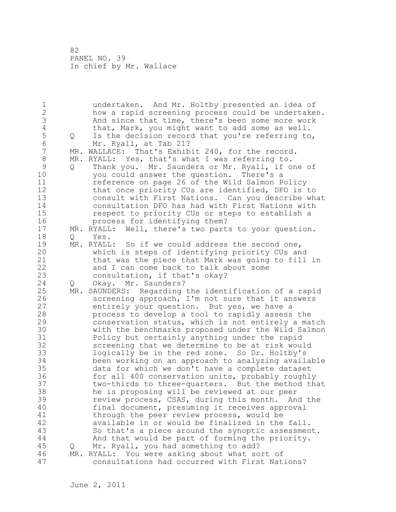1 undertaken. And Mr. Holtby presented an idea of 2 how a rapid screening process could be undertaken. 3 And since that time, there's been some more work<br>4 that, Mark, you might want to add some as well. 4 that, Mark, you might want to add some as well.<br>5 0 Is the decision record that you're referring to 5 Q Is the decision record that you're referring to,<br>6 Mr. Rvall, at Tab 21? 6 Mr. Ryall, at Tab 21? MR. WALLACE: That's Exhibit 240, for the record. 8 MR. RYALL: Yes, that's what I was referring to.<br>9 0 Thank you. Mr. Saunders or Mr. Ryall, if o 9 Q Thank you. Mr. Saunders or Mr. Ryall, if one of<br>10 vou could answer the question. There's a you could answer the question. There's a 11 reference on page 26 of the Wild Salmon Policy 12 that once priority CUs are identified, DFO is to 13 consult with First Nations. Can you describe what 14 consultation DFO has had with First Nations with 15 respect to priority CUs or steps to establish a 16 process for identifying them? 17 MR. RYALL: Well, there's two parts to your question. 18 Q Yes. 19 MR. RYALL: So if we could address the second one,<br>20 which is steps of identifying priority CUs an which is steps of identifying priority CUs and 21 that was the piece that Mark was going to fill in 22 and I can come back to talk about some 23 consultation, if that's okay? 24 Q Okay. Mr. Saunders? 25 MR. SAUNDERS: Regarding the identification of a rapid 26 screening approach, I'm not sure that it answers<br>27 entirely your question. But yes, we have a entirely your question. But yes, we have a 28 process to develop a tool to rapidly assess the 29 conservation status, which is not entirely a match 30 with the benchmarks proposed under the Wild Salmon 31 Policy but certainly anything under the rapid<br>32 screening that we determine to be at risk wou screening that we determine to be at risk would 33 logically be in the red zone. So Dr. Holtby's 34 been working on an approach to analyzing available 35 data for which we don't have a complete dataset 36 for all 400 conservation units, probably roughly 37 two-thirds to three-quarters. But the method that 38 he is proposing will be reviewed at our peer 39 review process, CSAS, during this month. And the 40 final document, presuming it receives approval 41 through the peer review process, would be<br>42 available in or would be finalized in the available in or would be finalized in the fall. 43 So that's a piece around the synoptic assessment. 44 And that would be part of forming the priority. 45 Q Mr. Ryall, you had something to add? 46 MR. RYALL: You were asking about what sort of 47 consultations had occurred with First Nations?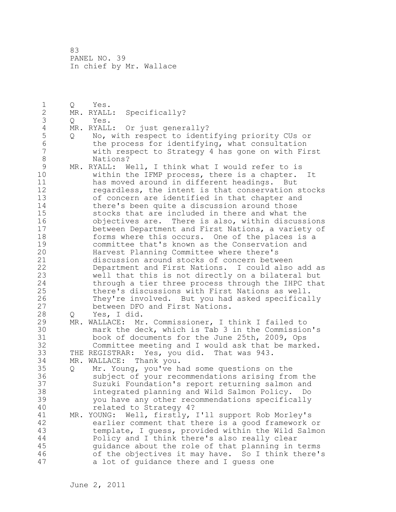1 Q Yes. 2 MR. RYALL: Specifically? 3 Q Yes.<br>4 MR.RYALL 4 MR. RYALL: Or just generally?<br>5 0 No, with respect to ident. 5 Q No, with respect to identifying priority CUs or 6 the process for identifying, what consultation with respect to Strategy 4 has gone on with First 8 Nations? 9 MR. RYALL: Well, I think what I would refer to is<br>10 within the IFMP process, there is a chapter. within the IFMP process, there is a chapter. It 11 has moved around in different headings. But 12 regardless, the intent is that conservation stocks 13 of concern are identified in that chapter and 14 there's been quite a discussion around those 15 stocks that are included in there and what the 16 objectives are. There is also, within discussions 17 between Department and First Nations, a variety of 18 forms where this occurs. One of the places is a 19 committee that's known as the Conservation and<br>20 Harvest Planning Committee where there's Harvest Planning Committee where there's 21 discussion around stocks of concern between 22 Department and First Nations. I could also add as 23 well that this is not directly on a bilateral but 24 through a tier three process through the IHPC that 25 there's discussions with First Nations as well. 26 They're involved. But you had asked specifically<br>27 between DFO and First Nations. between DFO and First Nations. 28 Q Yes, I did. 29 MR. WALLACE: Mr. Commissioner, I think I failed to 30 mark the deck, which is Tab 3 in the Commission's book of documents for the June 25th, 2009, Ops 32 Committee meeting and I would ask that be marked. 33 THE REGISTRAR: Yes, you did. That was 943. 34 MR. WALLACE: Thank you. 35 Q Mr. Young, you've had some questions on the 36 subject of your recommendations arising from the 37 Suzuki Foundation's report returning salmon and 38 integrated planning and Wild Salmon Policy. Do 39 you have any other recommendations specifically 40 related to Strategy 4? 41 MR. YOUNG: Well, firstly, I'll support Rob Morley's<br>42 earlier comment that there is a good framework earlier comment that there is a good framework or 43 template, I guess, provided within the Wild Salmon 44 Policy and I think there's also really clear 45 guidance about the role of that planning in terms 46 of the objectives it may have. So I think there's 47 a lot of guidance there and I guess one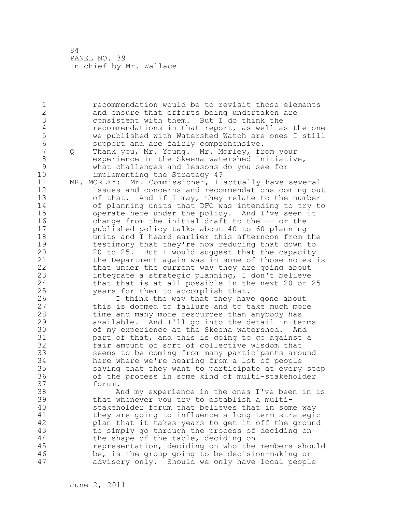1 recommendation would be to revisit those elements 2 and ensure that efforts being undertaken are 3 consistent with them. But I do think the<br>4 commendations in that report, as well a 4 recommendations in that report, as well as the one<br>5 we published with Watershed Watch are ones I still 5 we published with Watershed Watch are ones I still 6 support and are fairly comprehensive. 7 Q Thank you, Mr. Young. Mr. Morley, from your 8 experience in the Skeena watershed initiative,<br>9 what challenges and lessons do vou see for 9 what challenges and lessons do you see for implementing the Strategy 4? 11 MR. MORLEY: Mr. Commissioner, I actually have several 12 issues and concerns and recommendations coming out 13 of that. And if I may, they relate to the number 14 of planning units that DFO was intending to try to 15 operate here under the policy. And I've seen it 16 change from the initial draft to the -- or the 17 published policy talks about 40 to 60 planning 18 units and I heard earlier this afternoon from the 19 testimony that they're now reducing that down to<br>20 20 to 25. But I would suggest that the capacity 20 20 to 25. But I would suggest that the capacity 21 the Department again was in some of those notes is 22 that under the current way they are going about 23 integrate a strategic planning, I don't believe 24 that that is at all possible in the next 20 or 25 25 years for them to accomplish that. 26 I think the way that they have gone about<br>27 this is doomed to failure and to take much more this is doomed to failure and to take much more 28 time and many more resources than anybody has 29 available. And I'll go into the detail in terms 30 of my experience at the Skeena watershed. And<br>31 oart of that, and this is going to go against 31 part of that, and this is going to go against a<br>32 fair amount of sort of collective wisdom that fair amount of sort of collective wisdom that 33 seems to be coming from many participants around 34 here where we're hearing from a lot of people 35 saying that they want to participate at every step 36 of the process in some kind of multi-stakeholder 37 forum. 38 And my experience in the ones I've been in is 39 that whenever you try to establish a multi-40 stakeholder forum that believes that in some way 41 they are going to influence a long-term strategic<br>42 blan that it takes years to get it off the ground plan that it takes years to get it off the ground 43 to simply go through the process of deciding on 44 the shape of the table, deciding on 45 representation, deciding on who the members should 46 be, is the group going to be decision-making or 47 advisory only. Should we only have local people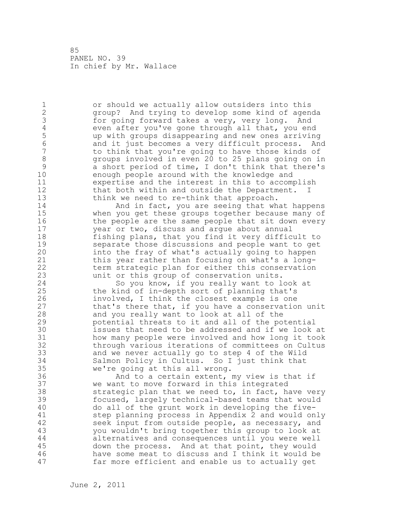1 or should we actually allow outsiders into this 2 group? And trying to develop some kind of agenda 3 for going forward takes a very, very long. And<br>4 even after you've gone through all that, you end 4 even after you've gone through all that, you end<br>5 by the qroups disappearing and new ones arriving 5 up with groups disappearing and new ones arriving 6 and it just becomes a very difficult process. And to think that you're going to have those kinds of 8 groups involved in even 20 to 25 plans going on in<br>9 a short period of time, I don't think that there's 9 a short period of time, I don't think that there's<br>10 enough people around with the knowledge and enough people around with the knowledge and 11 expertise and the interest in this to accomplish 12 that both within and outside the Department. I 13 think we need to re-think that approach. 14 And in fact, you are seeing that what happens 15 when you get these groups together because many of 16 the people are the same people that sit down every 17 year or two, discuss and argue about annual 18 fishing plans, that you find it very difficult to 19 separate those discussions and people want to get<br>20 into the fray of what's actually going to happen into the fray of what's actually going to happen 21 this year rather than focusing on what's a long-22 term strategic plan for either this conservation 23 unit or this group of conservation units. 24 So you know, if you really want to look at 25 the kind of in-depth sort of planning that's 26 involved, I think the closest example is one<br>27 that's there that, if you have a conservatio that's there that, if you have a conservation unit 28 and you really want to look at all of the 29 potential threats to it and all of the potential 30 issues that need to be addressed and if we look at how many people were involved and how long it took 32 through various iterations of committees on Cultus 33 and we never actually go to step 4 of the Wild 34 Salmon Policy in Cultus. So I just think that 35 we're going at this all wrong. 36 And to a certain extent, my view is that if 37 we want to move forward in this integrated 38 strategic plan that we need to, in fact, have very 39 focused, largely technical-based teams that would 40 do all of the grunt work in developing the five-41 step planning process in Appendix 2 and would only<br>42 seek input from outside people, as necessary, and seek input from outside people, as necessary, and 43 you wouldn't bring together this group to look at 44 alternatives and consequences until you were well 45 down the process. And at that point, they would 46 have some meat to discuss and I think it would be 47 far more efficient and enable us to actually get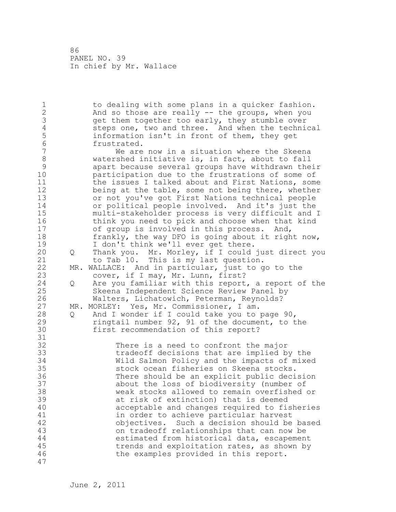1 to dealing with some plans in a quicker fashion. 2 And so those are really -- the groups, when you 3 get them together too early, they stumble over<br>4 steps one, two and three. And when the technic 4 steps one, two and three. And when the technical<br>5 information isn't in front of them, they get 5 information isn't in front of them, they get<br>6 frustrated. 6 frustrated.<br>7 We are We are now in a situation where the Skeena 8 watershed initiative is, in fact, about to fall<br>9 apart because several groups have withdrawn the 9 apart because several groups have withdrawn their participation due to the frustrations of some of 11 the issues I talked about and First Nations, some 12 being at the table, some not being there, whether 13 or not you've got First Nations technical people 14 or political people involved. And it's just the 15 multi-stakeholder process is very difficult and I 16 think you need to pick and choose when that kind 17 of group is involved in this process. And, 18 frankly, the way DFO is going about it right now, 19 I don't think we'll ever get there.<br>20 Q Thank you. Mr. Morley, if I could 20 Q Thank you. Mr. Morley, if I could just direct you 21 to Tab 10. This is my last question. 22 MR. WALLACE: And in particular, just to go to the 23 cover, if I may, Mr. Lunn, first? 24 Q Are you familiar with this report, a report of the 25 Skeena Independent Science Review Panel by 26 Walters, Lichatowich, Peterman, Reynolds?<br>27 MR. MORLEY: Yes, Mr. Commissioner, I am. MR. MORLEY: Yes, Mr. Commissioner, I am. 28 Q And I wonder if I could take you to page 90, 29 ringtail number 92, 91 of the document, to the 30 first recommendation of this report? 31<br>32 There is a need to confront the major 33 tradeoff decisions that are implied by the 34 Wild Salmon Policy and the impacts of mixed 35 stock ocean fisheries on Skeena stocks. 36 There should be an explicit public decision 37 about the loss of biodiversity (number of 38 weak stocks allowed to remain overfished or 39 at risk of extinction) that is deemed 40 acceptable and changes required to fisheries 41 in order to achieve particular harvest<br>42 objectives. Such a decision should be objectives. Such a decision should be based 43 on tradeoff relationships that can now be 44 estimated from historical data, escapement 45 trends and exploitation rates, as shown by 46 the examples provided in this report. 47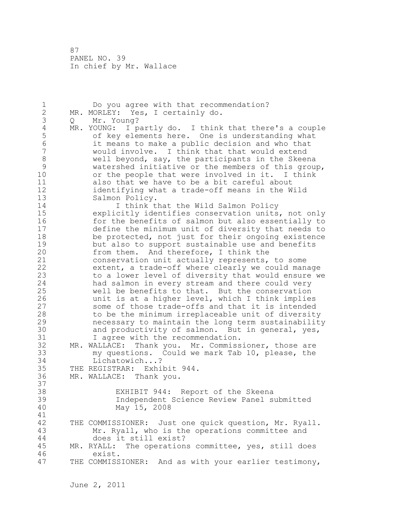1 Do you agree with that recommendation? 2 MR. MORLEY: Yes, I certainly do. 3 Q Mr. Young?<br>4 MR. YOUNG: I p 4 MR. YOUNG: I partly do. I think that there's a couple<br>5 of key elements here. One is understanding what 5 of key elements here. One is understanding what 6 it means to make a public decision and who that would involve. I think that that would extend 8 well beyond, say, the participants in the Skeena 9 watershed initiative or the members of this group,<br>10 or the people that were involved in it. I think or the people that were involved in it. I think 11 also that we have to be a bit careful about 12 identifying what a trade-off means in the Wild 13 Salmon Policy. 14 **I think that the Wild Salmon Policy** 15 explicitly identifies conservation units, not only 16 for the benefits of salmon but also essentially to 17 define the minimum unit of diversity that needs to 18 be protected, not just for their ongoing existence 19 but also to support sustainable use and benefits<br>20 from them. And therefore, I think the from them. And therefore, I think the 21 conservation unit actually represents, to some 22 extent, a trade-off where clearly we could manage 23 to a lower level of diversity that would ensure we 24 had salmon in every stream and there could very 25 well be benefits to that. But the conservation 26 unit is at a higher level, which I think implies<br>27 some of those trade-offs and that it is intended some of those trade-offs and that it is intended 28 to be the minimum irreplaceable unit of diversity 29 necessary to maintain the long term sustainability 30 and productivity of salmon. But in general, yes,<br>31 I agree with the recommendation. I agree with the recommendation. 32 MR. WALLACE: Thank you. Mr. Commissioner, those are 33 my questions. Could we mark Tab 10, please, the 34 Lichatowich...? 35 THE REGISTRAR: Exhibit 944. 36 MR. WALLACE: Thank you. 37 38 EXHIBIT 944: Report of the Skeena 39 Independent Science Review Panel submitted 40 May 15, 2008 41<br>42 THE COMMISSIONER: Just one quick question, Mr. Ryall. 43 Mr. Ryall, who is the operations committee and 44 does it still exist? 45 MR. RYALL: The operations committee, yes, still does 46 exist. 47 THE COMMISSIONER: And as with your earlier testimony,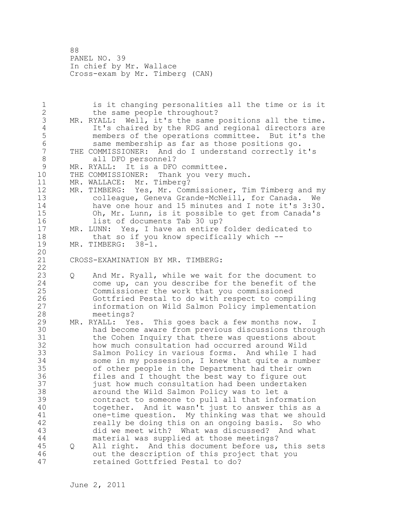88 PANEL NO. 39 In chief by Mr. Wallace Cross-exam by Mr. Timberg (CAN)

1 is it changing personalities all the time or is it 2 the same people throughout? 3 MR. RYALL: Well, it's the same positions all the time.<br>4 It's chaired by the RDG and regional directors are 4 It's chaired by the RDG and regional directors are<br>5 members of the operations committee. But it's the 5 members of the operations committee. But it's the 6 same membership as far as those positions go. THE COMMISSIONER: And do I understand correctly it's 8 all DFO personnel? 9 MR. RYALL: It is a DFO committee.<br>10 THE COMMISSIONER: Thank you very THE COMMISSIONER: Thank you very much. 11 MR. WALLACE: Mr. Timberg? 12 MR. TIMBERG: Yes, Mr. Commissioner, Tim Timberg and my 13 colleague, Geneva Grande-McNeill, for Canada. We 14 have one hour and 15 minutes and I note it's 3:30. 15 Oh, Mr. Lunn, is it possible to get from Canada's 16 list of documents Tab 30 up? 17 MR. LUNN: Yes, I have an entire folder dedicated to 18 that so if you know specifically which --19 MR. TIMBERG: 38-1. 20 21 CROSS-EXAMINATION BY MR. TIMBERG: 22 23 Q And Mr. Ryall, while we wait for the document to 24 come up, can you describe for the benefit of the 25 Commissioner the work that you commissioned 26 Gottfried Pestal to do with respect to compiling<br>27 information on Wild Salmon Policy implementation information on Wild Salmon Policy implementation 28 meetings? 29 MR. RYALL: Yes. This goes back a few months now. 30 had become aware from previous discussions through<br>31 the Cohen Inguiry that there was questions about the Cohen Inquiry that there was questions about 32 how much consultation had occurred around Wild 33 Salmon Policy in various forms. And while I had 34 some in my possession, I knew that quite a number 35 of other people in the Department had their own 36 files and I thought the best way to figure out 37 just how much consultation had been undertaken 38 around the Wild Salmon Policy was to let a 39 contract to someone to pull all that information 40 together. And it wasn't just to answer this as a 41 one-time question. My thinking was that we should<br>42 feally be doing this on an ongoing basis. So who really be doing this on an ongoing basis. So who 43 did we meet with? What was discussed? And what 44 material was supplied at those meetings? 45 Q All right. And this document before us, this sets 46 out the description of this project that you 47 retained Gottfried Pestal to do?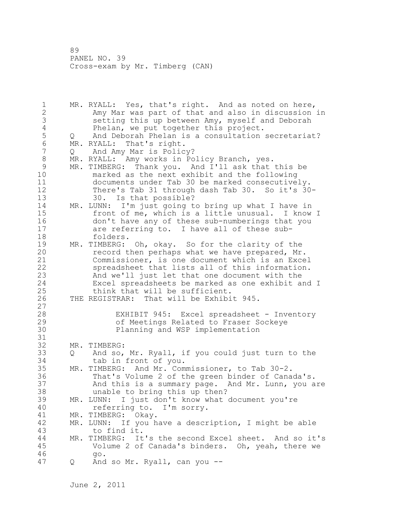1 MR. RYALL: Yes, that's right. And as noted on here, 2 Amy Mar was part of that and also in discussion in 3 setting this up between Amy, myself and Deborah 4 Phelan, we put together this project.<br>5 Q And Deborah Phelan is a consultation 5 Q And Deborah Phelan is a consultation secretariat?<br>6 MR. RYALL: That's right. 6 MR. RYALL: That's right.<br>7 0 And Amv Mar is Polic Q And Amy Mar is Policy? 8 MR. RYALL: Amy works in Policy Branch, yes. 9 MR. TIMBERG: Thank you. And I'll ask that this be<br>10 marked as the next exhibit and the following marked as the next exhibit and the following 11 documents under Tab 30 be marked consecutively. 12 There's Tab 31 through dash Tab 30. So it's 30- 13 30. Is that possible? 14 MR. LUNN: I'm just going to bring up what I have in 15 front of me, which is a little unusual. I know I 16 don't have any of these sub-numberings that you 17 are referring to. I have all of these sub-18 folders. 19 MR. TIMBERG: Oh, okay. So for the clarity of the<br>20 fecord then perhaps what we have prepared, Mr record then perhaps what we have prepared, Mr. 21 Commissioner, is one document which is an Excel 22 spreadsheet that lists all of this information. 23 And we'll just let that one document with the 24 Excel spreadsheets be marked as one exhibit and I 25 think that will be sufficient. 26 THE REGISTRAR: That will be Exhibit 945.  $\begin{array}{c} 27 \\ 28 \end{array}$ EXHIBIT 945: Excel spreadsheet - Inventory 29 of Meetings Related to Fraser Sockeye 30 Planning and WSP implementation 31<br>32 MR. TIMBERG: 33 Q And so, Mr. Ryall, if you could just turn to the 34 tab in front of you. 35 MR. TIMBERG: And Mr. Commissioner, to Tab 30-2. 36 That's Volume 2 of the green binder of Canada's. 37 And this is a summary page. And Mr. Lunn, you are 38 unable to bring this up then? 39 MR. LUNN: I just don't know what document you're 40 referring to. I'm sorry. 41 MR. TIMBERG: Okay.<br>42 MR. LUNN: If you h MR. LUNN: If you have a description, I might be able 43 to find it. 44 MR. TIMBERG: It's the second Excel sheet. And so it's 45 Volume 2 of Canada's binders. Oh, yeah, there we 46 go. 47 Q And so Mr. Ryall, can you --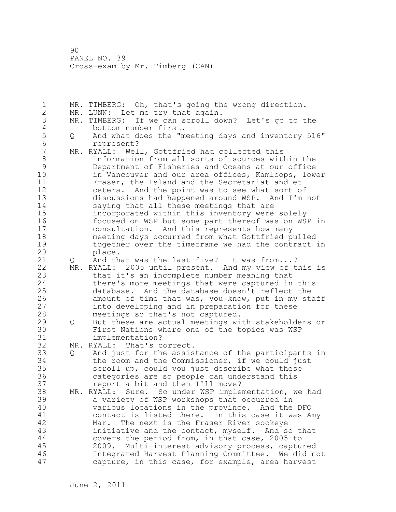1 MR. TIMBERG: Oh, that's going the wrong direction. 2 MR. LUNN: Let me try that again. 3 MR. TIMBERG: If we can scroll down? Let's go to the 4 bottom number first.<br>5 Q And what does the "m 5 Q And what does the "meeting days and inventory 516"<br>6 corresent? 6 represent?<br>7 MR. RYALL: Wel MR. RYALL: Well, Gottfried had collected this 8 information from all sorts of sources within the 9 Department of Fisheries and Oceans at our office in Vancouver and our area offices, Kamloops, lower 11 Fraser, the Island and the Secretariat and et 12 cetera. And the point was to see what sort of 13 discussions had happened around WSP. And I'm not 14 saying that all these meetings that are 15 incorporated within this inventory were solely 16 focused on WSP but some part thereof was on WSP in 17 consultation. And this represents how many 18 meeting days occurred from what Gottfried pulled 19 together over the timeframe we had the contract in<br>20 **blace**. place. 21 Q And that was the last five? It was from...? 22 MR. RYALL: 2005 until present. And my view of this is 23 that it's an incomplete number meaning that 24 there's more meetings that were captured in this 25 database. And the database doesn't reflect the 26 amount of time that was, you know, put in my staff<br>27 into developing and in preparation for these into developing and in preparation for these 28 meetings so that's not captured. 29 Q But these are actual meetings with stakeholders or 30 First Nations where one of the topics was WSP implementation? 32 MR. RYALL: That's correct. 33 Q And just for the assistance of the participants in 34 the room and the Commissioner, if we could just 35 scroll up, could you just describe what these 36 categories are so people can understand this 37 report a bit and then I'll move? 38 MR. RYALL: Sure. So under WSP implementation, we had 39 a variety of WSP workshops that occurred in 40 various locations in the province. And the DFO 41 contact is listed there. In this case it was Amy<br>42 Mar. The next is the Fraser River sockeve Mar. The next is the Fraser River sockeye 43 initiative and the contact, myself. And so that 44 covers the period from, in that case, 2005 to 45 2009. Multi-interest advisory process, captured 46 Integrated Harvest Planning Committee. We did not 47 capture, in this case, for example, area harvest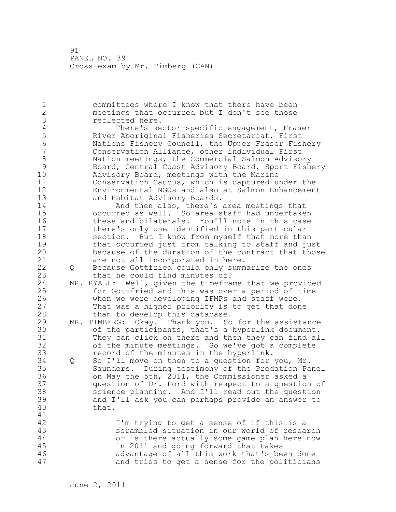1 committees where I know that there have been 2 meetings that occurred but I don't see those 3 reflected here.<br>4 There's se 4 There's sector-specific engagement, Fraser<br>5 River Aboriginal Fisheries Secretariat, First 5 River Aboriginal Fisheries Secretariat, First 6 Nations Fishery Council, the Upper Fraser Fishery Conservation Alliance, other individual First 8 Nation meetings, the Commercial Salmon Advisory<br>9 Board, Central Coast Advisory Board, Sport Fish 9 Board, Central Coast Advisory Board, Sport Fishery<br>10 Advisory Board, meetings with the Marine Advisory Board, meetings with the Marine 11 Conservation Caucus, which is captured under the 12 Environmental NGOs and also at Salmon Enhancement 13 and Habitat Advisory Boards. 14 **And then also, there's area meetings that** 15 occurred as well. So area staff had undertaken 16 these and bilaterals. You'll note in this case 17 there's only one identified in this particular 18 section. But I know from myself that more than 19 that occurred just from talking to staff and just<br>20 because of the duration of the contract that those because of the duration of the contract that those 21 are not all incorporated in here. 22 Q Because Gottfried could only summarize the ones 23 that he could find minutes of? 24 MR. RYALL: Well, given the timeframe that we provided 25 for Gottfried and this was over a period of time 26 when we were developing IFMPs and staff were.<br>27 That was a higher priority is to get that don That was a higher priority is to get that done 28 than to develop this database. 29 MR. TIMBERG: Okay. Thank you. So for the assistance 30 of the participants, that's a hyperlink document.<br>31 They can click on there and then they can find al They can click on there and then they can find all 32 of the minute meetings. So we've got a complete 33 record of the minutes in the hyperlink. 34 Q So I'll move on then to a question for you, Mr. 35 Saunders. During testimony of the Predation Panel 36 on May the 5th, 2011, the Commissioner asked a 37 question of Dr. Ford with respect to a question of 38 science planning. And I'll read out the question 39 and I'll ask you can perhaps provide an answer to 40 that. 41<br>42 I'm trying to get a sense of if this is a 43 scrambled situation in our world of research 44 or is there actually some game plan here now 45 in 2011 and going forward that takes 46 advantage of all this work that's been done 47 and tries to get a sense for the politicians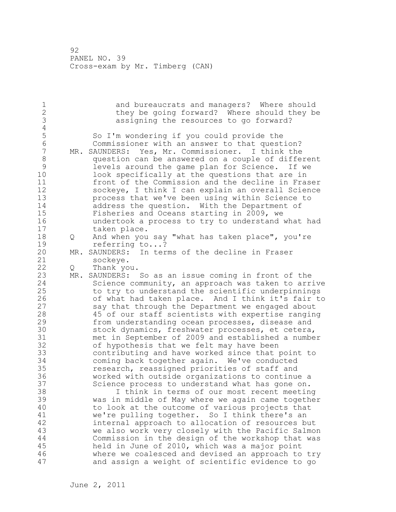1 and bureaucrats and managers? Where should 2 they be going forward? Where should they be 3 assigning the resources to go forward?  $\frac{4}{5}$ 5 So I'm wondering if you could provide the<br>6 Commissioner with an answer to that quest 6 Commissioner with an answer to that question? MR. SAUNDERS: Yes, Mr. Commissioner. I think the 8 question can be answered on a couple of different 9 levels around the game plan for Science. If we look specifically at the questions that are in 11 front of the Commission and the decline in Fraser 12 sockeye, I think I can explain an overall Science 13 process that we've been using within Science to 14 address the question. With the Department of 15 Fisheries and Oceans starting in 2009, we 16 undertook a process to try to understand what had 17 taken place. 18 Q And when you say "what has taken place", you're 19 referring to...?<br>20 MR. SAUNDERS: In ter MR. SAUNDERS: In terms of the decline in Fraser 21 sockeye. 22 Q Thank you. 23 MR. SAUNDERS: So as an issue coming in front of the 24 Science community, an approach was taken to arrive 25 to try to understand the scientific underpinnings 26 of what had taken place. And I think it's fair to<br>27 say that through the Department we engaged about say that through the Department we engaged about 28 45 of our staff scientists with expertise ranging 29 from understanding ocean processes, disease and 30 stock dynamics, freshwater processes, et cetera,<br>31 met in September of 2009 and established a numbe met in September of 2009 and established a number 32 of hypothesis that we felt may have been 33 contributing and have worked since that point to 34 coming back together again. We've conducted 35 research, reassigned priorities of staff and 36 worked with outside organizations to continue a 37 Science process to understand what has gone on. 38 I think in terms of our most recent meeting 39 was in middle of May where we again came together 40 to look at the outcome of various projects that 41 we're pulling together. So I think there's an 42 internal approach to allocation of resources but 43 we also work very closely with the Pacific Salmon 44 Commission in the design of the workshop that was 45 held in June of 2010, which was a major point 46 where we coalesced and devised an approach to try 47 and assign a weight of scientific evidence to go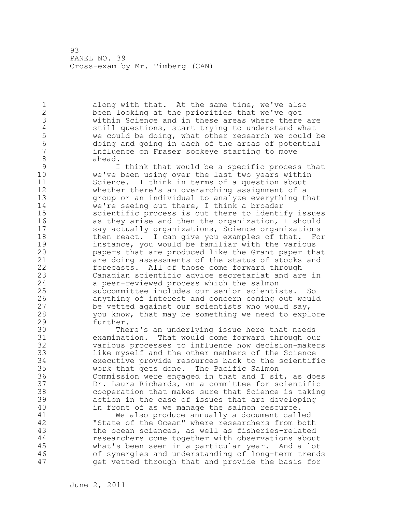1 along with that. At the same time, we've also 2 been looking at the priorities that we've got 3 within Science and in these areas where there are<br>4 still questions, start trying to understand what 4 still questions, start trying to understand what<br>5 we could be doing, what other research we could 1 5 we could be doing, what other research we could be<br>6 6 doing and going in each of the areas of potential 6 doing and going in each of the areas of potential influence on Fraser sockeye starting to move 8 ahead.<br>9 I

9 1 I think that would be a specific process that<br>10 we've been using over the last two years within we've been using over the last two years within 11 Science. I think in terms of a question about 12 whether there's an overarching assignment of a 13 group or an individual to analyze everything that 14 we're seeing out there, I think a broader 15 scientific process is out there to identify issues 16 as they arise and then the organization, I should 17 say actually organizations, Science organizations 18 then react. I can give you examples of that. For 19 instance, you would be familiar with the various<br>20 papers that are produced like the Grant paper th papers that are produced like the Grant paper that 21 are doing assessments of the status of stocks and 22 forecasts. All of those come forward through 23 Canadian scientific advice secretariat and are in 24 a peer-reviewed process which the salmon 25 subcommittee includes our senior scientists. So 26 anything of interest and concern coming out would<br>27 be vetted against our scientists who would say, be vetted against our scientists who would say, 28 you know, that may be something we need to explore 29 further.

30 There's an underlying issue here that needs examination. That would come forward through our 32 various processes to influence how decision-makers 33 like myself and the other members of the Science 34 executive provide resources back to the scientific 35 work that gets done. The Pacific Salmon 36 Commission were engaged in that and I sit, as does 37 Dr. Laura Richards, on a committee for scientific 38 cooperation that makes sure that Science is taking 39 action in the case of issues that are developing 40 in front of as we manage the salmon resource.

41 We also produce annually a document called<br>42 TState of the Ocean" where researchers from bot "State of the Ocean" where researchers from both 43 the ocean sciences, as well as fisheries-related 44 researchers come together with observations about 45 what's been seen in a particular year. And a lot 46 of synergies and understanding of long-term trends 47 get vetted through that and provide the basis for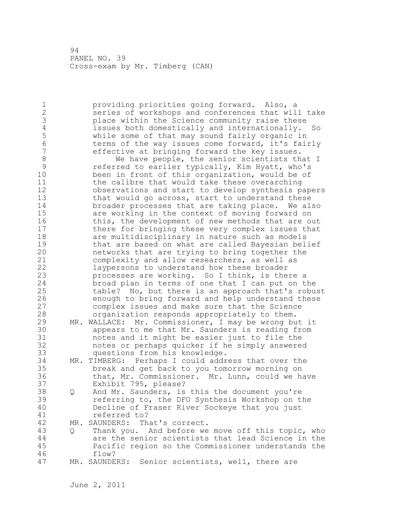1 providing priorities going forward. Also, a 2 series of workshops and conferences that will take 3 place within the Science community raise these<br>4 issues both domestically and internationally. 4 issues both domestically and internationally. So<br>5 while some of that may sound fairly organic in 5 while some of that may sound fairly organic in 6 terms of the way issues come forward, it's fairly<br>7 effective at bringing forward the kev issues. effective at bringing forward the key issues. 8 We have people, the senior scientists that I<br>9 September 19 and to earlier typically, Kim Hyatt, who's 9 referred to earlier typically, Kim Hyatt, who's<br>10 been in front of this organization, would be of been in front of this organization, would be of 11 the calibre that would take these overarching 12 observations and start to develop synthesis papers 13 that would go across, start to understand these 14 broader processes that are taking place. We also 15 are working in the context of moving forward on 16 this, the development of new methods that are out 17 there for bringing these very complex issues that 18 are multidisciplinary in nature such as models 19 that are based on what are called Bayesian belief<br>20 hetworks that are trying to bring together the networks that are trying to bring together the 21 complexity and allow researchers, as well as 22 laypersons to understand how these broader 23 processes are working. So I think, is there a 24 broad plan in terms of one that I can put on the 25 table? No, but there is an approach that's robust 26 enough to bring forward and help understand these<br>27 complex issues and make sure that the Science complex issues and make sure that the Science 28 organization responds appropriately to them. 29 MR. WALLACE: Mr. Commissioner, I may be wrong but it 30 appears to me that Mr. Saunders is reading from<br>31 hotes and it might be easier just to file the notes and it might be easier just to file the 32 notes or perhaps quicker if he simply answered 33 questions from his knowledge. 34 MR. TIMBERG: Perhaps I could address that over the 35 break and get back to you tomorrow morning on 36 that, Mr. Commissioner. Mr. Lunn, could we have 37 Exhibit 795, please? 38 Q And Mr. Saunders, is this the document you're 39 referring to, the DFO Synthesis Workshop on the 40 Decline of Fraser River Sockeye that you just 41 referred to?<br>42 MR. SAUNDERS: Th MR. SAUNDERS: That's correct. 43 Q Thank you. And before we move off this topic, who 44 are the senior scientists that lead Science in the 45 Pacific region so the Commissioner understands the 46 flow? 47 MR. SAUNDERS: Senior scientists, well, there are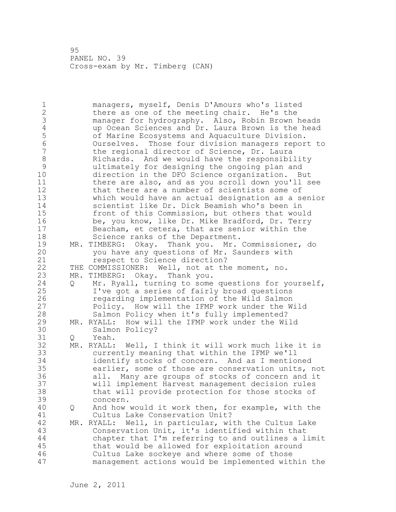1 managers, myself, Denis D'Amours who's listed 2 there as one of the meeting chair. He's the 3 manager for hydrography. Also, Robin Brown heads<br>4 approcean Sciences and Dr. Laura Brown is the head 4 up Ocean Sciences and Dr. Laura Brown is the head<br>5 6 of Marine Ecosystems and Aquaculture Division. 5 of Marine Ecosystems and Aquaculture Division. 6 Ourselves. Those four division managers report to the regional director of Science, Dr. Laura 8 Richards. And we would have the responsibility<br>9 and ultimately for designing the ongoing plan and 9 11 ultimately for designing the ongoing plan and<br>10 10 direction in the DFO Science organization. B direction in the DFO Science organization. But 11 there are also, and as you scroll down you'll see 12 that there are a number of scientists some of 13 which would have an actual designation as a senior 14 scientist like Dr. Dick Beamish who's been in 15 front of this Commission, but others that would 16 be, you know, like Dr. Mike Bradford, Dr. Terry 17 Beacham, et cetera, that are senior within the 18 Science ranks of the Department. 19 MR. TIMBERG: Okay. Thank you. Mr. Commissioner, do you have any questions of Mr. Saunders with 21 respect to Science direction? 22 THE COMMISSIONER: Well, not at the moment, no. 23 MR. TIMBERG: Okay. Thank you. 24 Q Mr. Ryall, turning to some questions for yourself, 25 I've got a series of fairly broad questions 26 **19 regarding implementation of the Wild Salmon**<br>27 **19 Rolicy.** How will the IFMP work under the W Policy. How will the IFMP work under the Wild 28 Salmon Policy when it's fully implemented? 29 MR. RYALL: How will the IFMP work under the Wild 30 Salmon Policy?<br>31 0 Yeah. Q Yeah. 32 MR. RYALL: Well, I think it will work much like it is 33 currently meaning that within the IFMP we'll 34 identify stocks of concern. And as I mentioned 35 earlier, some of those are conservation units, not 36 all. Many are groups of stocks of concern and it 37 will implement Harvest management decision rules 38 that will provide protection for those stocks of 39 concern. 40 Q And how would it work then, for example, with the 41 Cultus Lake Conservation Unit?<br>42 MR. RYALL: Well, in particular, wi MR. RYALL: Well, in particular, with the Cultus Lake 43 Conservation Unit, it's identified within that 44 chapter that I'm referring to and outlines a limit 45 that would be allowed for exploitation around 46 Cultus Lake sockeye and where some of those 47 management actions would be implemented within the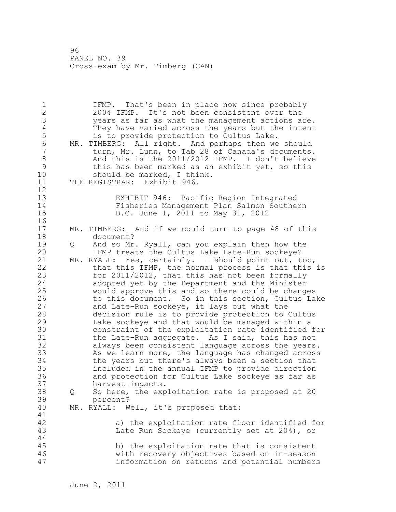1 IFMP. That's been in place now since probably 2 2004 IFMP. It's not been consistent over the 3 years as far as what the management actions are. 4 They have varied across the years but the intent<br>5 is to provide protection to Cultus Lake. is to provide protection to Cultus Lake. 6 MR. TIMBERG: All right. And perhaps then we should turn, Mr. Lunn, to Tab 28 of Canada's documents. 8 And this is the 2011/2012 IFMP. I don't believe 9 this has been marked as an exhibit yet, so this<br>10 should be marked, I think. should be marked, I think. 11 THE REGISTRAR: Exhibit 946. 12 13 EXHIBIT 946: Pacific Region Integrated 14 Fisheries Management Plan Salmon Southern 15 B.C. June 1, 2011 to May 31, 2012 16 17 MR. TIMBERG: And if we could turn to page 48 of this 18 document? 19 Q And so Mr. Ryall, can you explain then how the<br>20 IFMP treats the Cultus Lake Late-Run sockeve? IFMP treats the Cultus Lake Late-Run sockeye? 21 MR. RYALL: Yes, certainly. I should point out, too, 22 that this IFMP, the normal process is that this is 23 for 2011/2012, that this has not been formally 24 adopted yet by the Department and the Minister 25 would approve this and so there could be changes 26 to this document. So in this section, Cultus Lake<br>27 and Late-Run sockeye, it lays out what the and Late-Run sockeye, it lays out what the 28 decision rule is to provide protection to Cultus 29 Lake sockeye and that would be managed within a 30 constraint of the exploitation rate identified for<br>31 the Late-Run aggregate. As I said, this has not the Late-Run aggregate. As I said, this has not 32 always been consistent language across the years. 33 As we learn more, the language has changed across 34 the years but there's always been a section that 35 included in the annual IFMP to provide direction 36 and protection for Cultus Lake sockeye as far as 37 harvest impacts. 38 Q So here, the exploitation rate is proposed at 20 39 percent? 40 MR. RYALL: Well, it's proposed that: 41<br>42 a) the exploitation rate floor identified for 43 Late Run Sockeye (currently set at 20%), or 44 45 b) the exploitation rate that is consistent 46 with recovery objectives based on in-season 47 information on returns and potential numbers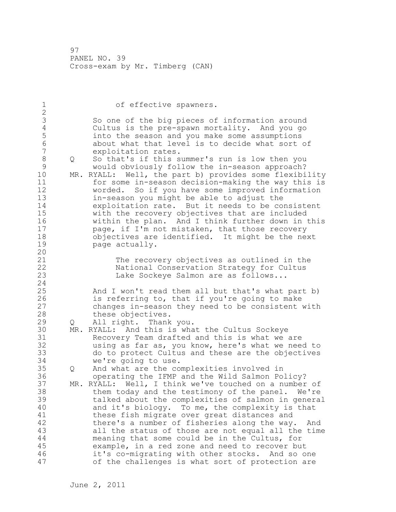1 of effective spawners. 2 3 So one of the big pieces of information around<br>4 Cultus is the pre-spawn mortality. And you go 4 Cultus is the pre-spawn mortality. And you go 5 into the season and you make some assumptions 6 about what that level is to decide what sort of exploitation rates. 8 Q So that's if this summer's run is low then you 9 would obviously follow the in-season approach?<br>10 MR. RYALL: Well, the part b) provides some flexibi MR. RYALL: Well, the part b) provides some flexibility 11 for some in-season decision-making the way this is 12 worded. So if you have some improved information 13 in-season you might be able to adjust the 14 exploitation rate. But it needs to be consistent 15 with the recovery objectives that are included 16 within the plan. And I think further down in this 17 page, if I'm not mistaken, that those recovery 18 objectives are identified. It might be the next 19 page actually. 20 21 The recovery objectives as outlined in the 22 National Conservation Strategy for Cultus 23 Lake Sockeye Salmon are as follows... 24 25 And I won't read them all but that's what part b) 26 is referring to, that if you're going to make<br>27 changes in-season they need to be consistent changes in-season they need to be consistent with 28 these objectives. 29 Q All right. Thank you. 30 MR. RYALL: And this is what the Cultus Sockeye 31 Recovery Team drafted and this is what we are 32 using as far as, you know, here's what we need to 33 do to protect Cultus and these are the objectives 34 we're going to use. 35 Q And what are the complexities involved in 36 operating the IFMP and the Wild Salmon Policy? 37 MR. RYALL: Well, I think we've touched on a number of 38 them today and the testimony of the panel. We're 39 talked about the complexities of salmon in general 40 and it's biology. To me, the complexity is that 41 these fish migrate over great distances and<br>42 there's a number of fisheries along the way there's a number of fisheries along the way. And 43 all the status of those are not equal all the time 44 meaning that some could be in the Cultus, for 45 example, in a red zone and need to recover but 46 it's co-migrating with other stocks. And so one 47 of the challenges is what sort of protection are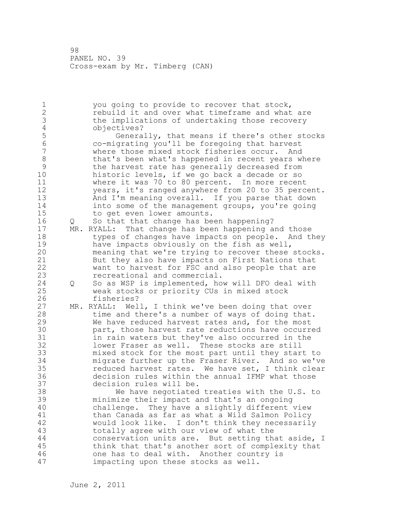1 you going to provide to recover that stock, 2 rebuild it and over what timeframe and what are 3 the implications of undertaking those recovery<br>4 objectives? 4 objectives?<br>5 Genera 5 Generally, that means if there's other stocks<br>6 Co-migrating you'll be foregoing that harvest 6 co-migrating you'll be foregoing that harvest where those mixed stock fisheries occur. And 8 that's been what's happened in recent years where 9 the harvest rate has generally decreased from<br>10 historic levels, if we go back a decade or so historic levels, if we go back a decade or so 11 where it was 70 to 80 percent. In more recent 12 years, it's ranged anywhere from 20 to 35 percent. 13 And I'm meaning overall. If you parse that down 14 into some of the management groups, you're going 15 to get even lower amounts. 16 Q So that that change has been happening? 17 MR. RYALL: That change has been happening and those 18 types of changes have impacts on people. And they 19 have impacts obviously on the fish as well,<br>20 meaning that we're trying to recover these meaning that we're trying to recover these stocks. 21 But they also have impacts on First Nations that 22 want to harvest for FSC and also people that are 23 recreational and commercial. 24 Q So as WSP is implemented, how will DFO deal with 25 weak stocks or priority CUs in mixed stock 26 fisheries?<br>27 MR. RYALL: Wel MR. RYALL: Well, I think we've been doing that over 28 time and there's a number of ways of doing that. 29 We have reduced harvest rates and, for the most 30 part, those harvest rate reductions have occurred<br>31 https://waters.but.thev've.also.occurred.in.the in rain waters but they've also occurred in the 32 lower Fraser as well. These stocks are still 33 mixed stock for the most part until they start to 34 migrate further up the Fraser River. And so we've 35 reduced harvest rates. We have set, I think clear 36 decision rules within the annual IFMP what those 37 decision rules will be. 38 We have negotiated treaties with the U.S. to 39 minimize their impact and that's an ongoing 40 challenge. They have a slightly different view 41 than Canada as far as what a Wild Salmon Policy<br>42 would look like. I don't think they necessaril would look like. I don't think they necessarily 43 totally agree with our view of what the 44 conservation units are. But setting that aside, I 45 think that that's another sort of complexity that 46 one has to deal with. Another country is 47 impacting upon these stocks as well.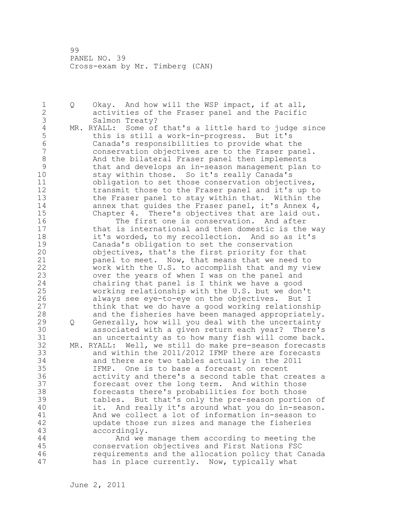1 Q Okay. And how will the WSP impact, if at all, 2 activities of the Fraser panel and the Pacific 3 Salmon Treaty?<br>4 MR. RYALL: Some of 4 MR. RYALL: Some of that's a little hard to judge since<br>5 this is still a work-in-progress. But it's 5 this is still a work-in-progress. But it's 6 Canada's responsibilities to provide what the conservation objectives are to the Fraser panel. 8 And the bilateral Fraser panel then implements 9 that and develops an in-season management plan to stay within those. So it's really Canada's 11 obligation to set those conservation objectives, 12 transmit those to the Fraser panel and it's up to 13 the Fraser panel to stay within that. Within the 14 annex that guides the Fraser panel, it's Annex 4, 15 Chapter 4. There's objectives that are laid out. 16 The first one is conservation. And after 17 that is international and then domestic is the way 18 it's worded, to my recollection. And so as it's 19 Canada's obligation to set the conservation<br>20 objectives, that's the first priority for the objectives, that's the first priority for that 21 panel to meet. Now, that means that we need to 22 work with the U.S. to accomplish that and my view 23 over the years of when I was on the panel and 24 chairing that panel is I think we have a good 25 working relationship with the U.S. but we don't 26 always see eye-to-eye on the objectives. But I<br>27 think that we do have a good working relationsh think that we do have a good working relationship 28 and the fisheries have been managed appropriately. 29 Q Generally, how will you deal with the uncertainty 30 associated with a given return each year? There's an uncertainty as to how many fish will come back. 32 MR. RYALL: Well, we still do make pre-season forecasts 33 and within the 2011/2012 IFMP there are forecasts 34 and there are two tables actually in the 2011 35 IFMP. One is to base a forecast on recent 36 activity and there's a second table that creates a 37 forecast over the long term. And within those 38 forecasts there's probabilities for both those 39 tables. But that's only the pre-season portion of 40 it. And really it's around what you do in-season. 41 And we collect a lot of information in-season to<br>42 bupdate those run sizes and manage the fisheries update those run sizes and manage the fisheries 43 accordingly. 44 And we manage them according to meeting the 45 conservation objectives and First Nations FSC 46 requirements and the allocation policy that Canada 47 has in place currently. Now, typically what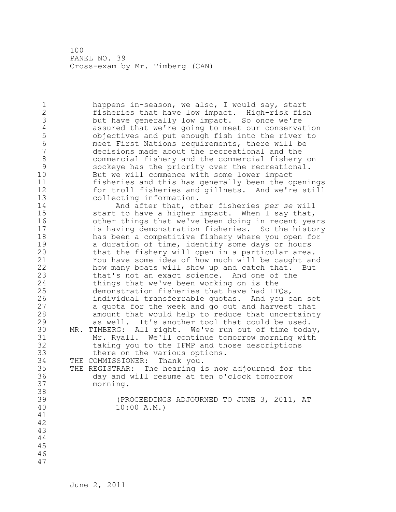1 happens in-season, we also, I would say, start 2 fisheries that have low impact. High-risk fish 3 but have generally low impact. So once we're<br>4 assured that we're going to meet our conserva 4 assured that we're going to meet our conservation<br>5 biectives and put enough fish into the river to 5 objectives and put enough fish into the river to 6 meet First Nations requirements, there will be decisions made about the recreational and the 8 commercial fishery and the commercial fishery on 9 sockeye has the priority over the recreational.<br>10 But we will commence with some lower impact But we will commence with some lower impact 11 fisheries and this has generally been the openings 12 for troll fisheries and gillnets. And we're still 13 collecting information. 14 And after that, other fisheries *per se* will 15 start to have a higher impact. When I say that, 16 other things that we've been doing in recent years 17 is having demonstration fisheries. So the history 18 has been a competitive fishery where you open for 19 a duration of time, identify some days or hours<br>20 that the fishery will open in a particular area that the fishery will open in a particular area. 21 You have some idea of how much will be caught and 22 how many boats will show up and catch that. But 23 that's not an exact science. And one of the 24 things that we've been working on is the 25 demonstration fisheries that have had ITQs, 26 individual transferrable quotas. And you can set<br>27 a quota for the week and go out and harvest that a quota for the week and go out and harvest that 28 amount that would help to reduce that uncertainty 29 as well. It's another tool that could be used. 30 MR. TIMBERG: All right. We've run out of time today, 31 Mr. Ryall. We'll continue tomorrow morning with<br>32 taking you to the IFMP and those descriptions taking you to the IFMP and those descriptions 33 there on the various options. 34 THE COMMISSIONER: Thank you. 35 THE REGISTRAR: The hearing is now adjourned for the 36 day and will resume at ten o'clock tomorrow

37 morning.

38

39 (PROCEEDINGS ADJOURNED TO JUNE 3, 2011, AT 40 10:00 A.M.)

June 2, 2011